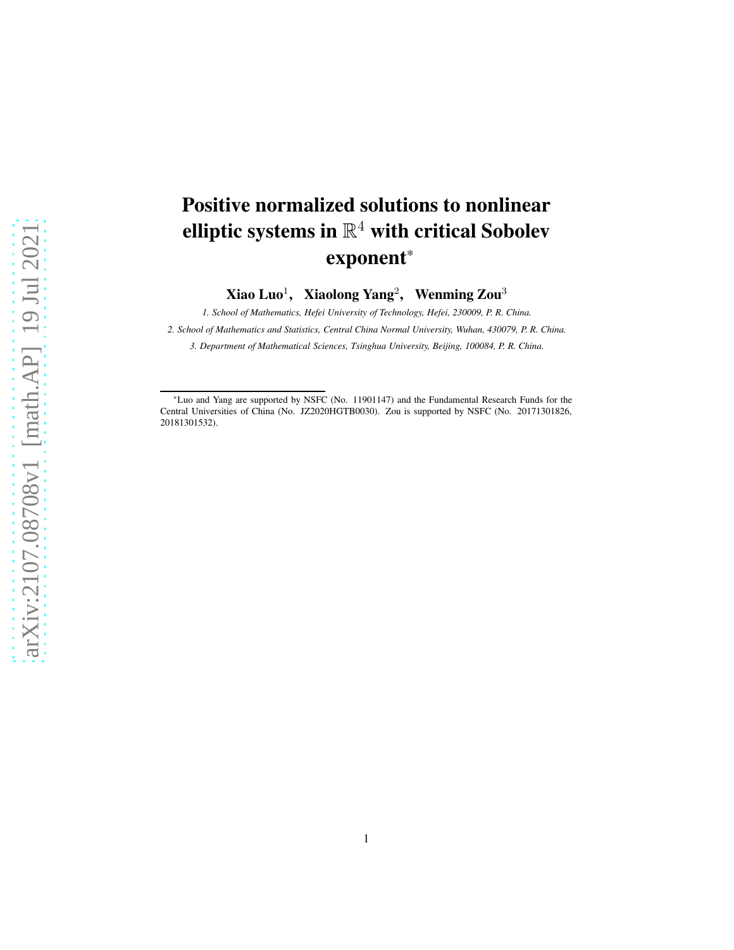# Positive normalized solutions to nonlinear elliptic systems in  $\mathbb{R}^4$  with critical Sobolev exponent\*

 $X$ iao Luo<sup>1</sup>, Xiaolong Yang<sup>2</sup>, Wenming Zou<sup>3</sup>

*1. School of Mathematics, Hefei University of Technology, Hefei, 230009, P. R. China.*

*2. School of Mathematics and Statistics, Central China Normal University, Wuhan, 430079, P. R. China.*

*3. Department of Mathematical Sciences, Tsinghua University, Beijing, 100084, P. R. China.*

<sup>\*</sup>Luo and Yang are supported by NSFC (No. 11901147) and the Fundamental Research Funds for the Central Universities of China (No. JZ2020HGTB0030). Zou is supported by NSFC (No. 20171301826, 20181301532).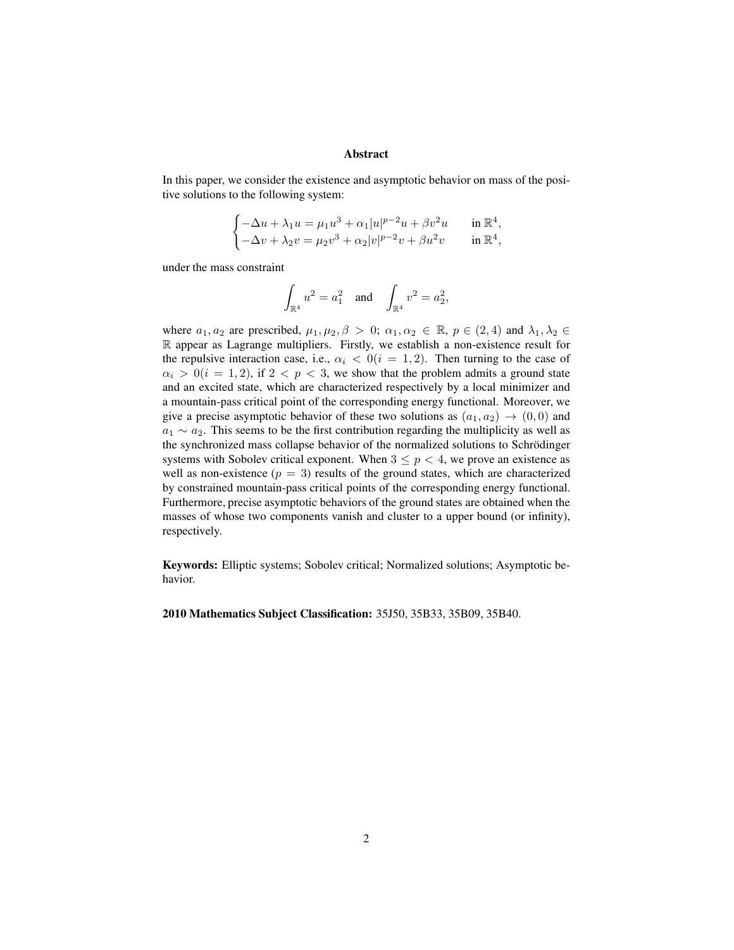#### Abstract

In this paper, we consider the existence and asymptotic behavior on mass of the positive solutions to the following system:

$$
\begin{cases} -\Delta u + \lambda_1 u = \mu_1 u^3 + \alpha_1 |u|^{p-2} u + \beta v^2 u & \text{in } \mathbb{R}^4, \\ -\Delta v + \lambda_2 v = \mu_2 v^3 + \alpha_2 |v|^{p-2} v + \beta u^2 v & \text{in } \mathbb{R}^4, \end{cases}
$$

under the mass constraint

$$
\int_{\mathbb{R}^4}u^2=a_1^2\quad\text{and}\quad\int_{\mathbb{R}^4}v^2=a_2^2,
$$

where  $a_1, a_2$  are prescribed,  $\mu_1, \mu_2, \beta > 0$ ;  $\alpha_1, \alpha_2 \in \mathbb{R}$ ,  $p \in (2, 4)$  and  $\lambda_1, \lambda_2 \in$ R appear as Lagrange multipliers. Firstly, we establish a non-existence result for the repulsive interaction case, i.e.,  $\alpha_i < 0(i = 1, 2)$ . Then turning to the case of  $\alpha_i > 0$ (i = 1, 2), if  $2 < p < 3$ , we show that the problem admits a ground state and an excited state, which are characterized respectively by a local minimizer and a mountain-pass critical point of the corresponding energy functional. Moreover, we give a precise asymptotic behavior of these two solutions as  $(a_1, a_2) \rightarrow (0, 0)$  and  $a_1 \sim a_2$ . This seems to be the first contribution regarding the multiplicity as well as the synchronized mass collapse behavior of the normalized solutions to Schrödinger systems with Sobolev critical exponent. When  $3 \leq p < 4$ , we prove an existence as well as non-existence  $(p = 3)$  results of the ground states, which are characterized by constrained mountain-pass critical points of the corresponding energy functional. Furthermore, precise asymptotic behaviors of the ground states are obtained when the masses of whose two components vanish and cluster to a upper bound (or infinity), respectively.

Keywords: Elliptic systems; Sobolev critical; Normalized solutions; Asymptotic behavior.

2010 Mathematics Subject Classification: 35J50, 35B33, 35B09, 35B40.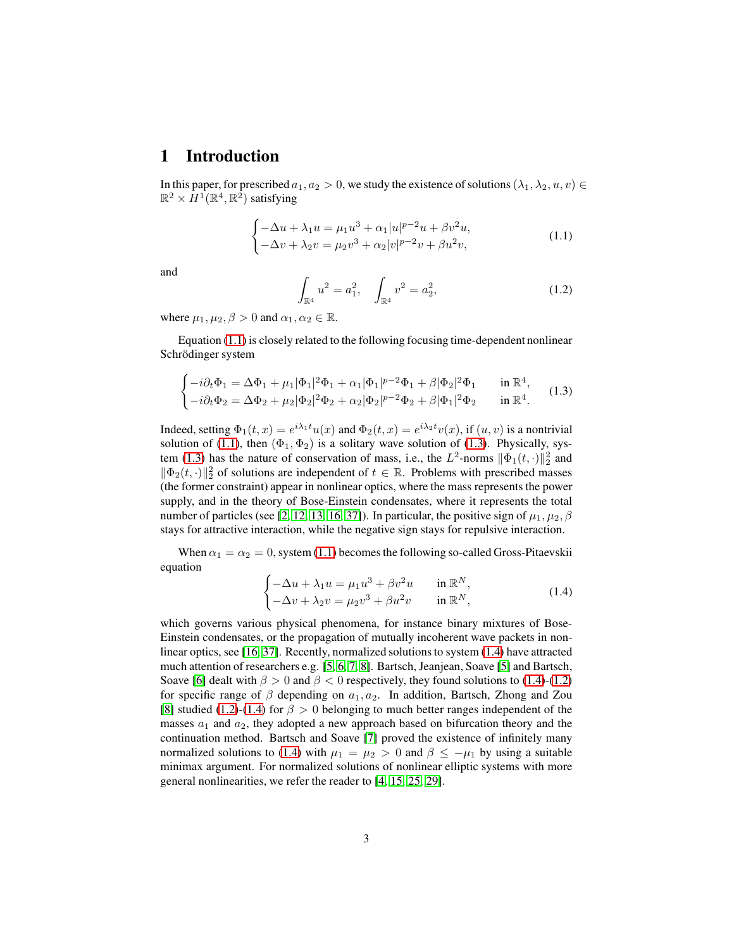#### 1 Introduction

In this paper, for prescribed  $a_1, a_2 > 0$ , we study the existence of solutions  $(\lambda_1, \lambda_2, u, v) \in$  $\mathbb{R}^2 \times \overline{H}^1(\mathbb{R}^4, \mathbb{R}^2)$  satisfying

<span id="page-2-0"></span>
$$
\begin{cases}\n-\Delta u + \lambda_1 u = \mu_1 u^3 + \alpha_1 |u|^{p-2} u + \beta v^2 u, \\
-\Delta v + \lambda_2 v = \mu_2 v^3 + \alpha_2 |v|^{p-2} v + \beta u^2 v,\n\end{cases} (1.1)
$$

and

<span id="page-2-3"></span>
$$
\int_{\mathbb{R}^4} u^2 = a_1^2, \quad \int_{\mathbb{R}^4} v^2 = a_2^2,
$$
\n(1.2)

where  $\mu_1, \mu_2, \beta > 0$  and  $\alpha_1, \alpha_2 \in \mathbb{R}$ .

Equation [\(1.1\)](#page-2-0) is closely related to the following focusing time-dependent nonlinear Schrödinger system

<span id="page-2-1"></span>
$$
\begin{cases}\n-i\partial_t \Phi_1 = \Delta \Phi_1 + \mu_1 |\Phi_1|^2 \Phi_1 + \alpha_1 |\Phi_1|^{p-2} \Phi_1 + \beta |\Phi_2|^2 \Phi_1 & \text{in } \mathbb{R}^4, \\
-i\partial_t \Phi_2 = \Delta \Phi_2 + \mu_2 |\Phi_2|^2 \Phi_2 + \alpha_2 |\Phi_2|^{p-2} \Phi_2 + \beta |\Phi_1|^2 \Phi_2 & \text{in } \mathbb{R}^4.\n\end{cases}
$$
\n(1.3)

Indeed, setting  $\Phi_1(t,x) = e^{i\lambda_1 t} u(x)$  and  $\Phi_2(t,x) = e^{i\lambda_2 t} v(x)$ , if  $(u, v)$  is a nontrivial solution of [\(1.1\)](#page-2-0), then  $(\Phi_1, \Phi_2)$  is a solitary wave solution of [\(1.3\)](#page-2-1). Physically, sys-tem [\(1.3\)](#page-2-1) has the nature of conservation of mass, i.e., the  $L^2$ -norms  $\|\Phi_1(t, \cdot)\|_2^2$  and  $\|\Phi_2(t, \cdot)\|_2^2$  of solutions are independent of  $t \in \mathbb{R}$ . Problems with prescribed masses (the former constraint) appear in nonlinear optics, where the mass represents the power supply, and in the theory of Bose-Einstein condensates, where it represents the total number of particles (see [\[2,](#page-54-0) [12,](#page-55-0) [13,](#page-55-1) [16,](#page-55-2) [37\]](#page-56-0)). In particular, the positive sign of  $\mu_1, \mu_2, \beta$ stays for attractive interaction, while the negative sign stays for repulsive interaction.

When  $\alpha_1 = \alpha_2 = 0$ , system [\(1.1\)](#page-2-0) becomes the following so-called Gross-Pitaevskii equation

<span id="page-2-2"></span>
$$
\begin{cases}\n-\Delta u + \lambda_1 u = \mu_1 u^3 + \beta v^2 u & \text{in } \mathbb{R}^N, \\
-\Delta v + \lambda_2 v = \mu_2 v^3 + \beta u^2 v & \text{in } \mathbb{R}^N,\n\end{cases}
$$
\n(1.4)

which governs various physical phenomena, for instance binary mixtures of Bose-Einstein condensates, or the propagation of mutually incoherent wave packets in nonlinear optics, see [\[16,](#page-55-2) [37\]](#page-56-0). Recently, normalized solutions to system [\(1.4\)](#page-2-2) have attracted much attention of researchers e.g. [\[5,](#page-54-1) [6,](#page-54-2) [7,](#page-54-3) [8\]](#page-54-4). Bartsch, Jeanjean, Soave [\[5\]](#page-54-1) and Bartsch, Soave [\[6\]](#page-54-2) dealt with  $\beta > 0$  and  $\beta < 0$  respectively, they found solutions to [\(1.4\)](#page-2-2)-[\(1.2\)](#page-2-3) for specific range of  $\beta$  depending on  $a_1, a_2$ . In addition, Bartsch, Zhong and Zou [\[8\]](#page-54-4) studied [\(1.2\)](#page-2-3)-[\(1.4\)](#page-2-2) for  $\beta > 0$  belonging to much better ranges independent of the masses  $a_1$  and  $a_2$ , they adopted a new approach based on bifurcation theory and the continuation method. Bartsch and Soave [\[7\]](#page-54-3) proved the existence of infinitely many normalized solutions to [\(1.4\)](#page-2-2) with  $\mu_1 = \mu_2 > 0$  and  $\beta \le -\mu_1$  by using a suitable minimax argument. For normalized solutions of nonlinear elliptic systems with more general nonlinearities, we refer the reader to [\[4,](#page-54-5) [15,](#page-55-3) [25,](#page-56-1) [29\]](#page-56-2).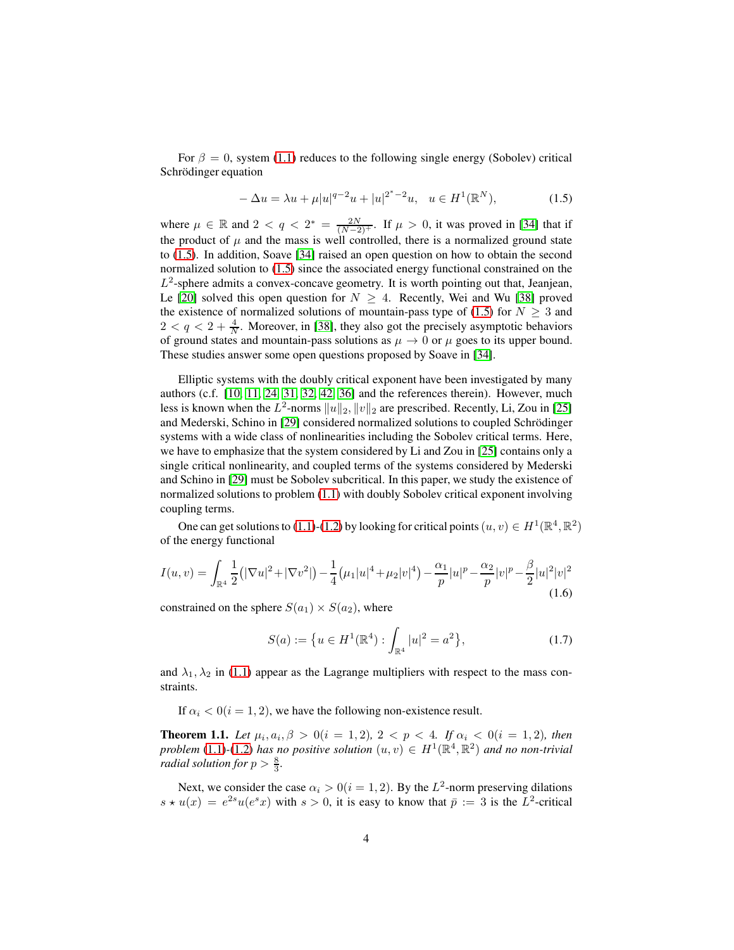For  $\beta = 0$ , system [\(1.1\)](#page-2-0) reduces to the following single energy (Sobolev) critical Schrödinger equation

<span id="page-3-0"></span>
$$
-\Delta u = \lambda u + \mu |u|^{q-2}u + |u|^{2^*-2}u, \quad u \in H^1(\mathbb{R}^N),\tag{1.5}
$$

where  $\mu \in \mathbb{R}$  and  $2 < q < 2^* = \frac{2N}{(N-2)^+}$ . If  $\mu > 0$ , it was proved in [\[34\]](#page-56-3) that if the product of  $\mu$  and the mass is well controlled, there is a normalized ground state to [\(1.5\)](#page-3-0). In addition, Soave [\[34\]](#page-56-3) raised an open question on how to obtain the second normalized solution to [\(1.5\)](#page-3-0) since the associated energy functional constrained on the  $L^2$ -sphere admits a convex-concave geometry. It is worth pointing out that, Jeanjean, Le [\[20\]](#page-55-4) solved this open question for  $N \geq 4$ . Recently, Wei and Wu [\[38\]](#page-56-4) proved the existence of normalized solutions of mountain-pass type of [\(1.5\)](#page-3-0) for  $N \geq 3$  and  $2 < q < 2 + \frac{4}{N}$ . Moreover, in [\[38\]](#page-56-4), they also got the precisely asymptotic behaviors of ground states and mountain-pass solutions as  $\mu \to 0$  or  $\mu$  goes to its upper bound. These studies answer some open questions proposed by Soave in [\[34\]](#page-56-3).

Elliptic systems with the doubly critical exponent have been investigated by many authors (c.f. [\[10,](#page-55-5) [11,](#page-55-6) [24,](#page-56-5) [31,](#page-56-6) [32,](#page-56-7) [42,](#page-57-0) [36\]](#page-56-8) and the references therein). However, much less is known when the  $L^2$ -norms  $||u||_2$ ,  $||v||_2$  are prescribed. Recently, Li, Zou in [\[25\]](#page-56-1) and Mederski, Schino in [\[29\]](#page-56-2) considered normalized solutions to coupled Schrödinger systems with a wide class of nonlinearities including the Sobolev critical terms. Here, we have to emphasize that the system considered by Li and Zou in [\[25\]](#page-56-1) contains only a single critical nonlinearity, and coupled terms of the systems considered by Mederski and Schino in [\[29\]](#page-56-2) must be Sobolev subcritical. In this paper, we study the existence of normalized solutions to problem [\(1.1\)](#page-2-0) with doubly Sobolev critical exponent involving coupling terms.

One can get solutions to [\(1.1\)](#page-2-0)-[\(1.2\)](#page-2-3) by looking for critical points  $(u, v) \in H^1(\mathbb{R}^4, \mathbb{R}^2)$ of the energy functional

<span id="page-3-2"></span>
$$
I(u,v) = \int_{\mathbb{R}^4} \frac{1}{2} (|\nabla u|^2 + |\nabla v^2|) - \frac{1}{4} (\mu_1 |u|^4 + \mu_2 |v|^4) - \frac{\alpha_1}{p} |u|^p - \frac{\alpha_2}{p} |v|^p - \frac{\beta}{2} |u|^2 |v|^2
$$
\n(1.6)

constrained on the sphere  $S(a_1) \times S(a_2)$ , where

$$
S(a) := \left\{ u \in H^{1}(\mathbb{R}^{4}) : \int_{\mathbb{R}^{4}} |u|^{2} = a^{2} \right\},
$$
\n(1.7)

and  $\lambda_1, \lambda_2$  in [\(1.1\)](#page-2-0) appear as the Lagrange multipliers with respect to the mass constraints.

If  $\alpha_i < 0$  (i = 1, 2), we have the following non-existence result.

<span id="page-3-1"></span>**Theorem 1.1.** Let  $\mu_i, a_i, \beta > 0 (i = 1, 2), 2 < p < 4$ . If  $\alpha_i < 0 (i = 1, 2)$ , then *problem* [\(1.1\)](#page-2-0)-[\(1.2\)](#page-2-3) *has no positive solution*  $(u, v) \in H^1(\mathbb{R}^4, \mathbb{R}^2)$  *and no non-trivial radial solution for*  $p > \frac{8}{3}$ .

Next, we consider the case  $\alpha_i > 0 (i = 1, 2)$ . By the  $L^2$ -norm preserving dilations  $s \star u(x) = e^{2s}u(e^{s}x)$  with  $s > 0$ , it is easy to know that  $\bar{p} := 3$  is the  $L^2$ -critical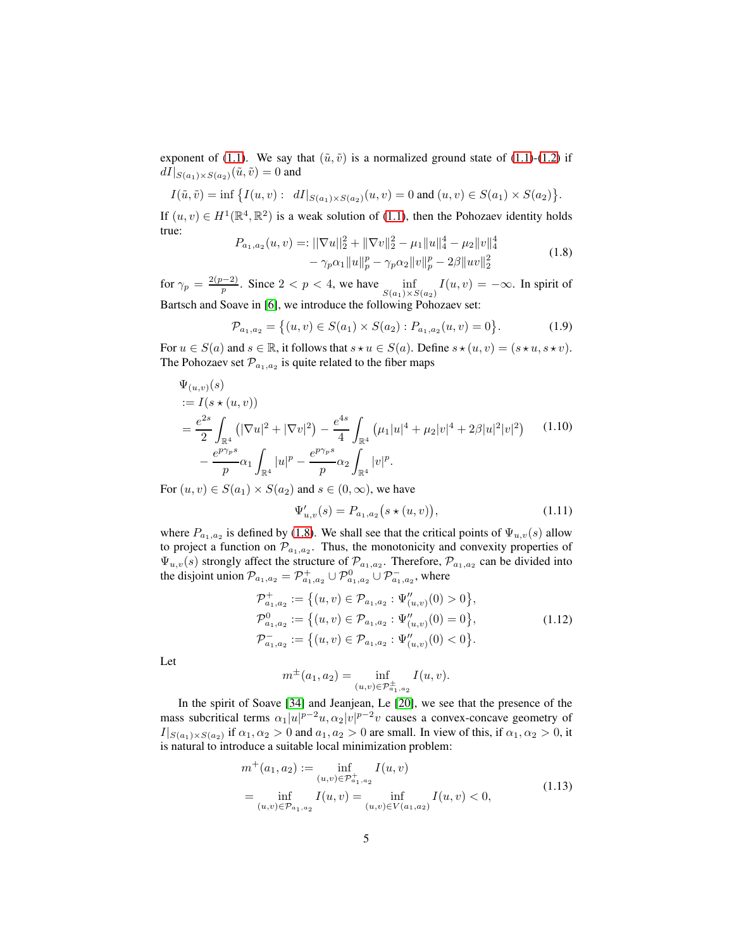exponent of [\(1.1\)](#page-2-0). We say that  $(\tilde{u}, \tilde{v})$  is a normalized ground state of [\(1.1\)](#page-2-0)-[\(1.2\)](#page-2-3) if  $dI|_{S(a_1)\times S(a_2)}(\tilde{u},\tilde{v})=0$  and

$$
I(\tilde{u}, \tilde{v}) = \inf \big\{ I(u, v) : dI|_{S(a_1) \times S(a_2)}(u, v) = 0 \text{ and } (u, v) \in S(a_1) \times S(a_2) \big\}.
$$

If  $(u, v) \in H^1(\mathbb{R}^4, \mathbb{R}^2)$  is a weak solution of [\(1.1\)](#page-2-0), then the Pohozaev identity holds true:

<span id="page-4-0"></span>
$$
P_{a_1, a_2}(u, v) =: ||\nabla u||_2^2 + ||\nabla v||_2^2 - \mu_1 ||u||_4^4 - \mu_2 ||v||_4^4
$$
  

$$
- \gamma_p \alpha_1 ||u||_p^p - \gamma_p \alpha_2 ||v||_p^p - 2\beta ||uv||_2^2
$$
 (1.8)

for  $\gamma_p = \frac{2(p-2)}{p}$ . Since  $2 < p < 4$ , we have  $\inf_{S(x,y) \ge 4}$  $\inf_{S(a_1)\times S(a_2)} I(u, v) = -\infty$ . In spirit of Bartsch and Soave in [\[6\]](#page-54-2), we introduce the following Pohozaev set:

<span id="page-4-2"></span>
$$
\mathcal{P}_{a_1, a_2} = \{(u, v) \in S(a_1) \times S(a_2) : P_{a_1, a_2}(u, v) = 0\}.
$$
 (1.9)

For  $u \in S(a)$  and  $s \in \mathbb{R}$ , it follows that  $s \star u \in S(a)$ . Define  $s \star (u, v) = (s \star u, s \star v)$ . The Pohozaev set  $\mathcal{P}_{a_1,a_2}$  is quite related to the fiber maps

<span id="page-4-1"></span>
$$
\Psi_{(u,v)}(s)
$$
\n
$$
:= I(s \star (u, v))
$$
\n
$$
= \frac{e^{2s}}{2} \int_{\mathbb{R}^4} \left( |\nabla u|^2 + |\nabla v|^2 \right) - \frac{e^{4s}}{4} \int_{\mathbb{R}^4} \left( \mu_1 |u|^4 + \mu_2 |v|^4 + 2\beta |u|^2 |v|^2 \right) \quad (1.10)
$$
\n
$$
- \frac{e^{p\gamma_p s}}{p} \alpha_1 \int_{\mathbb{R}^4} |u|^p - \frac{e^{p\gamma_p s}}{p} \alpha_2 \int_{\mathbb{R}^4} |v|^p.
$$

For  $(u, v) \in S(a_1) \times S(a_2)$  and  $s \in (0, \infty)$ , we have

<span id="page-4-3"></span>
$$
\Psi'_{u,v}(s) = P_{a_1, a_2}(s \star (u, v)), \tag{1.11}
$$

where  $P_{a_1, a_2}$  is defined by [\(1.8\)](#page-4-0). We shall see that the critical points of  $\Psi_{u,v}(s)$  allow to project a function on  $\mathcal{P}_{a_1, a_2}$ . Thus, the monotonicity and convexity properties of  $\Psi_{u,v}(s)$  strongly affect the structure of  $\mathcal{P}_{a_1,a_2}$ . Therefore,  $\mathcal{P}_{a_1,a_2}$  can be divided into the disjoint union  $\mathcal{P}_{a_1,a_2} = \mathcal{P}^+_{a_1,a_2} \cup \mathcal{P}^0_{a_1,a_2} \cup \mathcal{P}^-_{a_1,a_2}$ , where

<span id="page-4-4"></span>
$$
\mathcal{P}_{a_1,a_2}^+ := \left\{ (u,v) \in \mathcal{P}_{a_1,a_2} : \Psi_{(u,v)}(0) > 0 \right\},\
$$
  
\n
$$
\mathcal{P}_{a_1,a_2}^0 := \left\{ (u,v) \in \mathcal{P}_{a_1,a_2} : \Psi_{(u,v)}(0) = 0 \right\},\
$$
  
\n
$$
\mathcal{P}_{a_1,a_2}^- := \left\{ (u,v) \in \mathcal{P}_{a_1,a_2} : \Psi_{(u,v)}(0) < 0 \right\}.
$$
  
\n(1.12)

Let

$$
m^{\pm}(a_1, a_2) = \inf_{(u,v) \in \mathcal{P}_{a_1, a_2}^{\pm}} I(u, v).
$$

In the spirit of Soave [\[34\]](#page-56-3) and Jeanjean, Le [\[20\]](#page-55-4), we see that the presence of the mass subcritical terms  $\alpha_1|u|^{p-2}u, \alpha_2|v|^{p-2}v$  causes a convex-concave geometry of  $I|_{S(a_1)\times S(a_2)}$  if  $\alpha_1,\alpha_2>0$  and  $a_1,a_2>0$  are small. In view of this, if  $\alpha_1,\alpha_2>0$ , it is natural to introduce a suitable local minimization problem:

$$
m^+(a_1, a_2) := \inf_{(u,v) \in \mathcal{P}_{a_1, a_2}^+} I(u, v)
$$
  
= 
$$
\inf_{(u,v) \in \mathcal{P}_{a_1, a_2}} I(u, v) = \inf_{(u,v) \in V(a_1, a_2)} I(u, v) < 0,
$$
 (1.13)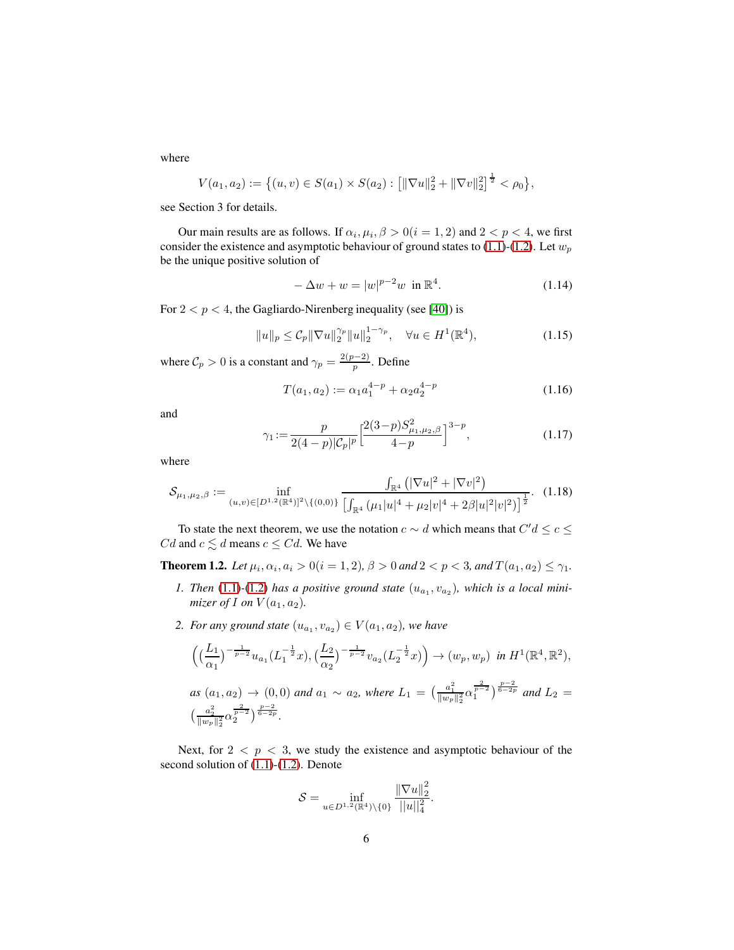where

$$
V(a_1, a_2) := \left\{ (u, v) \in S(a_1) \times S(a_2) : \left[ \|\nabla u\|_2^2 + \|\nabla v\|_2^2 \right]^{\frac{1}{2}} < \rho_0 \right\},\
$$

see Section 3 for details.

Our main results are as follows. If  $\alpha_i, \mu_i, \beta > 0 (i = 1, 2)$  and  $2 < p < 4$ , we first consider the existence and asymptotic behaviour of ground states to [\(1.1\)](#page-2-0)-[\(1.2\)](#page-2-3). Let  $w_p$ be the unique positive solution of

<span id="page-5-1"></span>
$$
-\Delta w + w = |w|^{p-2}w \text{ in } \mathbb{R}^4. \tag{1.14}
$$

For  $2 < p < 4$ , the Gagliardo-Nirenberg inequality (see [\[40\]](#page-57-1)) is

<span id="page-5-4"></span>
$$
||u||_p \leq C_p ||\nabla u||_2^{\gamma_p} ||u||_2^{1-\gamma_p}, \quad \forall u \in H^1(\mathbb{R}^4), \tag{1.15}
$$

where  $C_p > 0$  is a constant and  $\gamma_p = \frac{2(p-2)}{p}$ . Define

<span id="page-5-2"></span>
$$
T(a_1, a_2) := \alpha_1 a_1^{4-p} + \alpha_2 a_2^{4-p}
$$
\n(1.16)

and

$$
\gamma_1 := \frac{p}{2(4-p)|\mathcal{C}_p|^p} \left[ \frac{2(3-p)S_{\mu_1,\mu_2,\beta}^2}{4-p} \right]^{3-p},\tag{1.17}
$$

where

<span id="page-5-3"></span>
$$
\mathcal{S}_{\mu_1,\mu_2,\beta} := \inf_{(u,v)\in [D^{1,2}(\mathbb{R}^4)]^2\backslash\{(0,0)\}} \frac{\int_{\mathbb{R}^4} \left( |\nabla u|^2 + |\nabla v|^2 \right)}{\left[ \int_{\mathbb{R}^4} (\mu_1 |u|^4 + \mu_2 |v|^4 + 2\beta |u|^2 |v|^2) \right]^{\frac{1}{2}}}.
$$
 (1.18)

To state the next theorem, we use the notation  $c \sim d$  which means that  $C' d \le c \le d$  $Cd$  and  $c \leq d$  means  $c \leq Cd$ . We have

<span id="page-5-0"></span>**Theorem 1.2.** Let  $\mu_i, \alpha_i, a_i > 0 (i = 1, 2), \beta > 0$  and  $2 < p < 3$ , and  $T(a_1, a_2) \leq \gamma_1$ .

- 1. Then  $(1.1)$ - $(1.2)$  has a positive ground state  $(u_{a_1}, v_{a_2})$ , which is a local mini*mizer of* I *on*  $V(a_1, a_2)$ *.*
- 2. For any ground state  $(u_{a_1}, v_{a_2}) \in V(a_1, a_2)$ , we have

$$
\left( \left( \frac{L_1}{\alpha_1} \right)^{-\frac{1}{p-2}} u_{a_1} (L_1^{-\frac{1}{2}} x), \left( \frac{L_2}{\alpha_2} \right)^{-\frac{1}{p-2}} v_{a_2} (L_2^{-\frac{1}{2}} x) \right) \to (w_p, w_p) \text{ in } H^1(\mathbb{R}^4, \mathbb{R}^2),
$$
  
as  $(a_1, a_2) \to (0, 0)$  and  $a_1 \sim a_2$ , where  $L_1 = \left( \frac{a_1^2}{\|w_p\|_2^2} \alpha_1^{\frac{2}{p-2}} \right)^{\frac{p-2}{6-2p}}$  and  $L_2 = \left( \frac{a_2^2}{\|w_p\|_2^2} \alpha_2^{\frac{2}{p-2}} \right)^{\frac{p-2}{6-2p}}.$ 

Next, for  $2 < p < 3$ , we study the existence and asymptotic behaviour of the second solution of [\(1.1\)](#page-2-0)-[\(1.2\)](#page-2-3). Denote

$$
S = \inf_{u \in D^{1,2}(\mathbb{R}^4) \setminus \{0\}} \frac{\|\nabla u\|_2^2}{\|u\|_4^2}.
$$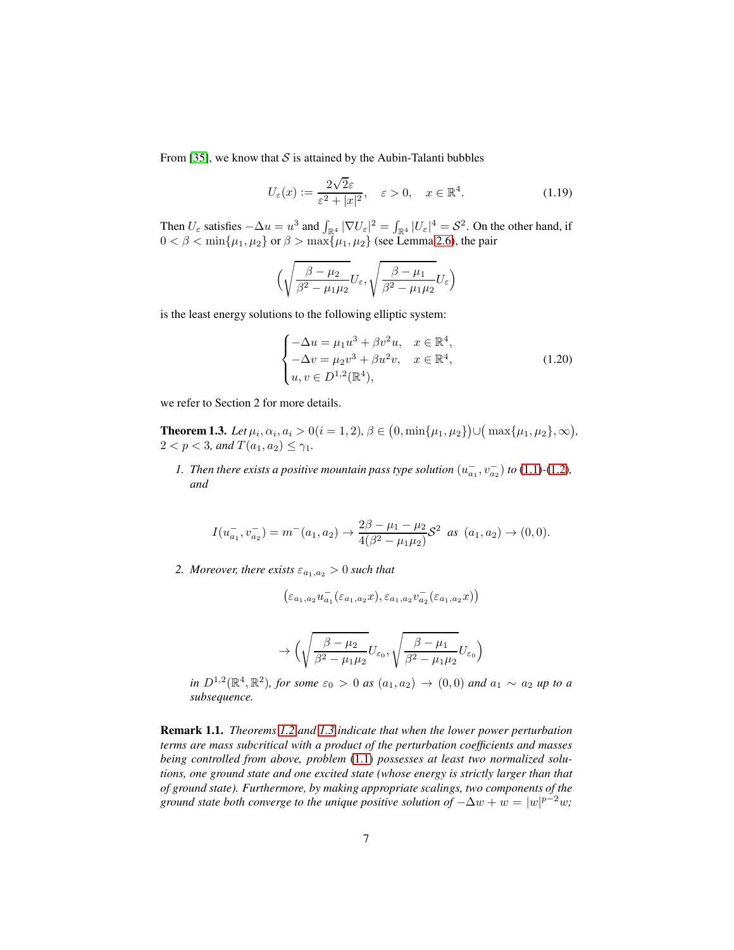From [\[35\]](#page-56-9), we know that  $S$  is attained by the Aubin-Talanti bubbles

<span id="page-6-2"></span>
$$
U_{\varepsilon}(x) := \frac{2\sqrt{2}\varepsilon}{\varepsilon^2 + |x|^2}, \quad \varepsilon > 0, \quad x \in \mathbb{R}^4.
$$
 (1.19)

Then  $U_{\varepsilon}$  satisfies  $-\Delta u = u^3$  and  $\int_{\mathbb{R}^4} |\nabla U_{\varepsilon}|^2 = \int_{\mathbb{R}^4} |U_{\varepsilon}|^4 = S^2$ . On the other hand, if  $0 < \beta < \min\{\mu_1, \mu_2\}$  or  $\beta > \max\{\mu_1, \mu_2\}$  (see Lemma [2.6\)](#page-11-0), the pair

$$
\Big(\sqrt{\frac{\beta-\mu_2}{\beta^2-\mu_1\mu_2}}U_{\varepsilon},\sqrt{\frac{\beta-\mu_1}{\beta^2-\mu_1\mu_2}}U_{\varepsilon}\Big)
$$

is the least energy solutions to the following elliptic system:

<span id="page-6-1"></span>
$$
\begin{cases}\n-\Delta u = \mu_1 u^3 + \beta v^2 u, & x \in \mathbb{R}^4, \\
-\Delta v = \mu_2 v^3 + \beta u^2 v, & x \in \mathbb{R}^4, \\
u, v \in D^{1,2}(\mathbb{R}^4),\n\end{cases}
$$
\n(1.20)

we refer to Section 2 for more details.

<span id="page-6-0"></span>**Theorem 1.3.** Let  $\mu_i$ ,  $\alpha_i$ ,  $a_i > 0$  ( $i = 1, 2$ ),  $\beta \in (0, \min\{\mu_1, \mu_2\}) \cup (\max\{\mu_1, \mu_2\}, \infty)$ ,  $2 < p < 3$ *, and*  $T(a_1, a_2) \leq \gamma_1$ *.* 

*1.* Then there exists a positive mountain pass type solution  $(u_{a_1}^-, v_{a_2}^-)$  to [\(1.1\)](#page-2-0)-[\(1.2\)](#page-2-3), *and*

$$
I(u_{a_1}^-, v_{a_2}^-) = m^-(a_1, a_2) \to \frac{2\beta - \mu_1 - \mu_2}{4(\beta^2 - \mu_1\mu_2)} \mathcal{S}^2 \text{ as } (a_1, a_2) \to (0, 0).
$$

*2. Moreover, there exists*  $\varepsilon_{a_1,a_2} > 0$  *such that* 

$$
\left(\varepsilon_{a_1,a_2}u_{a_1}^-(\varepsilon_{a_1,a_2}x),\varepsilon_{a_1,a_2}v_{a_2}^-(\varepsilon_{a_1,a_2}x)\right)
$$

$$
\rightarrow \Big(\sqrt{\frac{\beta-\mu_2}{\beta^2-\mu_1\mu_2}}U_{\varepsilon_0},\sqrt{\frac{\beta-\mu_1}{\beta^2-\mu_1\mu_2}}U_{\varepsilon_0}\Big)
$$

*in*  $D^{1,2}(\mathbb{R}^4, \mathbb{R}^2)$ *, for some*  $\varepsilon_0 > 0$  *as*  $(a_1, a_2) \to (0, 0)$  *and*  $a_1 \sim a_2$  *up to a subsequence.*

Remark 1.1. *Theorems [1.2](#page-5-0) and [1.3](#page-6-0) indicate that when the lower power perturbation terms are mass subcritical with a product of the perturbation coefficients and masses being controlled from above, problem* [\(1.1\)](#page-2-0) *possesses at least two normalized solutions, one ground state and one excited state (whose energy is strictly larger than that of ground state). Furthermore, by making appropriate scalings, two components of the ground state both converge to the unique positive solution of*  $-\Delta w + w = |w|^{p-2}w$ ;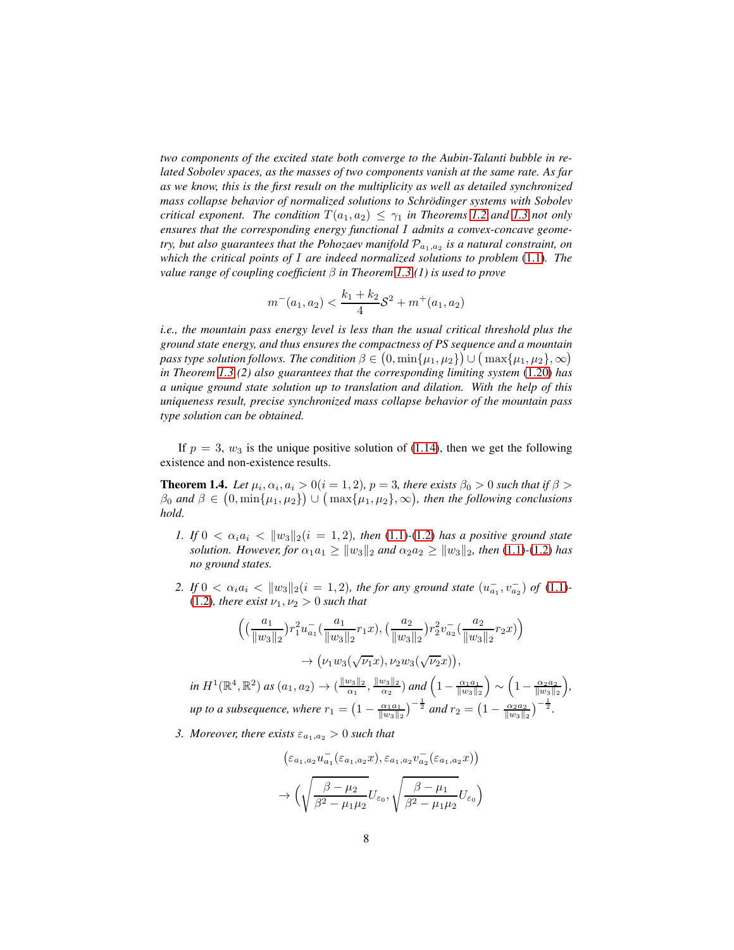*two components of the excited state both converge to the Aubin-Talanti bubble in related Sobolev spaces, as the masses of two components vanish at the same rate. As far as we know, this is the first result on the multiplicity as well as detailed synchronized mass collapse behavior of normalized solutions to Schrodinger systems with Sobolev ¨ critical exponent. The condition*  $T(a_1, a_2) \leq \gamma_1$  *in Theorems* [1.2](#page-5-0) *and* [1.3](#page-6-0) *not only ensures that the corresponding energy functional* I *admits a convex-concave geometry, but also guarantees that the Pohozaev manifold*  $\mathcal{P}_{a_1,a_2}$  *is a natural constraint, on which the critical points of* I *are indeed normalized solutions to problem* [\(1.1\)](#page-2-0)*. The value range of coupling coefficient* β *in Theorem [1.3](#page-6-0) (1) is used to prove*

$$
m^-(a_1, a_2) < \frac{k_1 + k_2}{4} \mathcal{S}^2 + m^+(a_1, a_2)
$$

*i.e., the mountain pass energy level is less than the usual critical threshold plus the ground state energy, and thus ensures the compactness of PS sequence and a mountain pass type solution follows. The condition*  $\beta \in (0, \min\{\mu_1, \mu_2\}) \cup (\max\{\mu_1, \mu_2\}, \infty)$ *in Theorem [1.3](#page-6-0) (2) also guarantees that the corresponding limiting system* [\(1.20\)](#page-6-1) *has a unique ground state solution up to translation and dilation. With the help of this uniqueness result, precise synchronized mass collapse behavior of the mountain pass type solution can be obtained.*

If  $p = 3$ ,  $w_3$  is the unique positive solution of [\(1.14\)](#page-5-1), then we get the following existence and non-existence results.

<span id="page-7-0"></span>**Theorem 1.4.** Let  $\mu_i, \alpha_i, a_i > 0$  $(i = 1, 2)$ ,  $p = 3$ , there exists  $\beta_0 > 0$  such that if  $\beta >$  $\beta_0$  and  $\beta \in (0, \min\{\mu_1, \mu_2\}) \cup (\max\{\mu_1, \mu_2\}, \infty)$ , then the following conclusions *hold.*

- *1.* If  $0 < \alpha_i a_i < ||w_3||_2 (i = 1, 2)$ , then [\(1.1\)](#page-2-0)-[\(1.2\)](#page-2-3) has a positive ground state *solution. However, for*  $\alpha_1 a_1 \geq ||w_3||_2$  *and*  $\alpha_2 a_2 \geq ||w_3||_2$ *, then* [\(1.1\)](#page-2-0)-[\(1.2\)](#page-2-3) *has no ground states.*
- 2. If  $0 < \alpha_i a_i < ||w_3||_2 (i = 1, 2)$ , the for any ground state  $(u_{a_1}^-, v_{a_2}^-)$  of [\(1.1\)](#page-2-0)-[\(1.2\)](#page-2-3)*, there exist*  $\nu_1, \nu_2 > 0$  *such that*

$$
\begin{split}\n&\left(\left(\frac{a_1}{\|w_3\|_2}\right)r_1^2u_{a_1}^-\left(\frac{a_1}{\|w_3\|_2}r_1x\right),\left(\frac{a_2}{\|w_3\|_2}\right)r_2^2v_{a_2}^-\left(\frac{a_2}{\|w_3\|_2}r_2x\right)\right) \\
&\to \left(\nu_1w_3(\sqrt{\nu_1}x),\nu_2w_3(\sqrt{\nu_2}x)\right), \\
&\text{in } H^1(\mathbb{R}^4, \mathbb{R}^2) \text{ as } (a_1, a_2) \to \left(\frac{\|w_3\|_2}{\alpha_1}, \frac{\|w_3\|_2}{\alpha_2}\right) \text{ and } \left(1 - \frac{\alpha_1a_1}{\|w_3\|_2}\right) \sim \left(1 - \frac{\alpha_2a_2}{\|w_3\|_2}\right), \\
&\text{up to a subsequence, where } r_1 = \left(1 - \frac{\alpha_1a_1}{\|w_3\|_2}\right)^{-\frac{1}{2}} \text{ and } r_2 = \left(1 - \frac{\alpha_2a_2}{\|w_3\|_2}\right)^{-\frac{1}{2}}.\n\end{split}
$$

*3. Moreover, there exists*  $\varepsilon_{a_1,a_2} > 0$  *such that* 

$$
\left(\varepsilon_{a_1,a_2}u_{a_1}^-(\varepsilon_{a_1,a_2}x), \varepsilon_{a_1,a_2}v_{a_2}^-(\varepsilon_{a_1,a_2}x)\right)
$$

$$
\to \left(\sqrt{\frac{\beta-\mu_2}{\beta^2-\mu_1\mu_2}}U_{\varepsilon_0}, \sqrt{\frac{\beta-\mu_1}{\beta^2-\mu_1\mu_2}}U_{\varepsilon_0}\right)
$$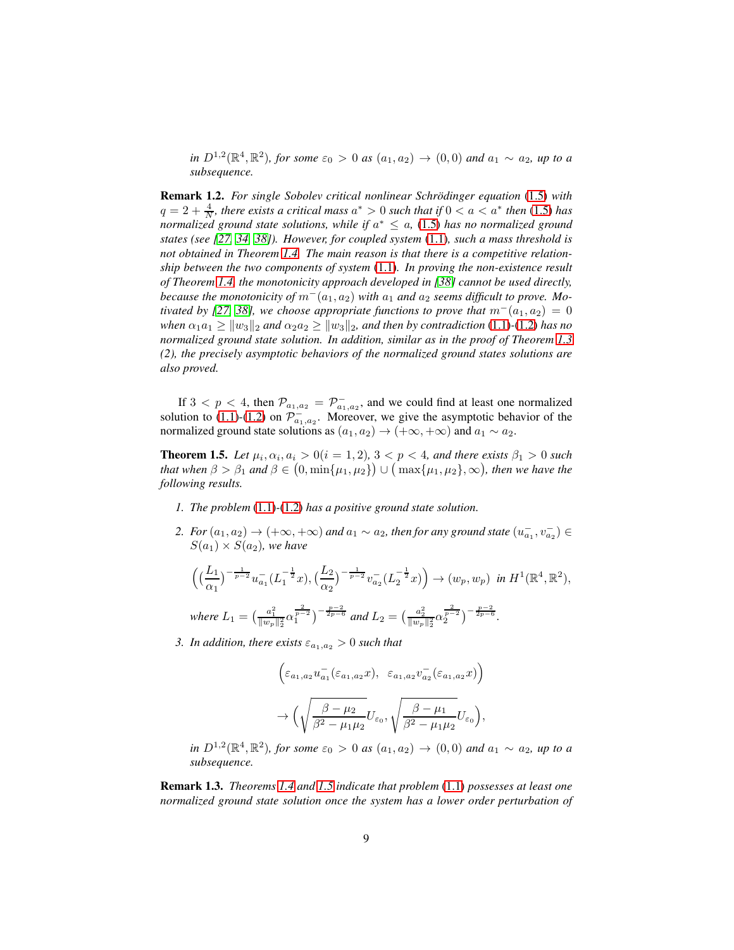*in*  $D^{1,2}(\mathbb{R}^4, \mathbb{R}^2)$ *, for some*  $\varepsilon_0 > 0$  *as*  $(a_1, a_2) \to (0, 0)$  *and*  $a_1 \sim a_2$ *, up to a subsequence.*

Remark 1.2. *For single Sobolev critical nonlinear Schrödinger equation* [\(1.5\)](#page-3-0) with  $q = 2 + \frac{4}{N}$ , there exists a critical mass  $a^* > 0$  such that if  $0 < a < a^*$  then [\(1.5\)](#page-3-0) has *normalized ground state solutions, while if* a <sup>∗</sup> ≤ a*,* [\(1.5\)](#page-3-0) *has no normalized ground states (see [\[27,](#page-56-10) [34,](#page-56-3) [38\]](#page-56-4)). However, for coupled system* [\(1.1\)](#page-2-0)*, such a mass threshold is not obtained in Theorem [1.4.](#page-7-0) The main reason is that there is a competitive relationship between the two components of system* [\(1.1\)](#page-2-0)*. In proving the non-existence result of Theorem [1.4,](#page-7-0) the monotonicity approach developed in [\[38\]](#page-56-4) cannot be used directly, because the monotonicity of*  $m^-(a_1, a_2)$  *with*  $a_1$  *and*  $a_2$  *seems difficult to prove. Mo-tivated by [\[27,](#page-56-10) [38\]](#page-56-4), we choose appropriate functions to prove that*  $m^-(a_1, a_2) = 0$ *when*  $\alpha_1 a_1 \ge ||w_3||_2$  *and*  $\alpha_2 a_2 \ge ||w_3||_2$ *, and then by contradiction* [\(1.1\)](#page-2-0)*-*[\(1.2\)](#page-2-3) *has no normalized ground state solution. In addition, similar as in the proof of Theorem [1.3](#page-6-0) (2), the precisely asymptotic behaviors of the normalized ground states solutions are also proved.*

If  $3 < p < 4$ , then  $\mathcal{P}_{a_1, a_2} = \mathcal{P}_{a_1, a_2}^-$ , and we could find at least one normalized solution to [\(1.1\)](#page-2-0)-[\(1.2\)](#page-2-3) on  $\mathcal{P}^-_{a_1,a_2}$ . Moreover, we give the asymptotic behavior of the normalized ground state solutions as  $(a_1, a_2) \rightarrow (+\infty, +\infty)$  and  $a_1 \sim a_2$ .

<span id="page-8-0"></span>**Theorem 1.5.** Let  $\mu_i, \alpha_i, a_i > 0$  ( $i = 1, 2$ ),  $3 < p < 4$ , and there exists  $\beta_1 > 0$  such *that when*  $\beta > \beta_1$  *and*  $\beta \in (0, \min\{\mu_1, \mu_2\}) \cup (\max\{\mu_1, \mu_2\}, \infty)$ *, then we have the following results.*

- *1. The problem* [\(1.1\)](#page-2-0)*-*[\(1.2\)](#page-2-3) *has a positive ground state solution.*
- 2. For  $(a_1, a_2)$  →  $(+\infty, +\infty)$  and  $a_1 \sim a_2$ , then for any ground state  $(u_{a_1}^-, v_{a_2}^-)$  ∈  $S(a_1) \times S(a_2)$ , we have

$$
\left( \left( \frac{L_1}{\alpha_1} \right)^{-\frac{1}{p-2}} u_{a_1}^{-} (L_1^{-\frac{1}{2}} x), \left( \frac{L_2}{\alpha_2} \right)^{-\frac{1}{p-2}} v_{a_2}^{-} (L_2^{-\frac{1}{2}} x) \right) \to (w_p, w_p) \text{ in } H^1(\mathbb{R}^4, \mathbb{R}^2),
$$
  
where  $L_1 = \left( \frac{a_1^2}{\|w_p\|_2^2} \alpha_1^{\frac{2}{p-2}} \right)^{-\frac{p-2}{2p-6}}$  and  $L_2 = \left( \frac{a_2^2}{\|w_p\|_2^2} \alpha_2^{\frac{2}{p-2}} \right)^{-\frac{p-2}{2p-6}}.$ 

*3. In addition, there exists*  $\varepsilon_{a_1,a_2} > 0$  *such that* 

$$
\begin{aligned} &\left(\varepsilon_{a_1,a_2}u^-_{a_1}(\varepsilon_{a_1,a_2}x),~~\varepsilon_{a_1,a_2}v^-_{a_2}(\varepsilon_{a_1,a_2}x)\right)\\ &\to \Big(\sqrt{\frac{\beta-\mu_2}{\beta^2-\mu_1\mu_2}}U_{\varepsilon_0},\sqrt{\frac{\beta-\mu_1}{\beta^2-\mu_1\mu_2}}U_{\varepsilon_0}\Big), \end{aligned}
$$

*in*  $D^{1,2}(\mathbb{R}^4, \mathbb{R}^2)$ *, for some*  $\varepsilon_0 > 0$  *as*  $(a_1, a_2) \to (0, 0)$  *and*  $a_1 \sim a_2$ *, up to a subsequence.*

Remark 1.3. *Theorems [1.4](#page-7-0) and [1.5](#page-8-0) indicate that problem* [\(1.1\)](#page-2-0) *possesses at least one normalized ground state solution once the system has a lower order perturbation of*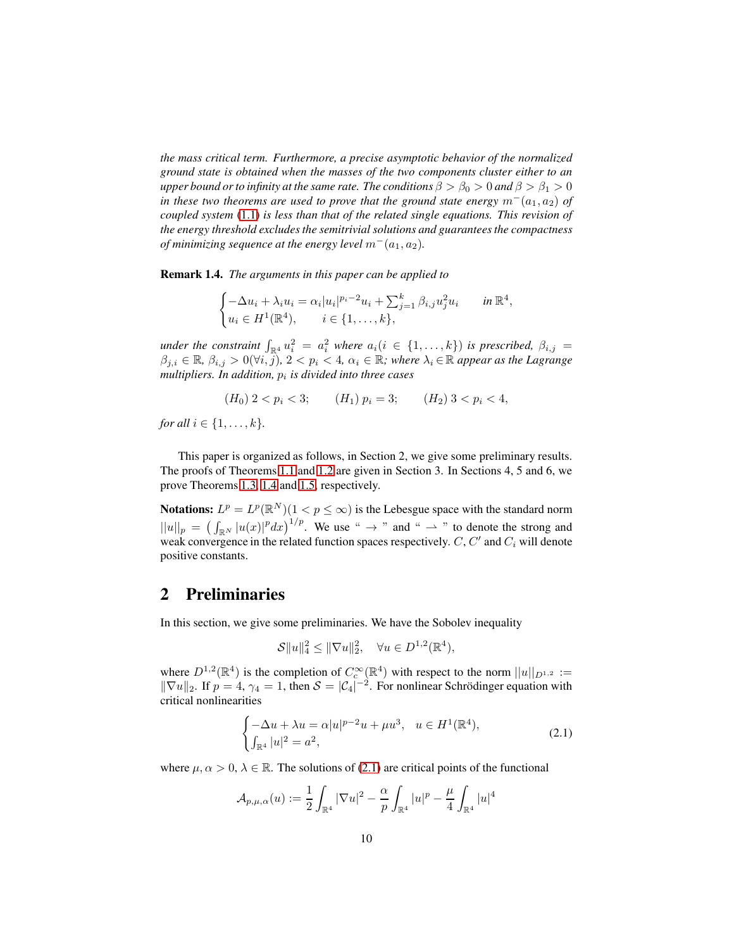*the mass critical term. Furthermore, a precise asymptotic behavior of the normalized ground state is obtained when the masses of the two components cluster either to an upper bound or to infinity at the same rate. The conditions*  $\beta > \beta_0 > 0$  *and*  $\beta > \beta_1 > 0$ *in these two theorems are used to prove that the ground state energy*  $m^-(a_1, a_2)$  *of coupled system* [\(1.1\)](#page-2-0) *is less than that of the related single equations. This revision of the energy threshold excludes the semitrivial solutions and guarantees the compactness of minimizing sequence at the energy level*  $m^-(a_1, a_2)$ *.* 

Remark 1.4. *The arguments in this paper can be applied to*

$$
\begin{cases}\n-\Delta u_i + \lambda_i u_i = \alpha_i |u_i|^{p_i - 2} u_i + \sum_{j=1}^k \beta_{i,j} u_j^2 u_i & \text{in } \mathbb{R}^4, \\
u_i \in H^1(\mathbb{R}^4), \quad i \in \{1, \dots, k\},\n\end{cases}
$$

*under the constraint*  $\int_{\mathbb{R}^4} u_i^2 = a_i^2$  *where*  $a_i (i \in \{1, ..., k\})$  *is prescribed,*  $\beta_{i,j} =$  $\beta_{j,i} \in \mathbb{R}, \beta_{i,j} > 0$  $(\forall i, j), 2 < p_i < 4, \alpha_i \in \mathbb{R}$ ; where  $\lambda_i \in \mathbb{R}$  appear as the Lagrange *multipliers. In addition,* p<sup>i</sup> *is divided into three cases*

$$
(H_0) \ 2 < p_i < 3; \qquad (H_1) \ p_i = 3; \qquad (H_2) \ 3 < p_i < 4,
$$

*for all*  $i \in \{1, ..., k\}$ *.* 

This paper is organized as follows, in Section 2, we give some preliminary results. The proofs of Theorems [1.1](#page-3-1) and [1.2](#page-5-0) are given in Section 3. In Sections 4, 5 and 6, we prove Theorems [1.3,](#page-6-0) [1.4](#page-7-0) and [1.5,](#page-8-0) respectively.

**Notations:**  $L^p = L^p(\mathbb{R}^N)(1 \leq p \leq \infty)$  is the Lebesgue space with the standard norm  $||u||_p = \left(\int_{\mathbb{R}^N} |u(x)|^p dx\right)^{1/p}$ . We use "  $\rightarrow$  " and "  $\rightarrow$  " to denote the strong and weak convergence in the related function spaces respectively.  $C, C'$  and  $C_i$  will denote positive constants.

### 2 Preliminaries

In this section, we give some preliminaries. We have the Sobolev inequality

$$
S||u||_4^2 \le ||\nabla u||_2^2, \quad \forall u \in D^{1,2}(\mathbb{R}^4),
$$

where  $D^{1,2}(\mathbb{R}^4)$  is the completion of  $C_c^{\infty}(\mathbb{R}^4)$  with respect to the norm  $||u||_{D^{1,2}} :=$  $\|\nabla u\|_2$ . If  $p = 4$ ,  $\gamma_4 = 1$ , then  $S = |\mathcal{C}_4|^{-2}$ . For nonlinear Schrödinger equation with critical nonlinearities

<span id="page-9-0"></span>
$$
\begin{cases}\n-\Delta u + \lambda u = \alpha |u|^{p-2}u + \mu u^3, & u \in H^1(\mathbb{R}^4), \\
\int_{\mathbb{R}^4} |u|^2 = a^2,\n\end{cases}
$$
\n(2.1)

where  $\mu, \alpha > 0, \lambda \in \mathbb{R}$ . The solutions of [\(2.1\)](#page-9-0) are critical points of the functional

$$
\mathcal{A}_{p,\mu,\alpha}(u) := \frac{1}{2} \int_{\mathbb{R}^4} |\nabla u|^2 - \frac{\alpha}{p} \int_{\mathbb{R}^4} |u|^p - \frac{\mu}{4} \int_{\mathbb{R}^4} |u|^4
$$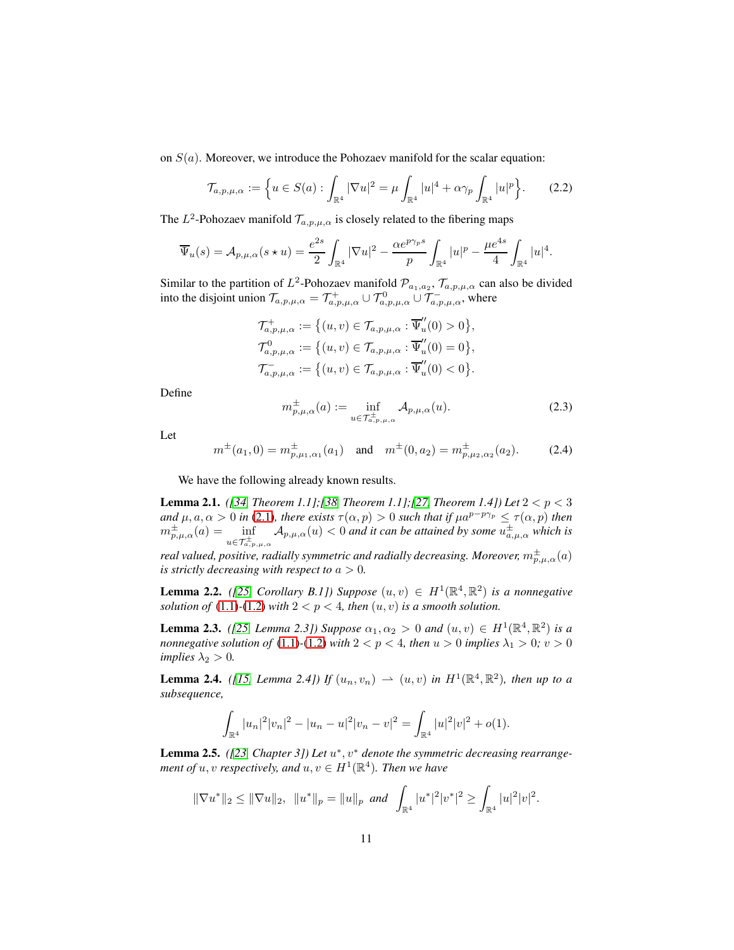on  $S(a)$ . Moreover, we introduce the Pohozaev manifold for the scalar equation:

$$
\mathcal{T}_{a,p,\mu,\alpha} := \left\{ u \in S(a) : \int_{\mathbb{R}^4} |\nabla u|^2 = \mu \int_{\mathbb{R}^4} |u|^4 + \alpha \gamma_p \int_{\mathbb{R}^4} |u|^p \right\}.
$$
 (2.2)

The  $L^2$ -Pohozaev manifold  $\mathcal{T}_{a,p,\mu,\alpha}$  is closely related to the fibering maps

$$
\overline{\Psi}_u(s) = A_{p,\mu,\alpha}(s \star u) = \frac{e^{2s}}{2} \int_{\mathbb{R}^4} |\nabla u|^2 - \frac{\alpha e^{p\gamma_p s}}{p} \int_{\mathbb{R}^4} |u|^p - \frac{\mu e^{4s}}{4} \int_{\mathbb{R}^4} |u|^4.
$$

Similar to the partition of  $L^2$ -Pohozaev manifold  $\mathcal{P}_{a_1,a_2}$ ,  $\mathcal{T}_{a,p,\mu,\alpha}$  can also be divided into the disjoint union  $\mathcal{T}_{a,p,\mu,\alpha} = \mathcal{T}_{a,p,\mu,\alpha}^+ \cup \mathcal{T}_{a,p,\mu,\alpha}^0 \cup \mathcal{T}_{a,p,\mu,\alpha}^-$ , where

$$
\mathcal{T}_{a,p,\mu,\alpha}^{+} := \big\{ (u,v) \in \mathcal{T}_{a,p,\mu,\alpha} : \overline{\Psi}_{u}^{\prime\prime}(0) > 0 \big\},
$$
  

$$
\mathcal{T}_{a,p,\mu,\alpha}^{0} := \big\{ (u,v) \in \mathcal{T}_{a,p,\mu,\alpha} : \overline{\Psi}_{u}^{\prime\prime}(0) = 0 \big\},
$$
  

$$
\mathcal{T}_{a,p,\mu,\alpha}^{-} := \big\{ (u,v) \in \mathcal{T}_{a,p,\mu,\alpha} : \overline{\Psi}_{u}^{\prime\prime}(0) < 0 \big\}.
$$

Define

$$
m_{p,\mu,\alpha}^{\pm}(a) := \inf_{u \in \mathcal{T}_{a,p,\mu,\alpha}^{\pm}} \mathcal{A}_{p,\mu,\alpha}(u). \tag{2.3}
$$

Let

<span id="page-10-1"></span>
$$
m^{\pm}(a_1, 0) = m^{\pm}_{p, \mu_1, \alpha_1}(a_1)
$$
 and  $m^{\pm}(0, a_2) = m^{\pm}_{p, \mu_2, \alpha_2}(a_2)$ . (2.4)

We have the following already known results.

<span id="page-10-2"></span>**Lemma 2.1.** *([\[34,](#page-56-3) Theorem 1.1];[\[38,](#page-56-4) Theorem 1.1];[\[27,](#page-56-10) Theorem 1.4]) Let*  $2 < p < 3$ *and*  $\mu$ ,  $a, \alpha > 0$  *in* [\(2.1\)](#page-9-0)*, there exists*  $\tau(\alpha, p) > 0$  *such that if*  $\mu a^{p-p\gamma_p} \leq \tau(\alpha, p)$  *then*  $m^{\pm}_{p,\mu,\alpha}(a) = \inf_{u \in \mathcal{T}^{\pm}_{a,p,\mu,\alpha}} \mathcal{A}_{p,\mu,\alpha}(u) < 0$  and it can be attained by some  $u^{\pm}_{a,\mu,\alpha}$  which is real valued, positive, radially symmetric and radially decreasing. Moreover,  $m^{\pm}_{p,\mu,\alpha}(a)$ 

*is strictly decreasing with respect to*  $a > 0$ *.* 

<span id="page-10-0"></span>**Lemma 2.2.** *([\[25,](#page-56-1) Corollary B.1])* Suppose  $(u, v) \in H^1(\mathbb{R}^4, \mathbb{R}^2)$  *is a nonnegative solution of* [\(1.1\)](#page-2-0)-[\(1.2\)](#page-2-3) *with*  $2 < p < 4$ *, then*  $(u, v)$  *is a smooth solution.* 

<span id="page-10-4"></span>**Lemma 2.3.** *([\[25,](#page-56-1) Lemma 2.3])* Suppose  $\alpha_1, \alpha_2 > 0$  and  $(u, v) \in H^1(\mathbb{R}^4, \mathbb{R}^2)$  is a *nonnegative solution of* [\(1.1\)](#page-2-0)-[\(1.2\)](#page-2-3) *with*  $2 < p < 4$ *, then*  $u > 0$  *implies*  $\lambda_1 > 0$ *;*  $v > 0$ *implies*  $\lambda_2 > 0$ *.* 

**Lemma 2.4.** *([\[15,](#page-55-3) Lemma 2.4]) If*  $(u_n, v_n) \rightharpoonup (u, v)$  *in*  $H^1(\mathbb{R}^4, \mathbb{R}^2)$ *, then up to a subsequence,*

$$
\int_{\mathbb{R}^4} |u_n|^2 |v_n|^2 - |u_n - u|^2 |v_n - v|^2 = \int_{\mathbb{R}^4} |u|^2 |v|^2 + o(1).
$$

<span id="page-10-3"></span>Lemma 2.5. ([\[23,](#page-55-7) Chapter 3]) Let  $u^*$ ,  $v^*$  denote the symmetric decreasing rearrange*ment of*  $u, v$  *respectively, and*  $u, v \in H^1(\mathbb{R}^4)$ *. Then we have* 

$$
\|\nabla u^*\|_2 \le \|\nabla u\|_2, \ \ \|u^*\|_p = \|u\|_p \ \text{and} \ \int_{\mathbb{R}^4} |u^*|^2 |v^*|^2 \ge \int_{\mathbb{R}^4} |u|^2 |v|^2.
$$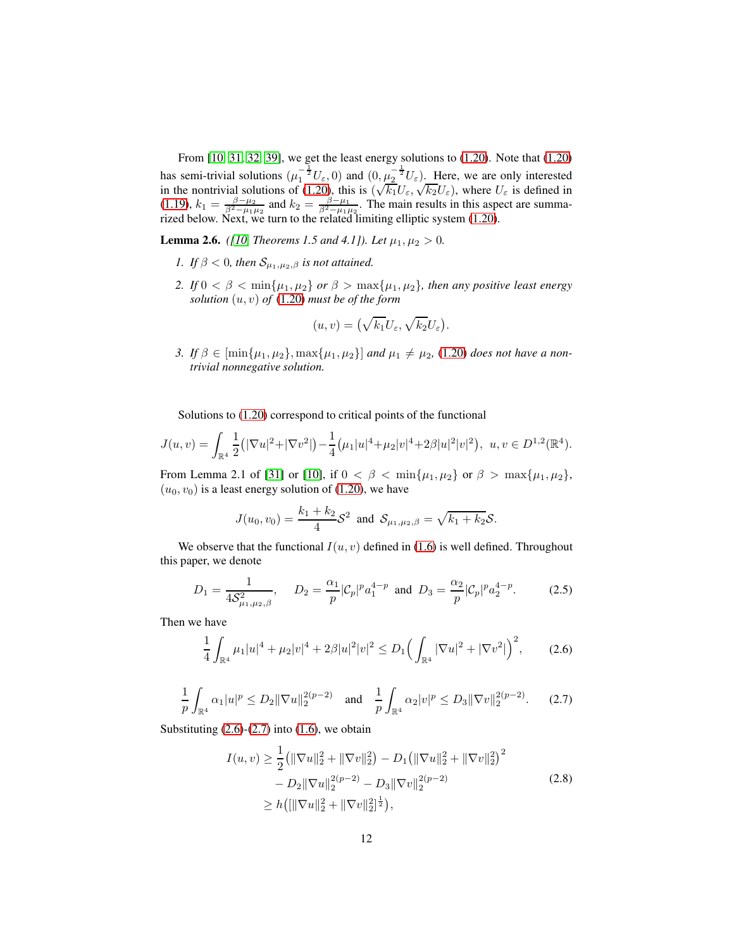From [\[10,](#page-55-5) [31,](#page-56-6) [32,](#page-56-7) [39\]](#page-57-2), we get the least energy solutions to [\(1.20\)](#page-6-1). Note that [\(1.20\)](#page-6-1) has semi-trivial solutions  $(\mu_1^{-\frac{1}{2}}U_{\varepsilon},0)$  and  $(0,\mu_2^{-\frac{1}{2}}U_{\varepsilon})$ . Here, we are only interested in the nontrivial solutions of [\(1.20\)](#page-6-1), this is  $(\sqrt{k_1}U_{\varepsilon}, \sqrt{k_2}U_{\varepsilon})$ , where  $U_{\varepsilon}$  is defined in [\(1.19\)](#page-6-2),  $k_1 = \frac{\beta - \mu_2}{\beta^2 - \mu_1 \mu_2}$  and  $k_2 = \frac{\beta - \mu_1}{\beta^2 - \mu_1 \mu_2}$ . The main results in this aspect are summarized below. Next, we turn to the related limiting elliptic system [\(1.20\)](#page-6-1).

<span id="page-11-0"></span>**Lemma 2.6.** *([\[10,](#page-55-5) Theorems 1.5 and 4.1]). Let*  $\mu_1, \mu_2 > 0$ .

- *1. If*  $\beta$  < 0*, then*  $S_{\mu_1,\mu_2,\beta}$  *is not attained.*
- *2. If*  $0 < \beta < \min\{\mu_1, \mu_2\}$  *or*  $\beta > \max\{\mu_1, \mu_2\}$ *, then any positive least energy solution* (u, v) *of* [\(1.20\)](#page-6-1) *must be of the form*

$$
(u,v) = \left(\sqrt{k_1}U_{\varepsilon}, \sqrt{k_2}U_{\varepsilon}\right).
$$

*3. If*  $\beta$  ∈ [min{ $\mu_1, \mu_2$ }, max{ $\mu_1, \mu_2$ }] *and*  $\mu_1 ≠ \mu_2$ , [\(1.20\)](#page-6-1) *does not have a nontrivial nonnegative solution.*

Solutions to [\(1.20\)](#page-6-1) correspond to critical points of the functional

$$
J(u,v) = \int_{\mathbb{R}^4} \frac{1}{2} (|\nabla u|^2 + |\nabla v^2|) - \frac{1}{4} (\mu_1 |u|^4 + \mu_2 |v|^4 + 2\beta |u|^2 |v|^2), \ u, v \in D^{1,2}(\mathbb{R}^4).
$$

From Lemma 2.1 of [\[31\]](#page-56-6) or [\[10\]](#page-55-5), if  $0 < \beta < \min\{\mu_1, \mu_2\}$  or  $\beta > \max\{\mu_1, \mu_2\}$ ,  $(u_0, v_0)$  is a least energy solution of [\(1.20\)](#page-6-1), we have

$$
J(u_0, v_0) = \frac{k_1 + k_2}{4} S^2 \text{ and } S_{\mu_1, \mu_2, \beta} = \sqrt{k_1 + k_2} S.
$$

We observe that the functional  $I(u, v)$  defined in [\(1.6\)](#page-3-2) is well defined. Throughout this paper, we denote

$$
D_1 = \frac{1}{4S_{\mu_1,\mu_2,\beta}^2}, \quad D_2 = \frac{\alpha_1}{p} |\mathcal{C}_p|^p a_1^{4-p} \text{ and } D_3 = \frac{\alpha_2}{p} |\mathcal{C}_p|^p a_2^{4-p}.
$$
 (2.5)

Then we have

<span id="page-11-1"></span>
$$
\frac{1}{4} \int_{\mathbb{R}^4} \mu_1 |u|^4 + \mu_2 |v|^4 + 2\beta |u|^2 |v|^2 \le D_1 \Big( \int_{\mathbb{R}^4} |\nabla u|^2 + |\nabla v^2| \Big)^2, \qquad (2.6)
$$

<span id="page-11-2"></span>
$$
\frac{1}{p} \int_{\mathbb{R}^4} \alpha_1 |u|^p \le D_2 \|\nabla u\|_2^{2(p-2)} \quad \text{and} \quad \frac{1}{p} \int_{\mathbb{R}^4} \alpha_2 |v|^p \le D_3 \|\nabla v\|_2^{2(p-2)}.
$$
 (2.7)

Substituting  $(2.6)-(2.7)$  $(2.6)-(2.7)$  $(2.6)-(2.7)$  into  $(1.6)$ , we obtain

<span id="page-11-3"></span>
$$
I(u, v) \ge \frac{1}{2} \left( \|\nabla u\|_2^2 + \|\nabla v\|_2^2 \right) - D_1 \left( \|\nabla u\|_2^2 + \|\nabla v\|_2^2 \right)^2
$$
  

$$
- D_2 \|\nabla u\|_2^{2(p-2)} - D_3 \|\nabla v\|_2^{2(p-2)}
$$
  

$$
\ge h \left( \|\nabla u\|_2^2 + \|\nabla v\|_2^2 \right)^{\frac{1}{2}} \right),
$$
 (2.8)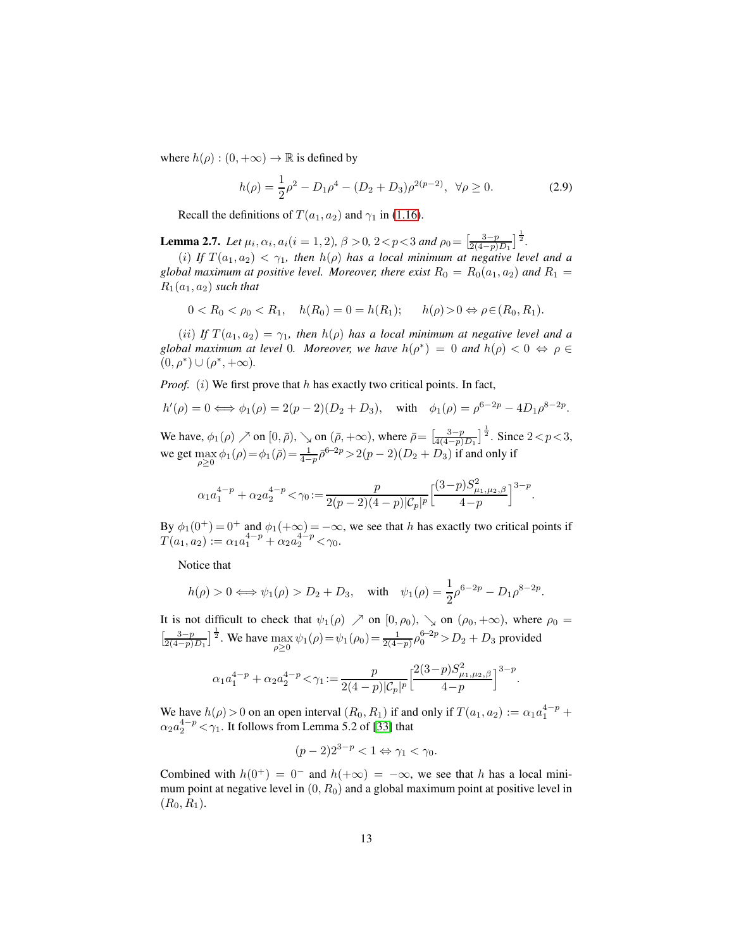where  $h(\rho) : (0, +\infty) \to \mathbb{R}$  is defined by

<span id="page-12-1"></span>
$$
h(\rho) = \frac{1}{2}\rho^2 - D_1\rho^4 - (D_2 + D_3)\rho^{2(p-2)}, \ \forall \rho \ge 0.
$$
 (2.9)

Recall the definitions of  $T(a_1, a_2)$  and  $\gamma_1$  in [\(1.16\)](#page-5-2).

<span id="page-12-0"></span>**Lemma 2.7.** *Let*  $\mu_i$ ,  $\alpha_i$ ,  $a_i$ ( $i = 1, 2$ ),  $\beta > 0$ ,  $2 < p < 3$  and  $\rho_0 = \left[\frac{3-p}{2(4-p)D_1}\right]^{\frac{1}{2}}$ .

(i) If  $T(a_1, a_2) < \gamma_1$ , then  $h(\rho)$  has a local minimum at negative level and a *global maximum at positive level. Moreover, there exist*  $R_0 = R_0(a_1, a_2)$  *and*  $R_1 =$  $R_1(a_1, a_2)$  *such that* 

 $0 < R_0 < \rho_0 < R_1$ ,  $h(R_0) = 0 = h(R_1)$ ;  $h(\rho) > 0 \Leftrightarrow \rho \in (R_0, R_1)$ .

(*ii*) *If*  $T(a_1, a_2) = \gamma_1$ , then  $h(\rho)$  has a local minimum at negative level and a global maximum at level 0. Moreover, we have  $h(\rho^*) = 0$  and  $h(\rho) < 0 \Leftrightarrow \rho \in$  $(0, \rho^*) \cup (\rho^*, +\infty).$ 

*Proof.* (i) We first prove that  $h$  has exactly two critical points. In fact,

$$
h'(\rho) = 0 \iff \phi_1(\rho) = 2(p-2)(D_2 + D_3)
$$
, with  $\phi_1(\rho) = \rho^{6-2p} - 4D_1\rho^{8-2p}$ .

We have,  $\phi_1(\rho) \nearrow$  on  $[0, \bar{\rho}), \searrow$  on  $(\bar{\rho}, +\infty)$ , where  $\bar{\rho} = \left[\frac{3-p}{4(4-p)D_1}\right]^{\frac{1}{2}}$ . Since  $2 < p < 3$ , we get  $\max_{\rho \ge 0} \phi_1(\rho) = \phi_1(\bar{\rho}) = \frac{1}{4-p} \bar{\rho}^{6-2p} > 2(p-2)(D_2 + D_3)$  if and only if

$$
\alpha_1 a_1^{4-p} + \alpha_2 a_2^{4-p} < \gamma_0 := \frac{p}{2(p-2)(4-p)|\mathcal{C}_p|^p} \Big[\frac{(3-p)S_{\mu_1,\mu_2,\beta}^2}{4-p}\Big]^{3-p}.
$$

By  $\phi_1(0^+) = 0^+$  and  $\phi_1(+\infty) = -\infty$ , we see that h has exactly two critical points if  $T(a_1, a_2) := \alpha_1 a_1^{4-p} + \alpha_2 a_2^{4-p} < \gamma_0.$ 

Notice that

$$
h(\rho) > 0 \iff \psi_1(\rho) > D_2 + D_3
$$
, with  $\psi_1(\rho) = \frac{1}{2}\rho^{6-2p} - D_1\rho^{8-2p}$ .

It is not difficult to check that  $\psi_1(\rho) \nearrow$  on  $[0, \rho_0)$ ,  $\searrow$  on  $(\rho_0, +\infty)$ , where  $\rho_0 =$  $\left[\frac{3-p}{2(4-p)D_1}\right]^{\frac{1}{2}}$ . We have  $\max_{\rho \ge 0} \psi_1(\rho) = \psi_1(\rho_0) = \frac{1}{2(4-p)} \rho_0^{6-2p} > D_2 + D_3$  provided

$$
\alpha_1 a_1^{4-p} + \alpha_2 a_2^{4-p} < \gamma_1 := \frac{p}{2(4-p)|\mathcal{C}_p|^p} \Big[\frac{2(3-p)S_{\mu_1,\mu_2,\beta}^2}{4-p}\Big]^{3-p}
$$

.

We have  $h(\rho) > 0$  on an open interval  $(R_0, R_1)$  if and only if  $T(a_1, a_2) := \alpha_1 a_1^{4-p} +$  $\alpha_2 a_2^{4-p} < \gamma_1$ . It follows from Lemma 5.2 of [\[33\]](#page-56-11) that

$$
(p-2)2^{3-p} < 1 \Leftrightarrow \gamma_1 < \gamma_0.
$$

Combined with  $h(0^+) = 0^-$  and  $h(+\infty) = -\infty$ , we see that h has a local minimum point at negative level in  $(0, R_0)$  and a global maximum point at positive level in  $(R_0, R_1).$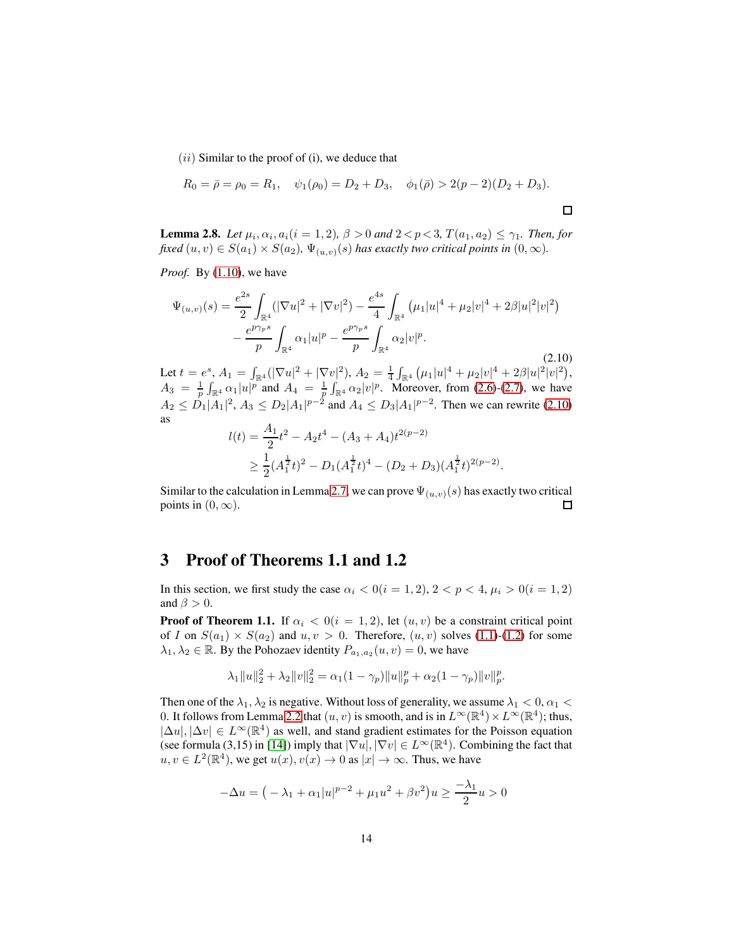$(ii)$  Similar to the proof of  $(i)$ , we deduce that

$$
R_0 = \bar{\rho} = \rho_0 = R_1, \quad \psi_1(\rho_0) = D_2 + D_3, \quad \phi_1(\bar{\rho}) > 2(p-2)(D_2 + D_3).
$$

<span id="page-13-1"></span>**Lemma 2.8.** *Let*  $\mu_i$ ,  $\alpha_i$ ,  $a_i$ ( $i = 1, 2$ ),  $\beta > 0$  *and*  $2 < p < 3$ ,  $T(a_1, a_2) \le \gamma_1$ . *Then, for fixed*  $(u, v) \in S(a_1) \times S(a_2)$ ,  $\Psi_{(u, v)}(s)$  *has exactly two critical points in*  $(0, \infty)$ *.* 

*Proof.* By [\(1.10\)](#page-4-1), we have

<span id="page-13-0"></span>
$$
\Psi_{(u,v)}(s) = \frac{e^{2s}}{2} \int_{\mathbb{R}^4} (|\nabla u|^2 + |\nabla v|^2) - \frac{e^{4s}}{4} \int_{\mathbb{R}^4} (\mu_1 |u|^4 + \mu_2 |v|^4 + 2\beta |u|^2 |v|^2) - \frac{e^{p\gamma_p s}}{p} \int_{\mathbb{R}^4} \alpha_1 |u|^p - \frac{e^{p\gamma_p s}}{p} \int_{\mathbb{R}^4} \alpha_2 |v|^p.
$$
\n(2.10)

Let  $t = e^s$ ,  $A_1 = \int_{\mathbb{R}^4} (|\nabla u|^2 + |\nabla v|^2)$ ,  $A_2 = \frac{1}{4} \int_{\mathbb{R}^4} (\mu_1 |u|^4 + \mu_2 |v|^4 + 2\beta |u|^2 |v|^2)$ ,  $A_3 = \frac{1}{p} \int_{\mathbb{R}^4} \alpha_1 |u|^p$  and  $A_4 = \frac{1}{p} \int_{\mathbb{R}^4} \alpha_2 |v|^p$ . Moreover, from [\(2.6\)](#page-11-1)-[\(2.7\)](#page-11-2), we have  $A_2 \leq D_1 |A_1|^2$ ,  $A_3 \leq D_2 |A_1|^{p-2}$  and  $A_4 \leq D_3 |A_1|^{p-2}$ . Then we can rewrite [\(2.10\)](#page-13-0) as

$$
l(t) = \frac{A_1}{2}t^2 - A_2t^4 - (A_3 + A_4)t^{2(p-2)}
$$
  
 
$$
\geq \frac{1}{2}(A_1^{\frac{1}{2}}t)^2 - D_1(A_1^{\frac{1}{2}}t)^4 - (D_2 + D_3)(A_1^{\frac{1}{2}}t)^{2(p-2)}.
$$

Similar to the calculation in Lemma [2.7,](#page-12-0) we can prove  $\Psi_{(u,v)}(s)$  has exactly two critical points in  $(0, \infty)$ .  $\Box$ 

#### 3 Proof of Theorems 1.1 and 1.2

In this section, we first study the case  $\alpha_i < 0 (i = 1, 2), 2 < p < 4, \mu_i > 0 (i = 1, 2)$ and  $\beta > 0$ .

**Proof of Theorem 1.1.** If  $\alpha_i < 0$  (i = 1, 2), let  $(u, v)$  be a constraint critical point of I on  $S(a_1) \times S(a_2)$  and  $u, v > 0$ . Therefore,  $(u, v)$  solves [\(1.1\)](#page-2-0)-[\(1.2\)](#page-2-3) for some  $\lambda_1, \lambda_2 \in \mathbb{R}$ . By the Pohozaev identity  $P_{a_1, a_2}(u, v) = 0$ , we have

$$
\lambda_1 \|u\|_2^2 + \lambda_2 \|v\|_2^2 = \alpha_1 (1 - \gamma_p) \|u\|_p^p + \alpha_2 (1 - \gamma_p) \|v\|_p^p.
$$

Then one of the  $\lambda_1, \lambda_2$  is negative. Without loss of generality, we assume  $\lambda_1 < 0, \alpha_1 <$ 0. It follows from Lemma [2.2](#page-10-0) that  $(u, v)$  is smooth, and is in  $L^{\infty}(\mathbb{R}^4) \times L^{\infty}(\mathbb{R}^4)$ ; thus,  $|\Delta u|, |\Delta v| \in L^{\infty}(\mathbb{R}^4)$  as well, and stand gradient estimates for the Poisson equation (see formula (3,15) in [\[14\]](#page-55-8)) imply that  $|\nabla u|, |\nabla v| \in L^{\infty}(\mathbb{R}^{4})$ . Combining the fact that  $u, v \in L^2(\mathbb{R}^4)$ , we get  $u(x), v(x) \to 0$  as  $|x| \to \infty$ . Thus, we have

$$
-\Delta u = ( -\lambda_1 + \alpha_1 |u|^{p-2} + \mu_1 u^2 + \beta v^2 ) u \ge \frac{-\lambda_1}{2} u > 0
$$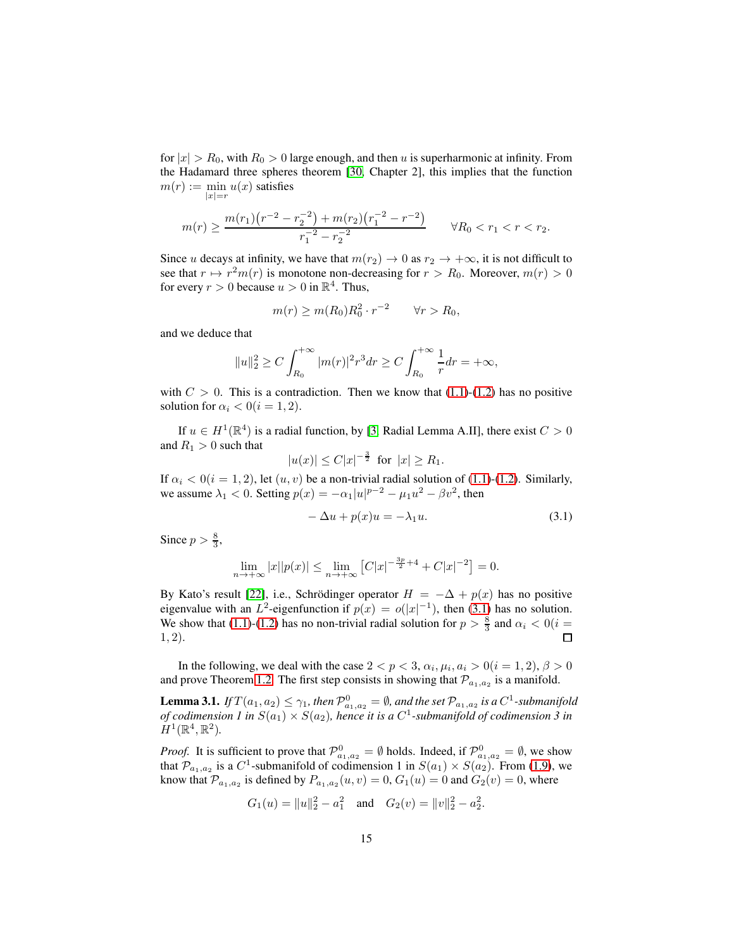for  $|x| > R_0$ , with  $R_0 > 0$  large enough, and then u is superharmonic at infinity. From the Hadamard three spheres theorem [\[30,](#page-56-12) Chapter 2], this implies that the function  $m(r) := \min u(x)$  satisfies  $|x|=r$ 

$$
m(r) \ge \frac{m(r_1)(r^{-2} - r_2^{-2}) + m(r_2)(r_1^{-2} - r^{-2})}{r_1^{-2} - r_2^{-2}} \qquad \forall R_0 < r_1 < r < r_2.
$$

Since u decays at infinity, we have that  $m(r_2) \rightarrow 0$  as  $r_2 \rightarrow +\infty$ , it is not difficult to see that  $r \mapsto r^2m(r)$  is monotone non-decreasing for  $r > R_0$ . Moreover,  $m(r) > 0$ for every  $r > 0$  because  $u > 0$  in  $\mathbb{R}^4$ . Thus,

$$
m(r) \ge m(R_0)R_0^2 \cdot r^{-2} \qquad \forall r > R_0,
$$

and we deduce that

$$
||u||_2^2 \ge C \int_{R_0}^{+\infty} |m(r)|^2 r^3 dr \ge C \int_{R_0}^{+\infty} \frac{1}{r} dr = +\infty,
$$

with  $C > 0$ . This is a contradiction. Then we know that [\(1.1\)](#page-2-0)-[\(1.2\)](#page-2-3) has no positive solution for  $\alpha_i < 0 (i = 1, 2)$ .

If  $u \in H^1(\mathbb{R}^4)$  is a radial function, by [\[3,](#page-54-6) Radial Lemma A.II], there exist  $C > 0$ and  $R_1 > 0$  such that

$$
|u(x)| \leq C|x|^{-\frac{3}{2}}
$$
 for  $|x| \geq R_1$ .

If  $\alpha_i < 0$  (i = 1, 2), let  $(u, v)$  be a non-trivial radial solution of [\(1.1\)](#page-2-0)-[\(1.2\)](#page-2-3). Similarly, we assume  $\lambda_1 < 0$ . Setting  $p(x) = -\alpha_1 |u|^{p-2} - \mu_1 u^2 - \beta v^2$ , then

<span id="page-14-0"></span>
$$
-\Delta u + p(x)u = -\lambda_1 u.
$$
\n(3.1)

Since  $p > \frac{8}{3}$ ,

$$
\lim_{n \to +\infty} |x||p(x)| \le \lim_{n \to +\infty} [C|x|^{-\frac{3p}{2}+4} + C|x|^{-2}] = 0.
$$

By Kato's result [\[22\]](#page-55-9), i.e., Schrödinger operator  $H = -\Delta + p(x)$  has no positive eigenvalue with an  $L^2$ -eigenfunction if  $p(x) = o(|x|^{-1})$ , then [\(3.1\)](#page-14-0) has no solution. We show that [\(1.1\)](#page-2-0)-[\(1.2\)](#page-2-3) has no non-trivial radial solution for  $p > \frac{8}{3}$  and  $\alpha_i < 0$  (i = 1, 2).  $\Box$ 

In the following, we deal with the case  $2 < p < 3$ ,  $\alpha_i, \mu_i, a_i > 0 (i = 1, 2), \beta > 0$ and prove Theorem [1.2.](#page-5-0) The first step consists in showing that  $\mathcal{P}_{a_1,a_2}$  is a manifold.

<span id="page-14-1"></span>**Lemma 3.1.** *If*  $T(a_1, a_2) \leq \gamma_1$ , then  $\mathcal{P}^0_{a_1, a_2} = \emptyset$ , and the set  $\mathcal{P}_{a_1, a_2}$  is a  $C^1$ -submanifold of codimension 1 in  $S(a_1) \times S(a_2)$ , hence it is a  $C^1$ -submanifold of codimension 3 in  $H^1(\mathbb{R}^4, \mathbb{R}^2)$ .

*Proof.* It is sufficient to prove that  $\mathcal{P}^0_{a_1, a_2} = \emptyset$  holds. Indeed, if  $\mathcal{P}^0_{a_1, a_2} = \emptyset$ , we show that  $\mathcal{P}_{a_1,a_2}$  is a  $C^1$ -submanifold of codimension 1 in  $S(a_1) \times S(a_2)$ . From [\(1.9\)](#page-4-2), we know that  $\mathcal{P}_{a_1,a_2}$  is defined by  $P_{a_1,a_2}(u,v) = 0$ ,  $G_1(u) = 0$  and  $G_2(v) = 0$ , where

$$
G_1(u) = ||u||_2^2 - a_1^2
$$
 and  $G_2(v) = ||v||_2^2 - a_2^2$ .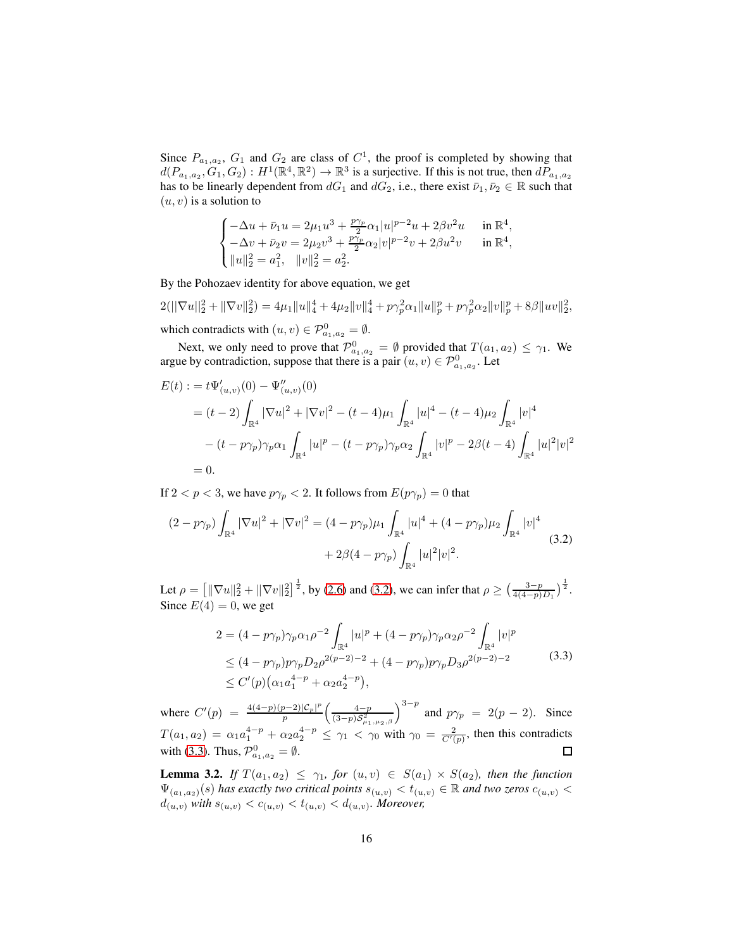Since  $P_{a_1, a_2}$ ,  $G_1$  and  $G_2$  are class of  $C<sup>1</sup>$ , the proof is completed by showing that  $d(P_{a_1,a_2}, G_1, G_2) : H^1(\mathbb{R}^4, \mathbb{R}^2) \to \mathbb{R}^3$  is a surjective. If this is not true, then  $dP_{a_1,a_2}$ has to be linearly dependent from  $dG_1$  and  $dG_2$ , i.e., there exist  $\bar{\nu}_1, \bar{\nu}_2 \in \mathbb{R}$  such that  $(u, v)$  is a solution to

$$
\begin{cases}-\Delta u+\bar\nu_1 u=2\mu_1 u^3+\frac{p\gamma_p}{2}\alpha_1 |u|^{p-2}u+2\beta v^2 u&\text{in } \mathbb{R}^4,\\ -\Delta v+\bar\nu_2 v=2\mu_2 v^3+\frac{p\gamma_p}{2}\alpha_2 |v|^{p-2}v+2\beta u^2 v&\text{in } \mathbb{R}^4,\\ \|u\|_2^2=a_1^2,\quad \|v\|_2^2=a_2^2.\end{cases}
$$

By the Pohozaev identity for above equation, we get

 $2(||\nabla u||_2^2 + ||\nabla v||_2^2) = 4\mu_1 ||u||_4^4 + 4\mu_2 ||v||_4^4 + p\gamma_p^2 \alpha_1 ||u||_p^p + p\gamma_p^2 \alpha_2 ||v||_p^p + 8\beta ||uv||_2^2,$ which contradicts with  $(u, v) \in \mathcal{P}_{a_1, a_2}^0 = \emptyset$ .

Next, we only need to prove that  $\mathcal{P}^0_{a_1,a_2} = \emptyset$  provided that  $T(a_1,a_2) \leq \gamma_1$ . We argue by contradiction, suppose that there is a pair  $(u, v) \in \mathcal{P}^0_{a_1, a_2}$ . Let

$$
E(t) := t\Psi'_{(u,v)}(0) - \Psi''_{(u,v)}(0)
$$
  
=  $(t-2)\int_{\mathbb{R}^4} |\nabla u|^2 + |\nabla v|^2 - (t-4)\mu_1 \int_{\mathbb{R}^4} |u|^4 - (t-4)\mu_2 \int_{\mathbb{R}^4} |v|^4$   
 $- (t-p\gamma_p)\gamma_p \alpha_1 \int_{\mathbb{R}^4} |u|^p - (t-p\gamma_p)\gamma_p \alpha_2 \int_{\mathbb{R}^4} |v|^p - 2\beta(t-4) \int_{\mathbb{R}^4} |u|^2 |v|^2$   
= 0.

If  $2 < p < 3$ , we have  $p\gamma_p < 2$ . It follows from  $E(p\gamma_p) = 0$  that

<span id="page-15-0"></span>
$$
(2 - p\gamma_p) \int_{\mathbb{R}^4} |\nabla u|^2 + |\nabla v|^2 = (4 - p\gamma_p)\mu_1 \int_{\mathbb{R}^4} |u|^4 + (4 - p\gamma_p)\mu_2 \int_{\mathbb{R}^4} |v|^4
$$
  
+ 2\beta(4 - p\gamma\_p) \int\_{\mathbb{R}^4} |u|^2 |v|^2. (3.2)

Let  $\rho = \left[ \|\nabla u\|_2^2 + \|\nabla v\|_2^2 \right]^{\frac{1}{2}}$ , by [\(2.6\)](#page-11-1) and [\(3.2\)](#page-15-0), we can infer that  $\rho \ge \left( \frac{3-p}{4(4-p)D_1} \right)^{\frac{1}{2}}$ . Since  $E(4) = 0$ , we get

<span id="page-15-1"></span>
$$
2 = (4 - p\gamma_p)\gamma_p\alpha_1\rho^{-2} \int_{\mathbb{R}^4} |u|^p + (4 - p\gamma_p)\gamma_p\alpha_2\rho^{-2} \int_{\mathbb{R}^4} |v|^p
$$
  
\n
$$
\leq (4 - p\gamma_p)p\gamma_pD_2\rho^{2(p-2)-2} + (4 - p\gamma_p)p\gamma_pD_3\rho^{2(p-2)-2}
$$
  
\n
$$
\leq C'(p)(\alpha_1a_1^{4-p} + \alpha_2a_2^{4-p}),
$$
\n(3.3)

 $\left(\frac{4-p}{(3-p)S_{\mu_1,\mu_2,\beta}^2}\right)^{3-p}$  and  $p\gamma_p = 2(p-2)$ . Since where  $C'(p) = \frac{4(4-p)(p-2)|C_p|^p}{p}$ p  $T(a_1, a_2) = \alpha_1 a_1^{4-p} + \alpha_2 a_2^{4-p} \leq \gamma_1 < \gamma_0$  with  $\gamma_0 = \frac{2}{C'(p)}$ , then this contradicts with [\(3.3\)](#page-15-1). Thus,  $\mathcal{P}^0_{a_1,a_2} = \emptyset$ .  $\Box$ 

<span id="page-15-2"></span>**Lemma 3.2.** *If*  $T(a_1, a_2) \leq \gamma_1$ , for  $(u, v) \in S(a_1) \times S(a_2)$ , then the function  $\Psi_{(a_1,a_2)}(s)$  *has exactly two critical points*  $s_{(u,v)} < t_{(u,v)} \in \mathbb{R}$  *and two zeros*  $c_{(u,v)} <$  $d_{(u,v)}$  with  $s_{(u,v)} < c_{(u,v)} < t_{(u,v)} < d_{(u,v)}$ . Moreover,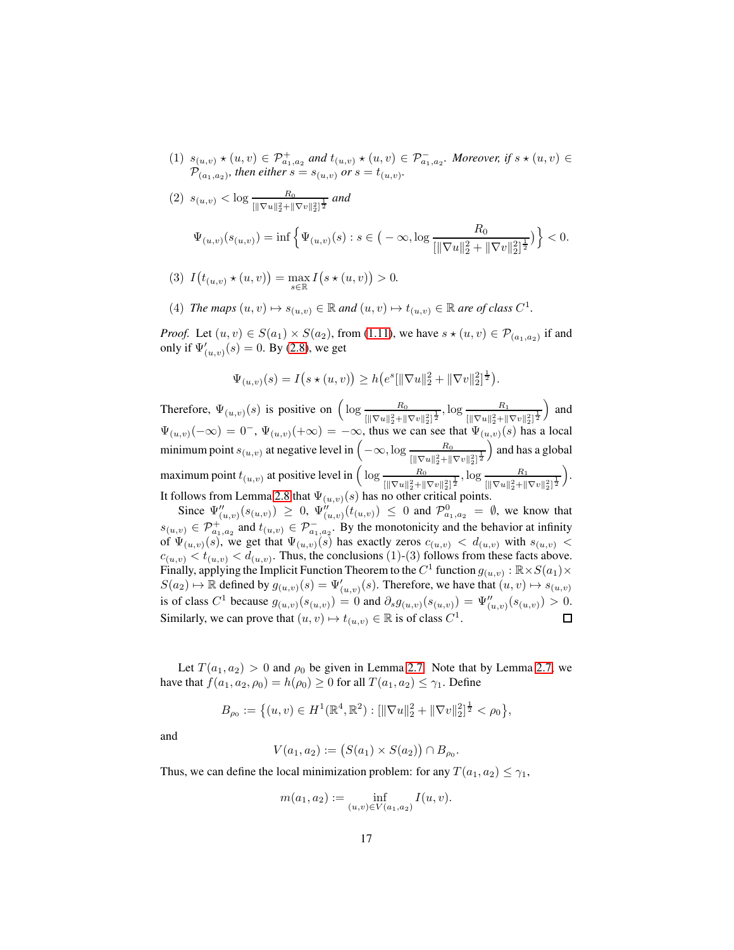- $(1)$   $s_{(u,v)} \star (u, v) \in \mathcal{P}^+_{a_1, a_2}$  and  $t_{(u,v)} \star (u, v) \in \mathcal{P}^-_{a_1, a_2}$ . Moreover, if  $s \star (u, v) \in$  $\mathcal{P}_{(a_1,a_2)}$ , then either  $s = s_{(u,v)}$  or  $s = t_{(u,v)}$ .
- (2)  $s_{(u,v)} < \log \frac{R_0}{[\|\nabla u\|_2^2 + \|\nabla v\|_2^2]^{\frac{1}{2}}}$  and  $\Psi_{(u,v)}(s_{(u,v)}) = \inf \left\{ \Psi_{(u,v)}(s) : s \in \big(-\infty, \log \frac{R_0}{\ln |\nabla u||^2 + 1} \big) \right\}$  $\left[\|\nabla u\|_2^2 + \|\nabla v\|_2^2\right]^{\frac{1}{2}}$  $\} < 0.$
- (3)  $I(t_{(u,v)} \star (u, v)) = \max_{s \in \mathbb{R}} I(s \star (u, v)) > 0.$
- (4) *The maps*  $(u, v) \mapsto s_{(u, v)} \in \mathbb{R}$  *and*  $(u, v) \mapsto t_{(u, v)} \in \mathbb{R}$  *are of class*  $C^1$ *.*

*Proof.* Let  $(u, v) \in S(a_1) \times S(a_2)$ , from [\(1.11\)](#page-4-3), we have  $s \star (u, v) \in \mathcal{P}_{(a_1, a_2)}$  if and only if  $\Psi'_{(u,v)}(s) = 0$ . By [\(2.8\)](#page-11-3), we get

$$
\Psi_{(u,v)}(s) = I(s \star (u,v)) \ge h\big(e^s[\|\nabla u\|_2^2 + \|\nabla v\|_2^2]^{\frac{1}{2}}\big).
$$

Therefore,  $\Psi_{(u,v)}(s)$  is positive on  $\left(\log \frac{R_0}{\log |v|^2}\right)$  $\frac{R_0}{[\|\nabla u\|_2^2 + \|\nabla v\|_2^2]^{\frac{1}{2}}}, \log \frac{R_1}{[\|\nabla u\|_2^2 + \|}$  $\left[\|\nabla u\|_2^2 + \|\nabla v\|_2^2\right]^{\frac{1}{2}}$ ) and  $\Psi_{(u,v)}(-\infty) = 0^-$ ,  $\Psi_{(u,v)}(+\infty) = -\infty$ , thus we can see that  $\Psi_{(u,v)}(s)$  has a local minimum point  $s_{(u,v)}$  at negative level in  $\left(-\infty, \log \frac{R_0}{[\|\nabla u\|_2^2 + \|\nabla v\|_2^2]^{\frac{1}{2}}} \right)$ ) and has a global maximum point  $t_{(u,v)}$  at positive level in  $\left( \log \frac{R_0}{\|u\|_{\infty}^2} \right)$  $\frac{R_0}{\left[\|\nabla u\|_2^2 + \|\nabla v\|_2^2\right]^{\frac{1}{2}}}, \log \frac{R_1}{\left[\|\nabla u\|_2^2 + \|\nabla v\|_2^2\right]}$  $\left[\|\nabla u\|_2^2 + \|\nabla v\|_2^2\right]^{\frac{1}{2}}$  . It follows from Lemma [2.8](#page-13-1) that  $\Psi_{(u,v)}(s)$  has no other critical points.

Since  $\Psi''_{(u,v)}(s_{(u,v)}) \geq 0$ ,  $\Psi''_{(u,v)}(t_{(u,v)}) \leq 0$  and  $\mathcal{P}^0_{a_1,a_2} = \emptyset$ , we know that  $s_{(u,v)} \in \mathcal{P}^+_{a_1,a_2}$  and  $t_{(u,v)} \in \mathcal{P}^-_{a_1,a_2}$ . By the monotonicity and the behavior at infinity of  $\Psi_{(u,v)}(s)$ , we get that  $\Psi_{(u,v)}(s)$  has exactly zeros  $c_{(u,v)} < d_{(u,v)}$  with  $s_{(u,v)}$  $c_{(u,v)} < t_{(u,v)} < d_{(u,v)}$ . Thus, the conclusions (1)-(3) follows from these facts above. Finally, applying the Implicit Function Theorem to the  $C^1$  function  $g_{(u,v)} : \mathbb{R} \times S(a_1) \times S(a_2)$  $S(a_2) \mapsto \mathbb{R}$  defined by  $g_{(u,v)}(s) = \Psi'_{(u,v)}(s)$ . Therefore, we have that  $(u, v) \mapsto s_{(u,v)}$ is of class  $C^1$  because  $g_{(u,v)}(s_{(u,v)}) = 0$  and  $\partial_s g_{(u,v)}(s_{(u,v)}) = \Psi''_{(u,v)}(s_{(u,v)}) > 0$ . Similarly, we can prove that  $(u, v) \mapsto t_{(u,v)} \in \mathbb{R}$  is of class  $C^1$ . □

Let  $T(a_1, a_2) > 0$  and  $\rho_0$  be given in Lemma [2.7.](#page-12-0) Note that by Lemma [2.7,](#page-12-0) we have that  $f(a_1, a_2, \rho_0) = h(\rho_0) \ge 0$  for all  $T(a_1, a_2) \le \gamma_1$ . Define

$$
B_{\rho_0} := \left\{ (u, v) \in H^1(\mathbb{R}^4, \mathbb{R}^2) : \left[ \|\nabla u\|_2^2 + \|\nabla v\|_2^2 \right]^{\frac{1}{2}} < \rho_0 \right\},\
$$

and

$$
V(a_1, a_2) := (S(a_1) \times S(a_2)) \cap B_{\rho_0}
$$

.

Thus, we can define the local minimization problem: for any  $T(a_1, a_2) \leq \gamma_1$ ,

$$
m(a_1, a_2) := \inf_{(u,v) \in V(a_1, a_2)} I(u, v).
$$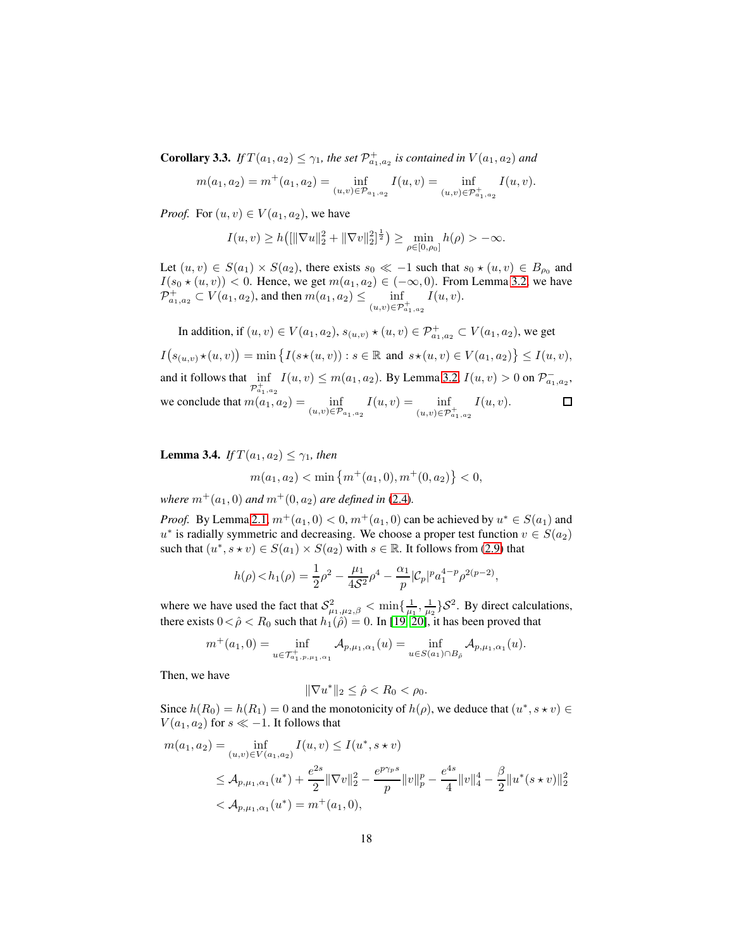**Corollary 3.3.** *If*  $T(a_1, a_2) \leq \gamma_1$ , the set  $\mathcal{P}^+_{a_1, a_2}$  is contained in  $V(a_1, a_2)$  and

$$
m(a_1, a_2) = m^+(a_1, a_2) = \inf_{(u,v) \in \mathcal{P}_{a_1, a_2}} I(u,v) = \inf_{(u,v) \in \mathcal{P}_{a_1, a_2}^+} I(u,v).
$$

*Proof.* For  $(u, v) \in V(a_1, a_2)$ , we have

$$
I(u, v) \ge h\big( [\|\nabla u\|_2^2 + \|\nabla v\|_2^2]^{\frac{1}{2}} \big) \ge \min_{\rho \in [0, \rho_0]} h(\rho) > -\infty.
$$

Let  $(u, v) \in S(a_1) \times S(a_2)$ , there exists  $s_0 \ll -1$  such that  $s_0 \star (u, v) \in B_{\rho_0}$  and  $I(s_0 \star (u, v)) < 0$ . Hence, we get  $m(a_1, a_2) \in (-\infty, 0)$ . From Lemma [3.2,](#page-15-2) we have  $\mathcal{P}^+_{a_1,a_2} \subset V(a_1,a_2)$ , and then  $m(a_1,a_2) \leq \inf_{(u,v) \in \mathcal{P}^+_{a_1,a_2}}$  $I(u, v)$ .

In addition, if 
$$
(u, v) \in V(a_1, a_2)
$$
,  $s_{(u,v)} \star (u, v) \in \mathcal{P}^+_{a_1, a_2} \subset V(a_1, a_2)$ , we get  
\n
$$
I(s_{(u,v)} \star (u, v)) = \min \{ I(s \star (u, v)) : s \in \mathbb{R} \text{ and } s \star (u, v) \in V(a_1, a_2) \} \leq I(u, v),
$$
\nand it follows that  $\inf_{\mathcal{P}^+_{a_1, a_2}} I(u, v) \leq m(a_1, a_2)$ . By Lemma 3.2,  $I(u, v) > 0$  on  $\mathcal{P}^-_{a_1, a_2}$ ,  
\nwe conclude that  $m(a_1, a_2) = \inf_{(u,v) \in \mathcal{P}_{a_1, a_2}} I(u, v) = \inf_{(u,v) \in \mathcal{P}^+_{a_1, a_2}} I(u, v).$ 

<span id="page-17-0"></span>**Lemma 3.4.** *If*  $T(a_1, a_2) \leq \gamma_1$ *, then* 

$$
m(a_1, a_2) < \min\left\{m^+(a_1, 0), m^+(0, a_2)\right\} < 0,
$$

*where*  $m^+(a_1, 0)$  *and*  $m^+(0, a_2)$  *are defined in* [\(2.4\)](#page-10-1)*.* 

*Proof.* By Lemma [2.1,](#page-10-2)  $m^+(a_1, 0) < 0$ ,  $m^+(a_1, 0)$  can be achieved by  $u^* \in S(a_1)$  and  $u^*$  is radially symmetric and decreasing. We choose a proper test function  $v \in S(a_2)$ such that  $(u^*, s \star v) \in S(a_1) \times S(a_2)$  with  $s \in \mathbb{R}$ . It follows from [\(2.9\)](#page-12-1) that

$$
h(\rho) < h_1(\rho) = \frac{1}{2}\rho^2 - \frac{\mu_1}{4\mathcal{S}^2}\rho^4 - \frac{\alpha_1}{p}|\mathcal{C}_p|^p a_1^{4-p} \rho^{2(p-2)},
$$

where we have used the fact that  $S^2_{\mu_1,\mu_2,\beta} < \min\{\frac{1}{\mu_1},\frac{1}{\mu_2}\}S^2$ . By direct calculations, there exists  $0 < \hat{\rho} < R_0$  such that  $h_1(\hat{\rho}) = 0$ . In [\[19,](#page-55-10) [20\]](#page-55-4), it has been proved that

$$
m^+(a_1, 0) = \inf_{u \in \mathcal{T}_{a_1, p, \mu_1, \alpha_1}^+} A_{p, \mu_1, \alpha_1}(u) = \inf_{u \in S(a_1) \cap B_{\hat{\rho}}} A_{p, \mu_1, \alpha_1}(u).
$$

Then, we have

$$
\|\nabla u^*\|_2 \leq \hat{\rho} < R_0 < \rho_0.
$$

Since  $h(R_0) = h(R_1) = 0$  and the monotonicity of  $h(\rho)$ , we deduce that  $(u^*, s \star v) \in$  $V(a_1, a_2)$  for  $s \ll -1$ . It follows that

$$
m(a_1, a_2) = \inf_{(u,v)\in V(a_1, a_2)} I(u, v) \le I(u^*, s \star v)
$$
  
\n
$$
\le A_{p,\mu_1,\alpha_1}(u^*) + \frac{e^{2s}}{2} \|\nabla v\|_2^2 - \frac{e^{p\gamma_p s}}{p} \|v\|_p^p - \frac{e^{4s}}{4} \|v\|_4^4 - \frac{\beta}{2} \|u^*(s \star v)\|_2^2
$$
  
\n
$$
< A_{p,\mu_1,\alpha_1}(u^*) = m^+(a_1, 0),
$$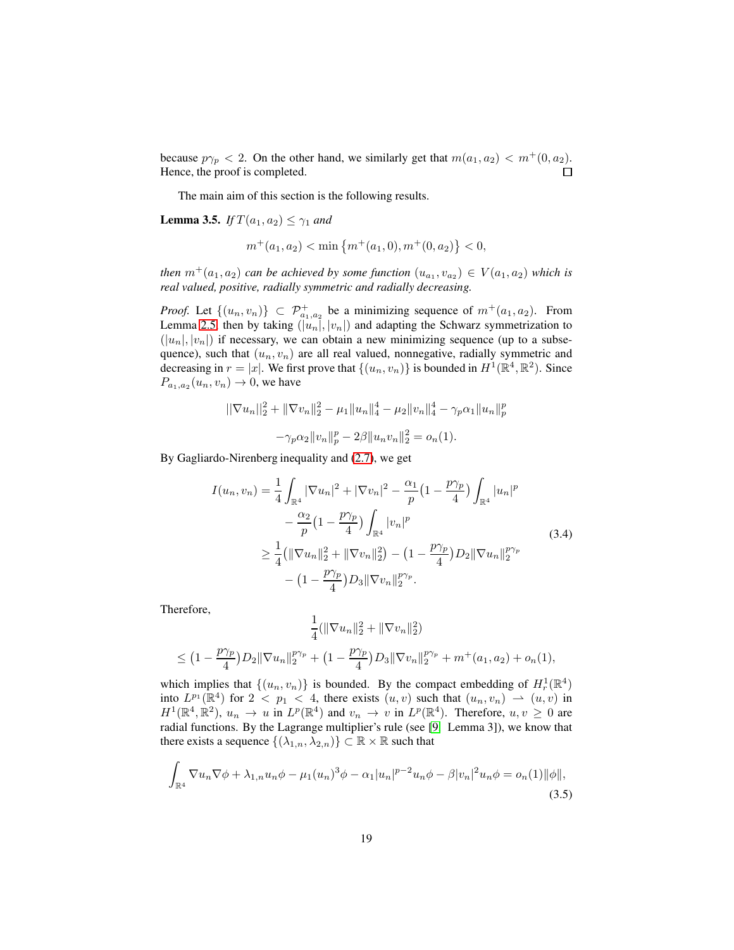because  $p\gamma_p < 2$ . On the other hand, we similarly get that  $m(a_1, a_2) < m^+(0, a_2)$ .  $\Box$ Hence, the proof is completed.

The main aim of this section is the following results.

<span id="page-18-1"></span>**Lemma 3.5.** *If*  $T(a_1, a_2) \leq \gamma_1$  *and* 

$$
m^+(a_1, a_2) < \min\left\{m^+(a_1, 0), m^+(0, a_2)\right\} < 0,
$$

*then*  $m^+(a_1, a_2)$  *can be achieved by some function*  $(u_{a_1}, v_{a_2}) \in V(a_1, a_2)$  *which is real valued, positive, radially symmetric and radially decreasing.*

*Proof.* Let  $\{(u_n, v_n)\}\subset \mathcal{P}^+_{a_1, a_2}$  be a minimizing sequence of  $m^+(a_1, a_2)$ . From Lemma [2.5,](#page-10-3) then by taking  $(\tilde{u}_n, \tilde{v}_n)$  and adapting the Schwarz symmetrization to  $(|u_n|, |v_n|)$  if necessary, we can obtain a new minimizing sequence (up to a subsequence), such that  $(u_n, v_n)$  are all real valued, nonnegative, radially symmetric and decreasing in  $r = |x|$ . We first prove that  $\{(u_n, v_n)\}\$ is bounded in  $H^1(\mathbb{R}^4, \mathbb{R}^2)$ . Since  $P_{a_1,a_2}(u_n,v_n) \to 0$ , we have

$$
||\nabla u_n||_2^2 + ||\nabla v_n||_2^2 - \mu_1 ||u_n||_4^4 - \mu_2 ||v_n||_4^4 - \gamma_p \alpha_1 ||u_n||_p^p
$$

$$
-\gamma_p \alpha_2 ||v_n||_p^p - 2\beta ||u_n v_n||_2^2 = o_n(1).
$$

By Gagliardo-Nirenberg inequality and [\(2.7\)](#page-11-2), we get

$$
I(u_n, v_n) = \frac{1}{4} \int_{\mathbb{R}^4} |\nabla u_n|^2 + |\nabla v_n|^2 - \frac{\alpha_1}{p} \left(1 - \frac{p\gamma_p}{4}\right) \int_{\mathbb{R}^4} |u_n|^p
$$
  

$$
- \frac{\alpha_2}{p} \left(1 - \frac{p\gamma_p}{4}\right) \int_{\mathbb{R}^4} |v_n|^p
$$
  

$$
\geq \frac{1}{4} \left(\|\nabla u_n\|_2^2 + \|\nabla v_n\|_2^2\right) - \left(1 - \frac{p\gamma_p}{4}\right) D_2 \|\nabla u_n\|_2^{p\gamma_p}
$$
  

$$
- \left(1 - \frac{p\gamma_p}{4}\right) D_3 \|\nabla v_n\|_2^{p\gamma_p}.
$$
 (3.4)

Therefore,

$$
\frac{1}{4}(\|\nabla u_n\|_2^2 + \|\nabla v_n\|_2^2)
$$
  

$$
\leq (1 - \frac{p\gamma_p}{4})D_2\|\nabla u_n\|_2^{p\gamma_p} + (1 - \frac{p\gamma_p}{4})D_3\|\nabla v_n\|_2^{p\gamma_p} + m^+(a_1, a_2) + o_n(1),
$$

which implies that  $\{(u_n, v_n)\}\$ is bounded. By the compact embedding of  $H_r^1(\mathbb{R}^4)$ into  $L^{p_1}(\mathbb{R}^4)$  for  $2 < p_1 < 4$ , there exists  $(u, v)$  such that  $(u_n, v_n) \rightarrow (u, v)$  in  $H^1(\mathbb{R}^4, \mathbb{R}^2)$ ,  $u_n \to u$  in  $L^p(\mathbb{R}^4)$  and  $v_n \to v$  in  $L^p(\mathbb{R}^4)$ . Therefore,  $u, v \ge 0$  are radial functions. By the Lagrange multiplier's rule (see [\[9,](#page-54-7) Lemma 3]), we know that there exists a sequence  $\{(\lambda_{1,n}, \lambda_{2,n})\} \subset \mathbb{R} \times \mathbb{R}$  such that

<span id="page-18-0"></span>
$$
\int_{\mathbb{R}^4} \nabla u_n \nabla \phi + \lambda_{1,n} u_n \phi - \mu_1(u_n)^3 \phi - \alpha_1 |u_n|^{p-2} u_n \phi - \beta |v_n|^2 u_n \phi = o_n(1) \|\phi\|,
$$
\n(3.5)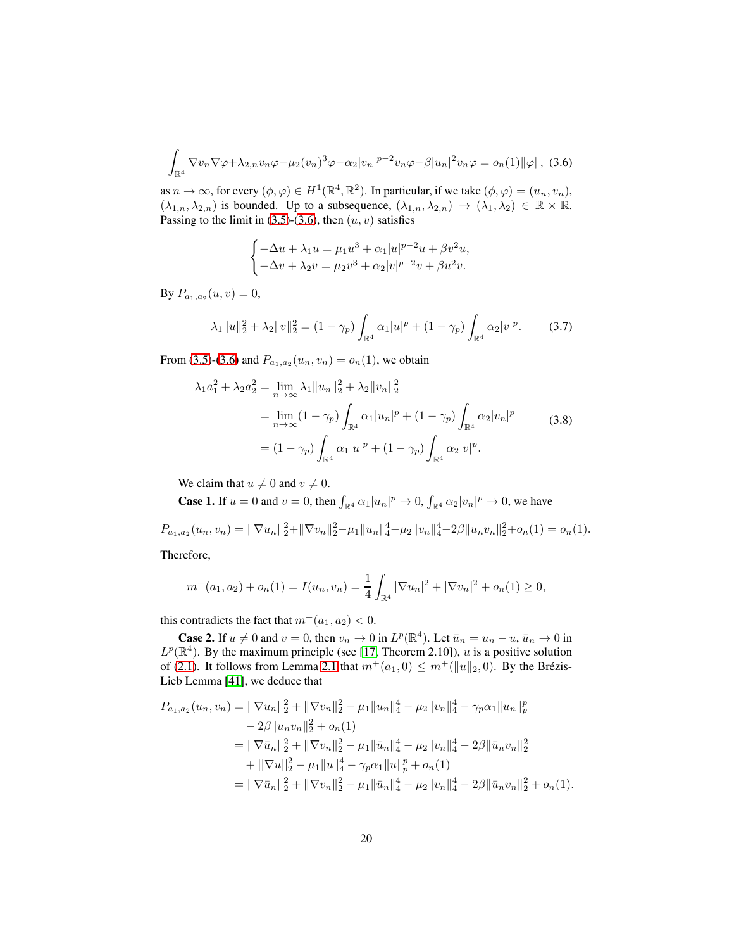<span id="page-19-0"></span>
$$
\int_{\mathbb{R}^4} \nabla v_n \nabla \varphi + \lambda_{2,n} v_n \varphi - \mu_2(v_n)^3 \varphi - \alpha_2 |v_n|^{p-2} v_n \varphi - \beta |u_n|^2 v_n \varphi = o_n(1) \|\varphi\|, (3.6)
$$

as  $n \to \infty$ , for every  $(\phi, \varphi) \in H^1(\mathbb{R}^4, \mathbb{R}^2)$ . In particular, if we take  $(\phi, \varphi) = (u_n, v_n)$ ,  $(\lambda_{1,n}, \lambda_{2,n})$  is bounded. Up to a subsequence,  $(\lambda_{1,n}, \lambda_{2,n}) \to (\lambda_1, \lambda_2) \in \mathbb{R} \times \mathbb{R}$ . Passing to the limit in [\(3.5\)](#page-18-0)-[\(3.6\)](#page-19-0), then  $(u, v)$  satisfies

$$
\begin{cases} -\Delta u + \lambda_1 u = \mu_1 u^3 + \alpha_1 |u|^{p-2} u + \beta v^2 u, \\ -\Delta v + \lambda_2 v = \mu_2 v^3 + \alpha_2 |v|^{p-2} v + \beta u^2 v. \end{cases}
$$

By  $P_{a_1,a_2}(u,v)=0$ ,

<span id="page-19-1"></span>
$$
\lambda_1 \|u\|_2^2 + \lambda_2 \|v\|_2^2 = (1 - \gamma_p) \int_{\mathbb{R}^4} \alpha_1 |u|^p + (1 - \gamma_p) \int_{\mathbb{R}^4} \alpha_2 |v|^p. \tag{3.7}
$$

From [\(3.5\)](#page-18-0)-[\(3.6\)](#page-19-0) and  $P_{a_1, a_2}(u_n, v_n) = o_n(1)$ , we obtain

<span id="page-19-2"></span>
$$
\lambda_1 a_1^2 + \lambda_2 a_2^2 = \lim_{n \to \infty} \lambda_1 \|u_n\|_2^2 + \lambda_2 \|v_n\|_2^2
$$
  
= 
$$
\lim_{n \to \infty} (1 - \gamma_p) \int_{\mathbb{R}^4} \alpha_1 |u_n|^p + (1 - \gamma_p) \int_{\mathbb{R}^4} \alpha_2 |v_n|^p
$$
  
= 
$$
(1 - \gamma_p) \int_{\mathbb{R}^4} \alpha_1 |u|^p + (1 - \gamma_p) \int_{\mathbb{R}^4} \alpha_2 |v|^p.
$$
 (3.8)

We claim that  $u \neq 0$  and  $v \neq 0$ .

**Case 1.** If  $u = 0$  and  $v = 0$ , then  $\int_{\mathbb{R}^4} \alpha_1 |u_n|^p \to 0$ ,  $\int_{\mathbb{R}^4} \alpha_2 |v_n|^p \to 0$ , we have

$$
P_{a_1,a_2}(u_n,v_n) = ||\nabla u_n||_2^2 + ||\nabla v_n||_2^2 - \mu_1 ||u_n||_4^4 - \mu_2 ||v_n||_4^4 - 2\beta ||u_n v_n||_2^2 + o_n(1) = o_n(1).
$$

Therefore,

$$
m^+(a_1, a_2) + o_n(1) = I(u_n, v_n) = \frac{1}{4} \int_{\mathbb{R}^4} |\nabla u_n|^2 + |\nabla v_n|^2 + o_n(1) \ge 0,
$$

this contradicts the fact that  $m^+(a_1, a_2) < 0$ .

**Case 2.** If  $u \neq 0$  and  $v = 0$ , then  $v_n \to 0$  in  $L^p(\mathbb{R}^4)$ . Let  $\bar{u}_n = u_n - u$ ,  $\bar{u}_n \to 0$  in  $L^p(\mathbb{R}^4)$ . By the maximum principle (see [\[17,](#page-55-11) Theorem 2.10]), u is a positive solution of [\(2.1\)](#page-9-0). It follows from Lemma [2.1](#page-10-2) that  $m^+(a_1, 0) \leq m^+ (\|u\|_2, 0)$ . By the Brézis-Lieb Lemma [\[41\]](#page-57-3), we deduce that

$$
P_{a_1, a_2}(u_n, v_n) = ||\nabla u_n||_2^2 + ||\nabla v_n||_2^2 - \mu_1 ||u_n||_4^4 - \mu_2 ||v_n||_4^4 - \gamma_p \alpha_1 ||u_n||_p^p
$$
  
\n
$$
- 2\beta ||u_n v_n||_2^2 + o_n(1)
$$
  
\n
$$
= ||\nabla \bar{u}_n||_2^2 + ||\nabla v_n||_2^2 - \mu_1 ||\bar{u}_n||_4^4 - \mu_2 ||v_n||_4^4 - 2\beta ||\bar{u}_n v_n||_2^2
$$
  
\n
$$
+ ||\nabla u||_2^2 - \mu_1 ||u||_4^4 - \gamma_p \alpha_1 ||u||_p^p + o_n(1)
$$
  
\n
$$
= ||\nabla \bar{u}_n||_2^2 + ||\nabla v_n||_2^2 - \mu_1 ||\bar{u}_n||_4^4 - \mu_2 ||v_n||_4^4 - 2\beta ||\bar{u}_n v_n||_2^2 + o_n(1).
$$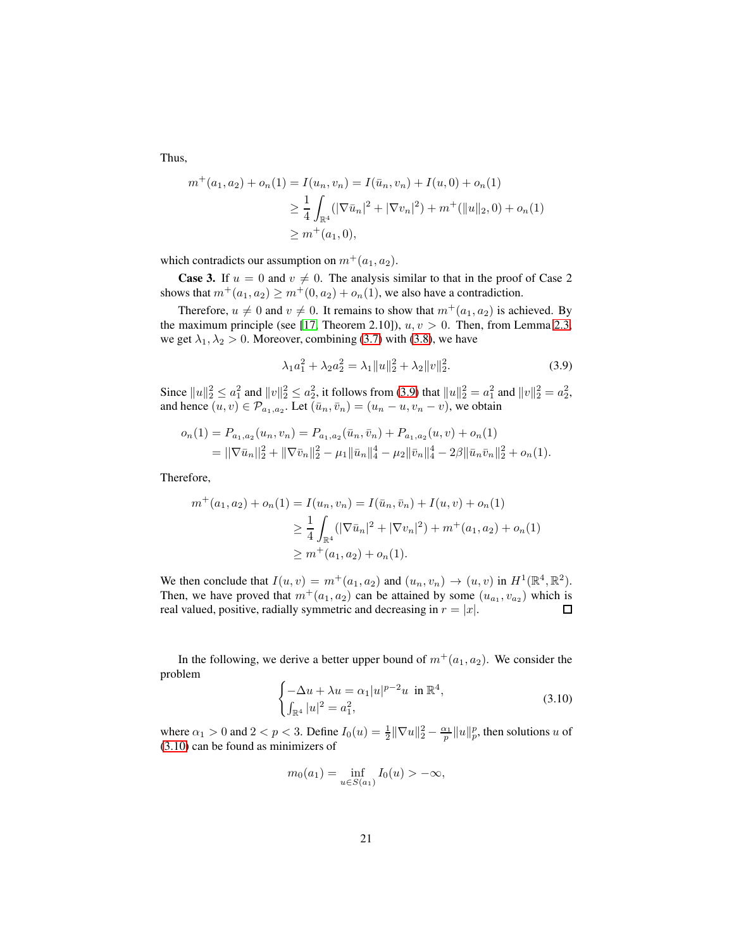Thus,

$$
m^+(a_1, a_2) + o_n(1) = I(u_n, v_n) = I(\bar{u}_n, v_n) + I(u, 0) + o_n(1)
$$
  
\n
$$
\geq \frac{1}{4} \int_{\mathbb{R}^4} (|\nabla \bar{u}_n|^2 + |\nabla v_n|^2) + m^+(||u||_2, 0) + o_n(1)
$$
  
\n
$$
\geq m^+(a_1, 0),
$$

which contradicts our assumption on  $m^+(a_1, a_2)$ .

**Case 3.** If  $u = 0$  and  $v \neq 0$ . The analysis similar to that in the proof of Case 2 shows that  $m^+(a_1, a_2) \geq m^+(0, a_2) + o_n(1)$ , we also have a contradiction.

Therefore,  $u \neq 0$  and  $v \neq 0$ . It remains to show that  $m^+(a_1, a_2)$  is achieved. By the maximum principle (see [\[17,](#page-55-11) Theorem 2.10]),  $u, v > 0$ . Then, from Lemma [2.3,](#page-10-4) we get  $\lambda_1, \lambda_2 > 0$ . Moreover, combining [\(3.7\)](#page-19-1) with [\(3.8\)](#page-19-2), we have

<span id="page-20-0"></span>
$$
\lambda_1 a_1^2 + \lambda_2 a_2^2 = \lambda_1 \|u\|_2^2 + \lambda_2 \|v\|_2^2. \tag{3.9}
$$

Since  $||u||_2^2 \le a_1^2$  and  $||v||_2^2 \le a_2^2$ , it follows from [\(3.9\)](#page-20-0) that  $||u||_2^2 = a_1^2$  and  $||v||_2^2 = a_2^2$ , and hence  $(u, v) \in \mathcal{P}_{a_1, a_2}$ . Let  $(\bar{u}_n, \bar{v}_n) = (u_n - u, v_n - v)$ , we obtain

$$
o_n(1) = P_{a_1, a_2}(u_n, v_n) = P_{a_1, a_2}(\bar{u}_n, \bar{v}_n) + P_{a_1, a_2}(u, v) + o_n(1)
$$
  
= 
$$
||\nabla \bar{u}_n||_2^2 + ||\nabla \bar{v}_n||_2^2 - \mu_1 ||\bar{u}_n||_4^4 - \mu_2 ||\bar{v}_n||_4^4 - 2\beta ||\bar{u}_n \bar{v}_n||_2^2 + o_n(1).
$$

Therefore,

$$
m^+(a_1, a_2) + o_n(1) = I(u_n, v_n) = I(\bar{u}_n, \bar{v}_n) + I(u, v) + o_n(1)
$$
  
\n
$$
\geq \frac{1}{4} \int_{\mathbb{R}^4} (|\nabla \bar{u}_n|^2 + |\nabla v_n|^2) + m^+(a_1, a_2) + o_n(1)
$$
  
\n
$$
\geq m^+(a_1, a_2) + o_n(1).
$$

We then conclude that  $I(u, v) = m^+(a_1, a_2)$  and  $(u_n, v_n) \to (u, v)$  in  $H^1(\mathbb{R}^4, \mathbb{R}^2)$ . Then, we have proved that  $m^+(a_1, a_2)$  can be attained by some  $(u_{a_1}, v_{a_2})$  which is real valued, positive, radially symmetric and decreasing in  $r = |x|$ .  $\Box$ 

In the following, we derive a better upper bound of  $m^+(a_1, a_2)$ . We consider the problem

<span id="page-20-1"></span>
$$
\begin{cases}\n-\Delta u + \lambda u = \alpha_1 |u|^{p-2} u \text{ in } \mathbb{R}^4, \\
\int_{\mathbb{R}^4} |u|^2 = a_1^2,\n\end{cases}
$$
\n(3.10)

where  $\alpha_1 > 0$  and  $2 < p < 3$ . Define  $I_0(u) = \frac{1}{2} ||\nabla u||_2^2 - \frac{\alpha_1}{p} ||u||_p^p$ , then solutions u of [\(3.10\)](#page-20-1) can be found as minimizers of

$$
m_0(a_1) = \inf_{u \in S(a_1)} I_0(u) > -\infty,
$$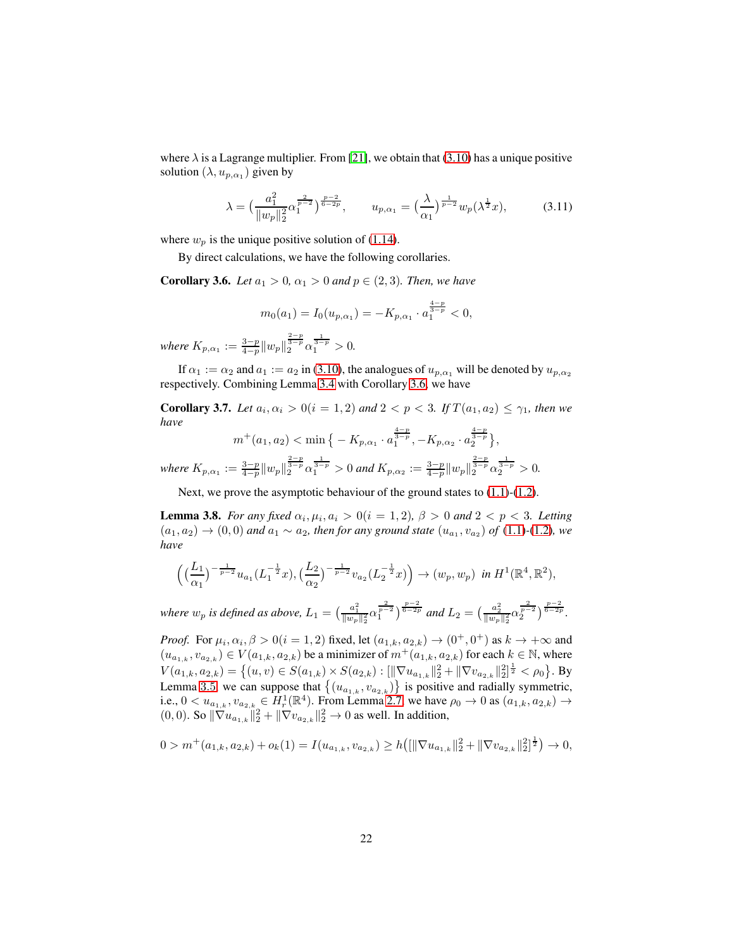where  $\lambda$  is a Lagrange multiplier. From [\[21\]](#page-55-12), we obtain that [\(3.10\)](#page-20-1) has a unique positive solution  $(\lambda, u_{p, \alpha_1})$  given by

<span id="page-21-2"></span>
$$
\lambda = \left(\frac{a_1^2}{\|w_p\|_2^2} \alpha_1^{\frac{2}{p-2}}\right)^{\frac{p-2}{6-2p}}, \qquad u_{p,\alpha_1} = \left(\frac{\lambda}{\alpha_1}\right)^{\frac{1}{p-2}} w_p(\lambda^{\frac{1}{2}} x), \tag{3.11}
$$

where  $w_p$  is the unique positive solution of [\(1.14\)](#page-5-1).

By direct calculations, we have the following corollaries.

<span id="page-21-0"></span>**Corollary 3.6.** *Let*  $a_1 > 0$ ,  $\alpha_1 > 0$  *and*  $p \in (2, 3)$ *. Then, we have* 

$$
m_0(a_1) = I_0(u_{p,\alpha_1}) = -K_{p,\alpha_1} \cdot a_1^{\frac{4-p}{3-p}} < 0,
$$

*where*  $K_{p,\alpha_1} := \frac{3-p}{4-p} ||w_p||_2^{\frac{2-p}{3-p}} \alpha_1^{\frac{1}{3-p}} > 0.$ 

If  $\alpha_1 := \alpha_2$  and  $a_1 := a_2$  in [\(3.10\)](#page-20-1), the analogues of  $u_{p,\alpha_1}$  will be denoted by  $u_{p,\alpha_2}$ respectively. Combining Lemma [3.4](#page-17-0) with Corollary [3.6,](#page-21-0) we have

**Corollary 3.7.** *Let*  $a_i, \alpha_i > 0 (i = 1, 2)$  *and*  $2 < p < 3$ *. If*  $T(a_1, a_2) \leq \gamma_1$ *, then we have*

$$
m^+(a_1, a_2) < \min\left\{ -K_{p,\alpha_1} \cdot a_1^{\frac{4-p}{3-p}}, -K_{p,\alpha_2} \cdot a_2^{\frac{4-p}{3-p}} \right\},\
$$
\n
$$
a_1^{2-p} = \frac{1}{a_1^2 - a_2^2} \cdot a_1^{2-p} \cdot a_2^{2-p} \cdot a_1^{2-p}
$$

*where*  $K_{p,\alpha_1} := \frac{3-p}{4-p} \|w_p\|_2^{\frac{2-p}{3-p}} \alpha_1^{\frac{1}{3-p}} > 0$  *and*  $K_{p,\alpha_2} := \frac{3-p}{4-p} \|w_p\|_2^{\frac{2-p}{3-p}} \alpha_2^{\frac{1}{3-p}} > 0$ .

Next, we prove the asymptotic behaviour of the ground states to  $(1.1)-(1.2)$  $(1.1)-(1.2)$ .

<span id="page-21-1"></span>**Lemma 3.8.** *For any fixed*  $\alpha_i, \mu_i, \alpha_i > 0$  ( $i = 1, 2$ ),  $\beta > 0$  and  $2 < p < 3$ . Letting  $(a_1, a_2) \to (0, 0)$  *and*  $a_1 \sim a_2$ *, then for any ground state*  $(u_{a_1}, v_{a_2})$  *of* [\(1.1\)](#page-2-0)-[\(1.2\)](#page-2-3)*,* we *have*

$$
\Big(\big(\frac{L_1}{\alpha_1}\big)^{-\frac{1}{p-2}}u_{a_1}(L_1^{-\frac{1}{2}}x),\big(\frac{L_2}{\alpha_2}\big)^{-\frac{1}{p-2}}v_{a_2}(L_2^{-\frac{1}{2}}x)\Big)\to (w_p,w_p)\ \ \text{in}\ H^1(\mathbb{R}^4,\mathbb{R}^2),
$$

*where*  $w_p$  *is defined as above,*  $L_1 = \left(\frac{a_1^2}{\|w_p\|_2^2} \alpha_1^{\frac{2}{p-2}}\right)^{\frac{p-2}{6-2p}}$  and  $L_2 = \left(\frac{a_2^2}{\|w_p\|_2^2} \alpha_2^{\frac{2}{p-2}}\right)^{\frac{p-2}{6-2p}}$ .

*Proof.* For  $\mu_i$ ,  $\alpha_i$ ,  $\beta > 0$  ( $i = 1, 2$ ) fixed, let  $(a_{1,k}, a_{2,k}) \rightarrow (0^+, 0^+)$  as  $k \rightarrow +\infty$  and  $(u_{a_{1,k}}, v_{a_{2,k}}) \in V(a_{1,k}, a_{2,k})$  be a minimizer of  $m^+(a_{1,k}, a_{2,k})$  for each  $k \in \mathbb{N}$ , where  $V(a_{1,k}, a_{2,k}) = \left\{(u, v) \in S(a_{1,k}) \times S(a_{2,k}) : [\|\nabla u_{a_{1,k}}\|_2^2 + \|\nabla v_{a_{2,k}}\|_2^2]^{\frac{1}{2}} < \rho_0 \right\}$ . By Lemma [3](#page-18-1).5, we can suppose that  $\{(u_{a_{1,k}}, v_{a_{2,k}})\}\)$  is positive and radially symmetric, i.e.,  $0 < u_{a_{1,k}}, v_{a_{2,k}} \in H^1_r(\mathbb{R}^4)$ . From Lemma [2.7,](#page-12-0) we have  $\rho_0 \to 0$  as  $(a_{1,k}, a_{2,k}) \to$  $(0,0)$ . So  $\|\nabla u_{a_{1,k}}\|_{2}^{2} + \|\nabla v_{a_{2,k}}\|_{2}^{2} \to 0$  as well. In addition,

$$
0 > m^{+}(a_{1,k}, a_{2,k}) + o_{k}(1) = I(u_{a_{1,k}}, v_{a_{2,k}}) \ge h\left( \left[ \|\nabla u_{a_{1,k}}\|_{2}^{2} + \|\nabla v_{a_{2,k}}\|_{2}^{2} \right] \frac{1}{2} \right) \to 0,
$$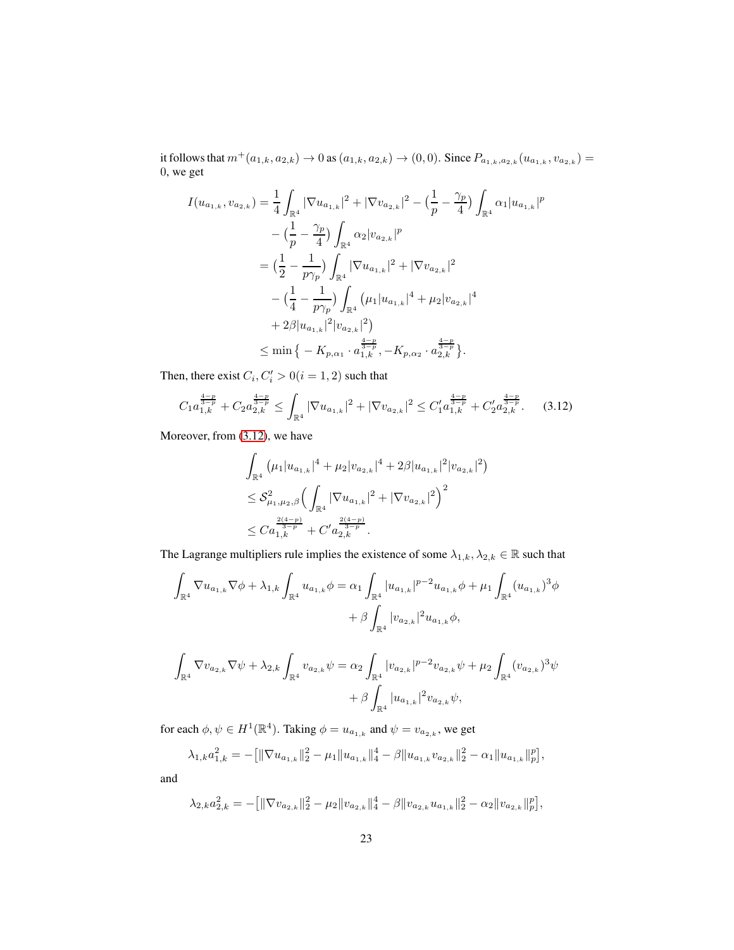it follows that  $m^+(a_{1,k}, a_{2,k}) \to 0$  as  $(a_{1,k}, a_{2,k}) \to (0, 0)$ . Since  $P_{a_{1,k}, a_{2,k}}(u_{a_{1,k}}, v_{a_{2,k}}) =$ 0, we get

$$
I(u_{a_{1,k}}, v_{a_{2,k}}) = \frac{1}{4} \int_{\mathbb{R}^{4}} |\nabla u_{a_{1,k}}|^{2} + |\nabla v_{a_{2,k}}|^{2} - \left(\frac{1}{p} - \frac{\gamma_{p}}{4}\right) \int_{\mathbb{R}^{4}} \alpha_{1} |u_{a_{1,k}}|^{p}
$$
  
\n
$$
- \left(\frac{1}{p} - \frac{\gamma_{p}}{4}\right) \int_{\mathbb{R}^{4}} \alpha_{2} |v_{a_{2,k}}|^{p}
$$
  
\n
$$
= \left(\frac{1}{2} - \frac{1}{p\gamma_{p}}\right) \int_{\mathbb{R}^{4}} |\nabla u_{a_{1,k}}|^{2} + |\nabla v_{a_{2,k}}|^{2}
$$
  
\n
$$
- \left(\frac{1}{4} - \frac{1}{p\gamma_{p}}\right) \int_{\mathbb{R}^{4}} (\mu_{1} |u_{a_{1,k}}|^{4} + \mu_{2} |v_{a_{2,k}}|^{4}
$$
  
\n
$$
+ 2\beta |u_{a_{1,k}}|^{2} |v_{a_{2,k}}|^{2})
$$
  
\n
$$
\leq \min \left\{ -K_{p,\alpha_{1}} \cdot a_{1,k}^{\frac{4-p}{3-p}}, -K_{p,\alpha_{2}} \cdot a_{2,k}^{\frac{4-p}{3-p}} \right\}.
$$

Then, there exist  $C_i, C'_i > 0 (i = 1, 2)$  such that

<span id="page-22-0"></span>
$$
C_{1}a_{1,k}^{\frac{4-p}{3-p}} + C_{2}a_{2,k}^{\frac{4-p}{3-p}} \leq \int_{\mathbb{R}^{4}} |\nabla u_{a_{1,k}}|^{2} + |\nabla v_{a_{2,k}}|^{2} \leq C_{1}^{\prime}a_{1,k}^{\frac{4-p}{3-p}} + C_{2}^{\prime}a_{2,k}^{\frac{4-p}{3-p}}.
$$
 (3.12)

Moreover, from [\(3.12\)](#page-22-0), we have

$$
\int_{\mathbb{R}^4} \left( \mu_1 |u_{a_{1,k}}|^4 + \mu_2 |v_{a_{2,k}}|^4 + 2\beta |u_{a_{1,k}}|^2 |v_{a_{2,k}}|^2 \right)
$$
  
\n
$$
\leq \mathcal{S}_{\mu_1, \mu_2, \beta}^2 \Big( \int_{\mathbb{R}^4} |\nabla u_{a_{1,k}}|^2 + |\nabla v_{a_{2,k}}|^2 \Big)^2
$$
  
\n
$$
\leq C a_{1,k}^{\frac{2(4-p)}{3-p}} + C' a_{2,k}^{\frac{2(4-p)}{3-p}}.
$$

The Lagrange multipliers rule implies the existence of some  $\lambda_{1,k}, \lambda_{2,k} \in \mathbb{R}$  such that

$$
\int_{\mathbb{R}^4} \nabla u_{a_{1,k}} \nabla \phi + \lambda_{1,k} \int_{\mathbb{R}^4} u_{a_{1,k}} \phi = \alpha_1 \int_{\mathbb{R}^4} |u_{a_{1,k}}|^{p-2} u_{a_{1,k}} \phi + \mu_1 \int_{\mathbb{R}^4} (u_{a_{1,k}})^3 \phi
$$

$$
+ \beta \int_{\mathbb{R}^4} |v_{a_{2,k}}|^2 u_{a_{1,k}} \phi,
$$

$$
\begin{aligned} \int_{\mathbb{R}^4} \nabla v_{a_{2,k}} \nabla \psi + \lambda_{2,k} \int_{\mathbb{R}^4} v_{a_{2,k}} \psi &= \alpha_2 \int_{\mathbb{R}^4} |v_{a_{2,k}}|^{p-2} v_{a_{2,k}} \psi + \mu_2 \int_{\mathbb{R}^4} (v_{a_{2,k}})^3 \psi \\ &+ \beta \int_{\mathbb{R}^4} |u_{a_{1,k}}|^2 v_{a_{2,k}} \psi, \end{aligned}
$$

for each  $\phi, \psi \in H^1(\mathbb{R}^4)$ . Taking  $\phi = u_{a_{1,k}}$  and  $\psi = v_{a_{2,k}}$ , we get

$$
\lambda_{1,k} a_{1,k}^2 = -\left[\|\nabla u_{a_{1,k}}\|_2^2 - \mu_1 \|u_{a_{1,k}}\|_4^4 - \beta \|u_{a_{1,k}} v_{a_{2,k}}\|_2^2 - \alpha_1 \|u_{a_{1,k}}\|_p^p\right],
$$

and

$$
\lambda_{2,k}a_{2,k}^2=-\big[\|\nabla v_{a_{2,k}}\|_2^2-\mu_2\|v_{a_{2,k}}\|_4^4-\beta\|v_{a_{2,k}}u_{a_{1,k}}\|_2^2-\alpha_2\|v_{a_{2,k}}\|_p^p\big],
$$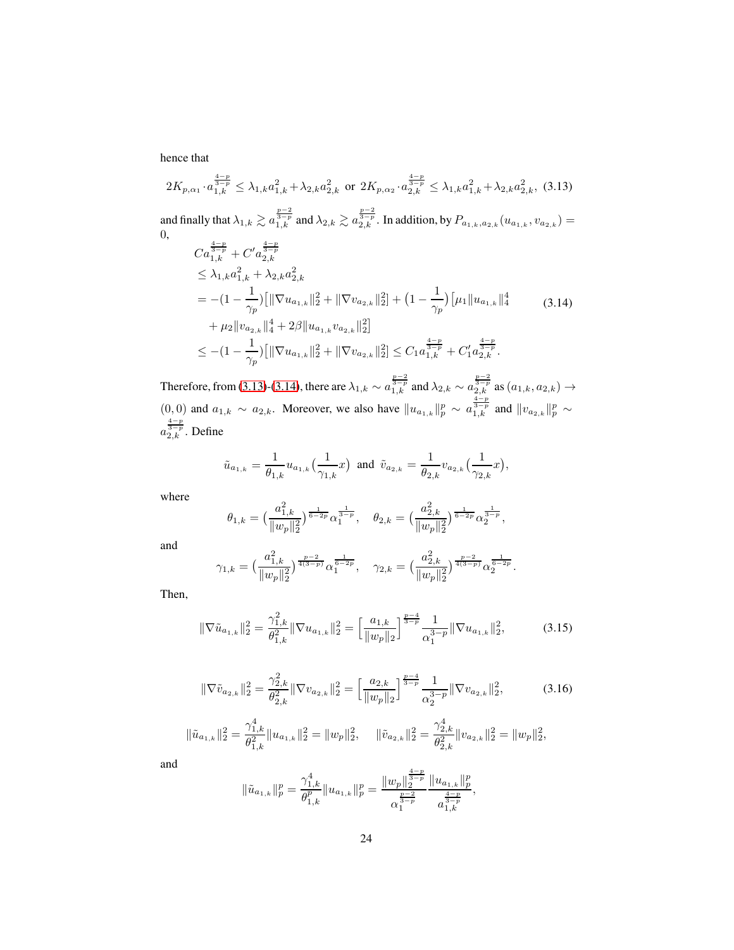hence that

<span id="page-23-0"></span>
$$
2K_{p,\alpha_1} \cdot a_{1,k}^{\frac{4-p}{3-p}} \leq \lambda_{1,k} a_{1,k}^2 + \lambda_{2,k} a_{2,k}^2 \text{ or } 2K_{p,\alpha_2} \cdot a_{2,k}^{\frac{4-p}{3-p}} \leq \lambda_{1,k} a_{1,k}^2 + \lambda_{2,k} a_{2,k}^2, (3.13)
$$
  
and finally that  $\lambda_{1,k} \geq a_{1,k}^{\frac{p-2}{3-p}}$  and  $\lambda_{2,k} \geq a_{2,k}^{\frac{p-2}{3-p}}$ . In addition, by  $P_{a_{1,k},a_{2,k}}(u_{a_{1,k}},v_{a_{2,k}}) = 0$ ,  

$$
C a_{1,k}^{\frac{4-p}{3-p}} + C' a_{2,k}^{\frac{4-p}{3-p}}
$$

$$
\leq \lambda_{1,k} a_{1,k}^2 + \lambda_{2,k} a_{2,k}^2
$$

$$
= -(1 - \frac{1}{\gamma_p}) [\|\nabla u_{a_{1,k}}\|_{2}^{2} + \|\nabla v_{a_{2,k}}\|_{2}^{2}] + (1 - \frac{1}{\gamma_p}) [\mu_1 \|u_{a_{1,k}}\|_{4}^{4}
$$
(3.14)
$$
+ \mu_2 \|v_{a_{2,k}}\|_{4}^{4} + 2\beta \|u_{a_{1,k}}v_{a_{2,k}}\|_{2}^{2}]
$$

$$
\leq -(1 - \frac{1}{\gamma_p}) [\|\nabla u_{a_{1,k}}\|_{2}^{2} + \|\nabla v_{a_{2,k}}\|_{2}^{2}] \leq C_1 a_{1,k}^{\frac{4-p}{3-p}} + C'_1 a_{2,k}^{\frac{4-p}{3-p}}.
$$

<span id="page-23-1"></span>Therefore, from [\(3.13\)](#page-23-0)-[\(3.14\)](#page-23-1), there are  $\lambda_{1,k} \sim a_{1,k}^{\frac{p-2}{3-p}}$  and  $\lambda_{2,k} \sim a_{2,k}^{\frac{p-2}{3-p}}$  as  $(a_{1,k}, a_{2,k}) \to$  $(0,0)$  and  $a_{1,k} \sim a_{2,k}$ . Moreover, we also have  $||u_{a_{1,k}}||_p^p \sim a_{1,k}^{\frac{4-p}{3-p}}$  and  $||v_{a_{2,k}}||_p^p \sim$  $a_{2,k}^{\frac{4-p}{3-p}}$ . Define

$$
\tilde{u}_{a_{1,k}}=\frac{1}{\theta_{1,k}}u_{a_{1,k}}\big(\frac{1}{\gamma_{1,k}}x\big)\ \ \text{and}\ \ \tilde{v}_{a_{2,k}}=\frac{1}{\theta_{2,k}}v_{a_{2,k}}\big(\frac{1}{\gamma_{2,k}}x\big),
$$

where

$$
\theta_{1,k}=\big(\frac{a_{1,k}^2}{\|w_p\|_2^2}\big)^{\frac{1}{6-2p}}\alpha_1^{\frac{1}{3-p}},\quad \theta_{2,k}=\big(\frac{a_{2,k}^2}{\|w_p\|_2^2}\big)^{\frac{1}{6-2p}}\alpha_2^{\frac{1}{3-p}},
$$

and

$$
\gamma_{1,k}=\big(\frac{a_{1,k}^2}{\|w_p\|_2^2}\big)^{\frac{p-2}{4(3-p)}}\alpha_1^{\frac{1}{6-2p}},\quad \gamma_{2,k}=\big(\frac{a_{2,k}^2}{\|w_p\|_2^2}\big)^{\frac{p-2}{4(3-p)}}\alpha_2^{\frac{1}{6-2p}}
$$

Then,

<span id="page-23-2"></span>
$$
\|\nabla \tilde{u}_{a_{1,k}}\|_{2}^{2} = \frac{\gamma_{1,k}^{2}}{\theta_{1,k}^{2}} \|\nabla u_{a_{1,k}}\|_{2}^{2} = \left[\frac{a_{1,k}}{\|w_{p}\|_{2}}\right]^{\frac{p-4}{3-p}} \frac{1}{\alpha_{1}^{3-p}} \|\nabla u_{a_{1,k}}\|_{2}^{2},
$$
(3.15)

.

<span id="page-23-3"></span>
$$
\|\nabla \tilde{v}_{a_{2,k}}\|_{2}^{2} = \frac{\gamma_{2,k}^{2}}{\theta_{2,k}^{2}} \|\nabla v_{a_{2,k}}\|_{2}^{2} = \left[\frac{a_{2,k}}{\|w_{p}\|_{2}}\right]^{\frac{p-4}{3-p}} \frac{1}{\alpha_{2}^{3-p}} \|\nabla v_{a_{2,k}}\|_{2}^{2},\tag{3.16}
$$

$$
\|\tilde{u}_{a_{1,k}}\|_{2}^{2} = \frac{\gamma_{1,k}^{4}}{\theta_{1,k}^{2}}\|u_{a_{1,k}}\|_{2}^{2} = \|w_{p}\|_{2}^{2}, \quad \|\tilde{v}_{a_{2,k}}\|_{2}^{2} = \frac{\gamma_{2,k}^{4}}{\theta_{2,k}^{2}}\|v_{a_{2,k}}\|_{2}^{2} = \|w_{p}\|_{2}^{2},
$$

and

$$
\|\tilde{u}_{a_{1,k}}\|_p^p=\frac{\gamma_{1,k}^4}{\theta_{1,k}^p}\|u_{a_{1,k}}\|_p^p=\frac{\|w_p\|_2^{\frac{4-p}{3-p}}}{\alpha_1^{\frac{p-2}{3-p}}}\frac{\|u_{a_{1,k}}\|_p^p}{\frac{4-p}{a_{1,k}^{\frac{4-p}{3-p}}}},
$$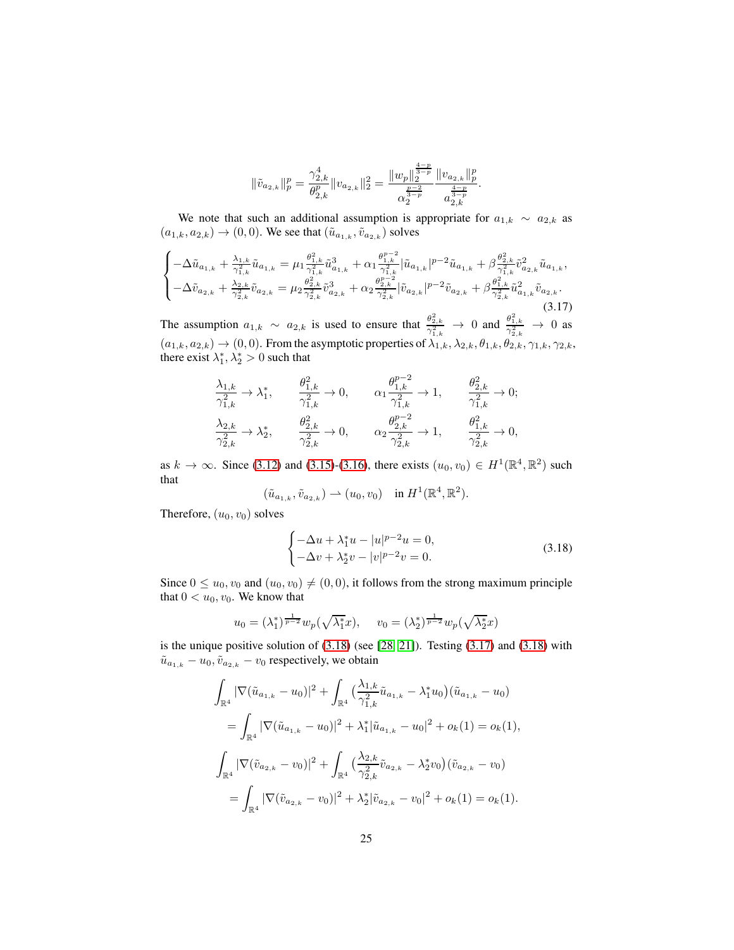$$
\|\tilde{v}_{a_{2,k}}\|_p^p=\frac{\gamma_{2,k}^4}{\theta_{2,k}^p}\|v_{a_{2,k}}\|_2^2=\frac{\|w_p\|_2^{\frac{4-p}{3-p}}}{\alpha_2^{\frac{p-2}{3-p}}}\frac{\|v_{a_{2,k}}\|_p^p}{\frac{4-p}{3-p}}.
$$

We note that such an additional assumption is appropriate for  $a_{1,k} \sim a_{2,k}$  as  $(a_{1,k}, a_{2,k}) \to (0, 0)$ . We see that  $(\tilde{u}_{a_{1,k}}, \tilde{v}_{a_{2,k}})$  solves

<span id="page-24-1"></span>
$$
\begin{cases}\n-\Delta \tilde{u}_{a_{1,k}} + \frac{\lambda_{1,k}}{\gamma_{1,k}^2} \tilde{u}_{a_{1,k}} = \mu_1 \frac{\theta_{1,k}^2}{\gamma_{1,k}^2} \tilde{u}_{a_{1,k}}^3 + \alpha_1 \frac{\theta_{1,k}^{p-2}}{\gamma_{1,k}^2} |\tilde{u}_{a_{1,k}}|^{p-2} \tilde{u}_{a_{1,k}} + \beta \frac{\theta_{2,k}^2}{\gamma_{1,k}^2} \tilde{v}_{a_{2,k}}^2 \tilde{u}_{a_{1,k}}, \\
-\Delta \tilde{v}_{a_{2,k}} + \frac{\lambda_{2,k}}{\gamma_{2,k}^2} \tilde{v}_{a_{2,k}} = \mu_2 \frac{\theta_{2,k}^2}{\gamma_{2,k}^2} \tilde{v}_{a_{2,k}}^3 + \alpha_2 \frac{\theta_{2,k}^{p-2}}{\gamma_{2,k}^2} |\tilde{v}_{a_{2,k}}|^{p-2} \tilde{v}_{a_{2,k}} + \beta \frac{\theta_{1,k}^2}{\gamma_{2,k}^2} \tilde{u}_{a_{1,k}}^2 \tilde{v}_{a_{2,k}}.\n\end{cases} (3.17)
$$

The assumption  $a_{1,k} \sim a_{2,k}$  is used to ensure that  $\frac{\theta_{2,k}^2}{\gamma_{1,k}^2} \to 0$  and  $\frac{\theta_{1,k}^2}{\gamma_{2,k}^2} \to 0$  as  $(a_{1,k}, a_{2,k}) \rightarrow (0, 0)$ . From the asymptotic properties of  $\lambda_{1,k}, \lambda_{2,k}, \theta_{1,k}, \theta_{2,k}, \gamma_{1,k}, \gamma_{2,k}$ , there exist  $\lambda_1^*, \lambda_2^* > 0$  such that

$$
\begin{alignedat}{2}\frac{\lambda_{1,k}}{\gamma_{1,k}^2}\rightarrow\lambda_1^*,\qquad &\frac{\theta_{1,k}^2}{\gamma_{1,k}^2}\rightarrow0,\qquad &\alpha_1\frac{\theta_{1,k}^{p-2}}{\gamma_{1,k}^2}\rightarrow1,\qquad &\frac{\theta_{2,k}^2}{\gamma_{1,k}^2}\rightarrow0;\\ \frac{\lambda_{2,k}}{\gamma_{2,k}^2}\rightarrow\lambda_2^*,\qquad &\frac{\theta_{2,k}^2}{\gamma_{2,k}^2}\rightarrow0,\qquad &\alpha_2\frac{\theta_{2,k}^{p-2}}{\gamma_{2,k}^2}\rightarrow1,\qquad &\frac{\theta_{1,k}^2}{\gamma_{2,k}^2}\rightarrow0, \end{alignedat}
$$

as  $k \to \infty$ . Since [\(3.12\)](#page-22-0) and [\(3.15\)](#page-23-2)-[\(3.16\)](#page-23-3), there exists  $(u_0, v_0) \in H^1(\mathbb{R}^4, \mathbb{R}^2)$  such that

$$
(\tilde{u}_{a_{1,k}}, \tilde{v}_{a_{2,k}}) \rightharpoonup (u_0, v_0) \quad \text{in } H^1(\mathbb{R}^4, \mathbb{R}^2).
$$

Therefore,  $(u_0, v_0)$  solves

<span id="page-24-0"></span>
$$
\begin{cases}\n-\Delta u + \lambda_1^* u - |u|^{p-2} u = 0, \\
-\Delta v + \lambda_2^* v - |v|^{p-2} v = 0.\n\end{cases}
$$
\n(3.18)

Since  $0 \le u_0, v_0$  and  $(u_0, v_0) \ne (0, 0)$ , it follows from the strong maximum principle that  $0 < u_0, v_0$ . We know that

$$
u_0 = (\lambda_1^*)^{\frac{1}{p-2}} w_p(\sqrt{\lambda_1^*}x), \quad v_0 = (\lambda_2^*)^{\frac{1}{p-2}} w_p(\sqrt{\lambda_2^*}x)
$$

is the unique positive solution of [\(3.18\)](#page-24-0) (see [\[28,](#page-56-13) [21\]](#page-55-12)). Testing [\(3.17\)](#page-24-1) and [\(3.18\)](#page-24-0) with  $\tilde{u}_{a_{1,k}} - u_0, \tilde{v}_{a_{2,k}} - v_0$  respectively, we obtain

$$
\int_{\mathbb{R}^4} |\nabla(\tilde{u}_{a_{1,k}} - u_0)|^2 + \int_{\mathbb{R}^4} \left(\frac{\lambda_{1,k}}{\gamma_{1,k}^2} \tilde{u}_{a_{1,k}} - \lambda_1^* u_0\right) (\tilde{u}_{a_{1,k}} - u_0)
$$
  
\n
$$
= \int_{\mathbb{R}^4} |\nabla(\tilde{u}_{a_{1,k}} - u_0)|^2 + \lambda_1^* |\tilde{u}_{a_{1,k}} - u_0|^2 + o_k(1) = o_k(1),
$$
  
\n
$$
\int_{\mathbb{R}^4} |\nabla(\tilde{v}_{a_{2,k}} - v_0)|^2 + \int_{\mathbb{R}^4} \left(\frac{\lambda_{2,k}}{\gamma_{2,k}^2} \tilde{v}_{a_{2,k}} - \lambda_2^* v_0\right) (\tilde{v}_{a_{2,k}} - v_0)
$$
  
\n
$$
= \int_{\mathbb{R}^4} |\nabla(\tilde{v}_{a_{2,k}} - v_0)|^2 + \lambda_2^* |\tilde{v}_{a_{2,k}} - v_0|^2 + o_k(1) = o_k(1).
$$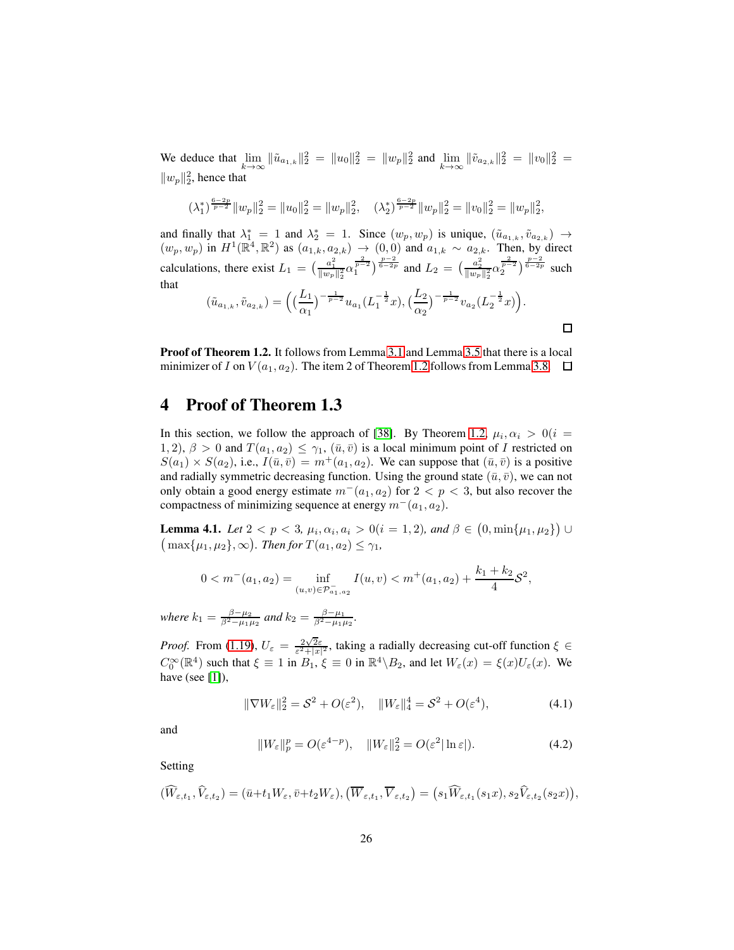We deduce that  $\lim_{k \to \infty} \|\tilde{u}_{a_{1,k}}\|_2^2 = \|u_0\|_2^2 = \|w_p\|_2^2$  and  $\lim_{k \to \infty} \|\tilde{v}_{a_{2,k}}\|_2^2 = \|v_0\|_2^2 =$  $||w_p||_2^2$ , hence that

$$
(\lambda_1^*)^{\frac{6-2p}{p-2}} \|w_p\|_2^2 = \|u_0\|_2^2 = \|w_p\|_2^2, \quad (\lambda_2^*)^{\frac{6-2p}{p-2}} \|w_p\|_2^2 = \|w_0\|_2^2 = \|w_p\|_2^2,
$$

and finally that  $\lambda_1^* = 1$  and  $\lambda_2^* = 1$ . Since  $(w_p, w_p)$  is unique,  $(\tilde{u}_{a_{1,k}}, \tilde{v}_{a_{2,k}}) \rightarrow$  $(w_p, w_p)$  in  $H^1(\mathbb{R}^4, \mathbb{R}^2)$  as  $(a_{1,k}, a_{2,k}) \to (0, 0)$  and  $a_{1,k} \sim a_{2,k}$ . Then, by direct calculations, there exist  $L_1 = \left(\frac{a_1^2}{\|w_p\|_2^2} \alpha_1^{\frac{2}{p-2}}\right)^{\frac{p-2}{6-2p}}$  and  $L_2 = \left(\frac{a_2^2}{\|w_p\|_2^2} \alpha_2^{\frac{2}{p-2}}\right)^{\frac{p-2}{6-2p}}$  such that

$$
(\tilde{u}_{a_{1,k}}, \tilde{v}_{a_{2,k}}) = \left( \left( \frac{L_1}{\alpha_1} \right)^{-\frac{1}{p-2}} u_{a_1} (L_1^{-\frac{1}{2}} x), \left( \frac{L_2}{\alpha_2} \right)^{-\frac{1}{p-2}} v_{a_2} (L_2^{-\frac{1}{2}} x) \right).
$$

 $\Box$ 

Proof of Theorem 1.2. It follows from Lemma [3.1](#page-14-1) and Lemma [3.5](#page-18-1) that there is a local minimizer of I on  $V(a_1, a_2)$ . The item 2 of Theorem [1.2](#page-5-0) follows from Lemma [3.8.](#page-21-1)  $\Box$ 

#### 4 Proof of Theorem 1.3

In this section, we follow the approach of [\[38\]](#page-56-4). By Theorem [1.2,](#page-5-0)  $\mu_i, \alpha_i > 0$  (i = 1, 2),  $\beta > 0$  and  $T(a_1, a_2) \leq \gamma_1$ ,  $(\bar{u}, \bar{v})$  is a local minimum point of I restricted on  $S(a_1) \times S(a_2)$ , i.e.,  $I(\bar{u}, \bar{v}) = m^+(a_1, a_2)$ . We can suppose that  $(\bar{u}, \bar{v})$  is a positive and radially symmetric decreasing function. Using the ground state  $(\bar{u}, \bar{v})$ , we can not only obtain a good energy estimate  $m^-(a_1, a_2)$  for  $2 < p < 3$ , but also recover the compactness of minimizing sequence at energy  $m^-(a_1, a_2)$ .

<span id="page-25-2"></span>**Lemma 4.1.** *Let*  $2 < p < 3$ ,  $\mu_i$ ,  $\alpha_i$ ,  $a_i > 0$  ( $i = 1, 2$ ), and  $\beta \in (0, \min\{\mu_1, \mu_2\}) \cup$  $(\max\{\mu_1, \mu_2\}, \infty)$ . Then for  $T(a_1, a_2) \leq \gamma_1$ ,

$$
0 < m^-(a_1, a_2) = \inf_{(u,v) \in \mathcal{P}_{a_1, a_2}} I(u, v) < m^+(a_1, a_2) + \frac{k_1 + k_2}{4} \mathcal{S}^2,
$$

*where*  $k_1 = \frac{\beta - \mu_2}{\beta^2 - \mu_1 \mu_2}$  *and*  $k_2 = \frac{\beta - \mu_1}{\beta^2 - \mu_1 \mu_2}$ *.* 

*Proof.* From [\(1.19\)](#page-6-2),  $U_{\varepsilon} = \frac{2\sqrt{2}\varepsilon}{\varepsilon^2 + |x|^2}$ , taking a radially decreasing cut-off function  $\xi \in$  $C_0^{\infty}(\mathbb{R}^4)$  such that  $\xi \equiv 1$  in  $B_1$ ,  $\xi \equiv 0$  in  $\mathbb{R}^4 \setminus B_2$ , and let  $W_{\varepsilon}(x) = \xi(x)U_{\varepsilon}(x)$ . We have (see  $[1]$ ),

<span id="page-25-0"></span>
$$
\|\nabla W_{\varepsilon}\|_{2}^{2} = \mathcal{S}^{2} + O(\varepsilon^{2}), \quad \|W_{\varepsilon}\|_{4}^{4} = \mathcal{S}^{2} + O(\varepsilon^{4}), \tag{4.1}
$$

and

<span id="page-25-1"></span>
$$
||W_{\varepsilon}||_{p}^{p} = O(\varepsilon^{4-p}), \quad ||W_{\varepsilon}||_{2}^{2} = O(\varepsilon^{2}|\ln \varepsilon|). \tag{4.2}
$$

Setting

$$
(\widehat{W}_{\varepsilon,t_1},\widehat{V}_{\varepsilon,t_2})=(\bar{u}+t_1W_{\varepsilon},\bar{v}+t_2W_{\varepsilon}),(\overline{W}_{\varepsilon,t_1},\overline{V}_{\varepsilon,t_2})=(s_1\widehat{W}_{\varepsilon,t_1}(s_1x),s_2\widehat{V}_{\varepsilon,t_2}(s_2x)),
$$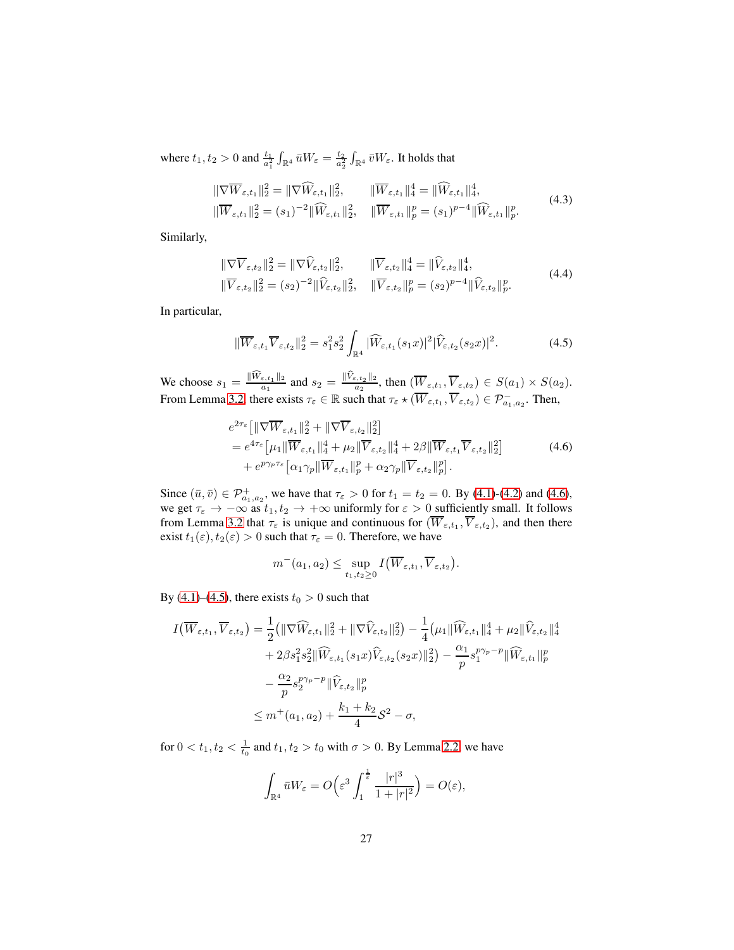where  $t_1, t_2 > 0$  and  $\frac{t_1}{a_1^2} \int_{\mathbb{R}^4} \bar{u} W_{\varepsilon} = \frac{t_2}{a_2^2} \int_{\mathbb{R}^4} \bar{v} W_{\varepsilon}$ . It holds that

$$
\|\nabla \overline{W}_{\varepsilon,t_1}\|_2^2 = \|\nabla \widehat{W}_{\varepsilon,t_1}\|_2^2, \qquad \|\overline{W}_{\varepsilon,t_1}\|_4^4 = \|\widehat{W}_{\varepsilon,t_1}\|_4^4,
$$
  

$$
\|\overline{W}_{\varepsilon,t_1}\|_2^2 = (s_1)^{-2} \|\widehat{W}_{\varepsilon,t_1}\|_2^2, \quad \|\overline{W}_{\varepsilon,t_1}\|_p^p = (s_1)^{p-4} \|\widehat{W}_{\varepsilon,t_1}\|_p^p.
$$
 (4.3)

Similarly,

$$
\|\nabla \overline{V}_{\varepsilon,t_2}\|_2^2 = \|\nabla \widehat{V}_{\varepsilon,t_2}\|_2^2, \qquad \|\overline{V}_{\varepsilon,t_2}\|_4^4 = \|\widehat{V}_{\varepsilon,t_2}\|_4^4,
$$
  

$$
\|\overline{V}_{\varepsilon,t_2}\|_2^2 = (s_2)^{-2} \|\widehat{V}_{\varepsilon,t_2}\|_2^2, \quad \|\overline{V}_{\varepsilon,t_2}\|_p^p = (s_2)^{p-4} \|\widehat{V}_{\varepsilon,t_2}\|_p^p.
$$
 (4.4)

In particular,

<span id="page-26-1"></span>
$$
\|\overline{W}_{\varepsilon,t_1}\overline{V}_{\varepsilon,t_2}\|_2^2 = s_1^2 s_2^2 \int_{\mathbb{R}^4} |\widehat{W}_{\varepsilon,t_1}(s_1x)|^2 |\widehat{V}_{\varepsilon,t_2}(s_2x)|^2. \tag{4.5}
$$

We choose  $s_1 = \frac{\|\widehat{W}_{\varepsilon,t_1}\|_2}{a_1}$  and  $s_2 = \frac{\|\widehat{V}_{\varepsilon,t_2}\|_2}{a_2}$ , then  $(\overline{W}_{\varepsilon,t_1}, \overline{V}_{\varepsilon,t_2}) \in S(a_1) \times S(a_2)$ . From Lemma [3.2,](#page-15-2) there exists  $\tau_{\varepsilon} \in \mathbb{R}$  such that  $\tau_{\varepsilon} \star (\overline{W}_{\varepsilon,t_1}, \overline{V}_{\varepsilon,t_2}) \in \mathcal{P}^-_{a_1,a_2}$ . Then,

<span id="page-26-0"></span>
$$
e^{2\tau_{\varepsilon}}\left[\|\nabla \overline{W}_{\varepsilon,t_{1}}\|_{2}^{2} + \|\nabla \overline{V}_{\varepsilon,t_{2}}\|_{2}^{2}\right]
$$
  
=  $e^{4\tau_{\varepsilon}}\left[\mu_{1} \|\overline{W}_{\varepsilon,t_{1}}\|_{4}^{4} + \mu_{2} \|\overline{V}_{\varepsilon,t_{2}}\|_{4}^{4} + 2\beta \|\overline{W}_{\varepsilon,t_{1}}\overline{V}_{\varepsilon,t_{2}}\|_{2}^{2}\right]$   
+  $e^{p\gamma_{p}\tau_{\varepsilon}}\left[\alpha_{1}\gamma_{p} \|\overline{W}_{\varepsilon,t_{1}}\|_{p}^{p} + \alpha_{2}\gamma_{p} \|\overline{V}_{\varepsilon,t_{2}}\|_{p}^{p}\right].$  (4.6)

Since  $(\bar{u}, \bar{v}) \in \mathcal{P}^+_{a_1, a_2}$ , we have that  $\tau_{\varepsilon} > 0$  for  $t_1 = t_2 = 0$ . By [\(4.1\)](#page-25-0)-[\(4.2\)](#page-25-1) and [\(4.6\)](#page-26-0), we get  $\tau_{\varepsilon} \to -\infty$  as  $t_1, t_2 \to +\infty$  uniformly for  $\varepsilon > 0$  sufficiently small. It follows from Lemma [3.2](#page-15-2) that  $\tau_{\varepsilon}$  is unique and continuous for  $(\overline{W}_{\varepsilon,t_1}, \overline{V}_{\varepsilon,t_2})$ , and then there exist  $t_1(\varepsilon)$ ,  $t_2(\varepsilon) > 0$  such that  $\tau_{\varepsilon} = 0$ . Therefore, we have

$$
m^-(a_1, a_2) \leq \sup_{t_1, t_2 \geq 0} I(\overline{W}_{\varepsilon, t_1}, \overline{V}_{\varepsilon, t_2}).
$$

By [\(4.1\)](#page-25-0)–[\(4.5\)](#page-26-1), there exists  $t_0 > 0$  such that

$$
I(\overline{W}_{\varepsilon,t_{1}}, \overline{V}_{\varepsilon,t_{2}}) = \frac{1}{2} ( \| \nabla \widehat{W}_{\varepsilon,t_{1}} \|_{2}^{2} + \| \nabla \widehat{V}_{\varepsilon,t_{2}} \|_{2}^{2} ) - \frac{1}{4} (\mu_{1} \| \widehat{W}_{\varepsilon,t_{1}} \|_{4}^{4} + \mu_{2} \| \widehat{V}_{\varepsilon,t_{2}} \|_{4}^{4}
$$
  
+  $2\beta s_{1}^{2} s_{2}^{2} \| \widehat{W}_{\varepsilon,t_{1}}(s_{1}x) \widehat{V}_{\varepsilon,t_{2}}(s_{2}x) \|_{2}^{2} ) - \frac{\alpha_{1}}{p} s_{1}^{p\gamma_{p} - p} \| \widehat{W}_{\varepsilon,t_{1}} \|_{p}^{p}$   

$$
- \frac{\alpha_{2}}{p} s_{2}^{p\gamma_{p} - p} \| \widehat{V}_{\varepsilon,t_{2}} \|_{p}^{p}
$$
  

$$
\leq m^{+}(a_{1}, a_{2}) + \frac{k_{1} + k_{2}}{4} \mathcal{S}^{2} - \sigma,
$$

for  $0 < t_1, t_2 < \frac{1}{t_0}$  and  $t_1, t_2 > t_0$  with  $\sigma > 0$ . By Lemma [2.2,](#page-10-0) we have

$$
\int_{\mathbb{R}^4} \bar{u} W_{\varepsilon} = O\Big(\varepsilon^3 \int_1^{\frac{1}{\varepsilon}} \frac{|r|^3}{1+|r|^2}\Big) = O(\varepsilon),
$$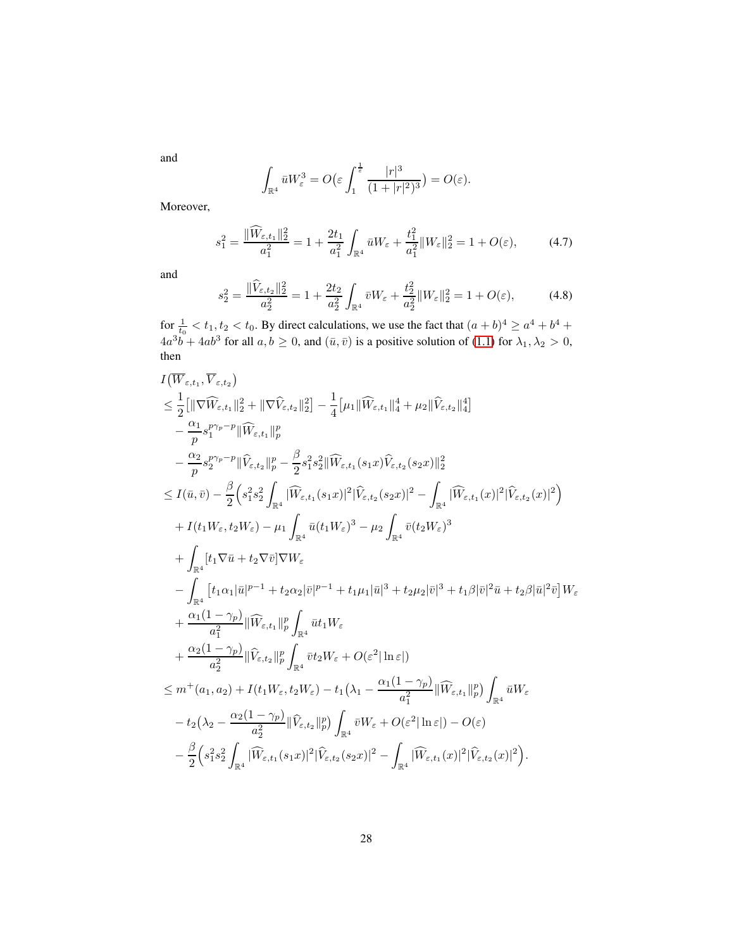and

$$
\int_{\mathbb{R}^4} \bar{u} W_{\varepsilon}^3 = O\big(\varepsilon \int_1^{\frac{1}{\varepsilon}} \frac{|r|^3}{(1+|r|^2)^3}\big) = O(\varepsilon).
$$

Moreover,

<span id="page-27-0"></span>
$$
s_1^2 = \frac{\|\widehat{W}_{\varepsilon,t_1}\|_2^2}{a_1^2} = 1 + \frac{2t_1}{a_1^2} \int_{\mathbb{R}^4} \bar{u} W_{\varepsilon} + \frac{t_1^2}{a_1^2} \|W_{\varepsilon}\|_2^2 = 1 + O(\varepsilon),\tag{4.7}
$$

and

<span id="page-27-1"></span>
$$
s_2^2 = \frac{\|\widehat{V}_{\varepsilon,t_2}\|_2^2}{a_2^2} = 1 + \frac{2t_2}{a_2^2} \int_{\mathbb{R}^4} \bar{v} W_{\varepsilon} + \frac{t_2^2}{a_2^2} \|W_{\varepsilon}\|_2^2 = 1 + O(\varepsilon),\tag{4.8}
$$

for  $\frac{1}{t_0} < t_1, t_2 < t_0$ . By direct calculations, we use the fact that  $(a + b)^4 \ge a^4 + b^4 +$  $4a^3b + 4ab^3$  for all  $a, b \ge 0$ , and  $(\bar{u}, \bar{v})$  is a positive solution of [\(1.1\)](#page-2-0) for  $\lambda_1, \lambda_2 > 0$ , then

$$
\begin{split} &I(\overline{W}_{\varepsilon,t_{1}},\overline{V}_{\varepsilon,t_{2}}) \\ &\leq \frac{1}{2}\big[\|\nabla \widehat{W}_{\varepsilon,t_{1}}\|_{2}^{2}+\|\nabla \widehat{V}_{\varepsilon,t_{2}}\|_{2}^{2}\big]-\frac{1}{4}\big[\mu_{1}\|\widehat{W}_{\varepsilon,t_{1}}\|_{4}^{4}+\mu_{2}\|\widehat{V}_{\varepsilon,t_{2}}\|_{4}^{4}\big] \\ &\quad -\frac{\alpha_{1}}{p}s_{1}^{p\gamma_{p}-p}\|\widehat{V}_{\varepsilon,t_{2}}\|_{p}^{p} -\frac{\beta}{2}s_{1}^{2}s_{2}^{2}\|\widehat{W}_{\varepsilon,t_{1}}(s_{1}x)\widehat{V}_{\varepsilon,t_{2}}(s_{2}x)\|_{2}^{2} \\ &\leq I(\bar{u},\bar{v})-\frac{\beta}{2}\Big(s_{1}^{2}s_{2}^{2}\int_{\mathbb{R}^{4}}|\widehat{W}_{\varepsilon,t_{1}}(s_{1}x)|^{2}|\widehat{V}_{\varepsilon,t_{2}}(s_{2}x)|^{2}-\int_{\mathbb{R}^{4}}|\widehat{W}_{\varepsilon,t_{1}}(x)|^{2}|\widehat{V}_{\varepsilon,t_{2}}(x)|^{2}\Big) \\ &+I(t_{1}W_{\varepsilon},t_{2}W_{\varepsilon})-\mu_{1}\int_{\mathbb{R}^{4}}\bar{u}(t_{1}W_{\varepsilon})^{3}-\mu_{2}\int_{\mathbb{R}^{4}}\bar{v}(t_{2}W_{\varepsilon})^{3} \\ &\quad +\int_{\mathbb{R}^{4}}[t_{1}\nabla\bar{u}+t_{2}\nabla\bar{v}]\nabla W_{\varepsilon} \\ &\quad -\int_{\mathbb{R}^{4}}\left[t_{1}\alpha_{1}|\bar{u}|^{p-1}+t_{2}\alpha_{2}|\bar{v}|^{p-1}+t_{1}\mu_{1}|\bar{u}|^{3}+t_{2}\mu_{2}|\bar{v}|^{3}+t_{1}\beta|\bar{v}|^{2}\bar{u}+t_{2}\beta|\bar{u}|^{2}\bar{v}\right]W_{\varepsilon} \\ &\quad +\frac{\alpha_{1}(1-\gamma_{p})}{a_{1}^{2}}\|\widehat{W}_{\varepsilon,t_{
$$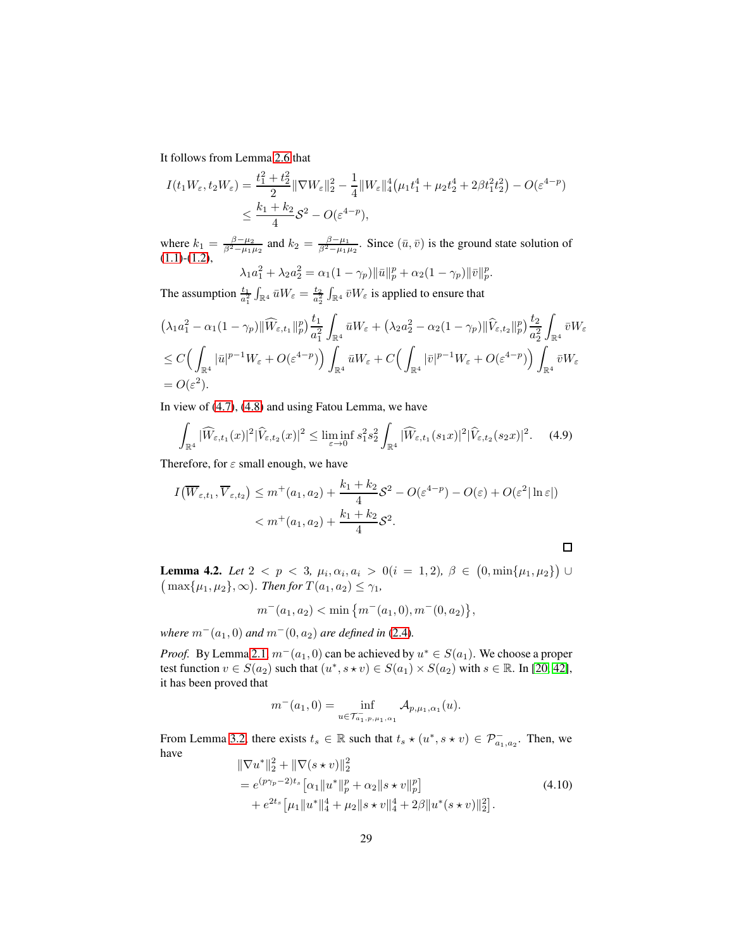It follows from Lemma [2.6](#page-11-0) that

$$
I(t_1 W_{\varepsilon}, t_2 W_{\varepsilon}) = \frac{t_1^2 + t_2^2}{2} \|\nabla W_{\varepsilon}\|_2^2 - \frac{1}{4} \|W_{\varepsilon}\|_4^4 \left(\mu_1 t_1^4 + \mu_2 t_2^4 + 2\beta t_1^2 t_2^2\right) - O(\varepsilon^{4-p})
$$
  

$$
\leq \frac{k_1 + k_2}{4} \mathcal{S}^2 - O(\varepsilon^{4-p}),
$$

where  $k_1 = \frac{\beta - \mu_2}{\beta^2 - \mu_1 \mu_2}$  and  $k_2 = \frac{\beta - \mu_1}{\beta^2 - \mu_1 \mu_2}$ . Since  $(\bar{u}, \bar{v})$  is the ground state solution of [\(1.1\)](#page-2-0)-[\(1.2\)](#page-2-3),<br>  $\log^2 + \log^2 = \alpha_1 (1 - \alpha) \frac{\|\vec{v}\|^p}{\|\vec{v}\|^p} + \alpha_2 (1 - \alpha) \frac{\|\vec{v}\|^p}{\|\vec{v}\|^p}$ .

$$
\lambda_1 a_1^2 + \lambda_2 a_2^2 = \alpha_1 (1 - \gamma_p) \|\bar{u}\|_p^p + \alpha_2 (1 - \gamma_p) \|\bar{v}\|_p^p
$$

The assumption  $\frac{t_1}{a_1^2} \int_{\mathbb{R}^4} \bar{u} W_{\varepsilon} = \frac{t_2}{a_2^2} \int_{\mathbb{R}^4} \bar{v} W_{\varepsilon}$  is applied to ensure that

$$
\begin{split} &\left(\lambda_1a_1^2-\alpha_1(1-\gamma_p)\|\widehat{W}_{\varepsilon,t_1}\|_p^p\right)\frac{t_1}{a_1^2}\int_{\mathbb{R}^4}\bar{u}W_{\varepsilon}+\left(\lambda_2a_2^2-\alpha_2(1-\gamma_p)\|\widehat{V}_{\varepsilon,t_2}\|_p^p\right)\frac{t_2}{a_2^2}\int_{\mathbb{R}^4}\bar{v}W_{\varepsilon} \\ &\leq C\Big(\int_{\mathbb{R}^4}|\bar{u}|^{p-1}W_{\varepsilon}+O(\varepsilon^{4-p})\Big)\int_{\mathbb{R}^4}\bar{u}W_{\varepsilon}+C\Big(\int_{\mathbb{R}^4}|\bar{v}|^{p-1}W_{\varepsilon}+O(\varepsilon^{4-p})\Big)\int_{\mathbb{R}^4}\bar{v}W_{\varepsilon} \\ &=O(\varepsilon^2). \end{split}
$$

In view of [\(4.7\)](#page-27-0), [\(4.8\)](#page-27-1) and using Fatou Lemma, we have

$$
\int_{\mathbb{R}^4} |\widehat{W}_{\varepsilon,t_1}(x)|^2 |\widehat{V}_{\varepsilon,t_2}(x)|^2 \le \liminf_{\varepsilon \to 0} s_1^2 s_2^2 \int_{\mathbb{R}^4} |\widehat{W}_{\varepsilon,t_1}(s_1x)|^2 |\widehat{V}_{\varepsilon,t_2}(s_2x)|^2. \tag{4.9}
$$

Therefore, for  $\varepsilon$  small enough, we have

$$
I(\overline{W}_{\varepsilon,t_1}, \overline{V}_{\varepsilon,t_2}) \le m^+(a_1, a_2) + \frac{k_1 + k_2}{4} \mathcal{S}^2 - O(\varepsilon^{4-p}) - O(\varepsilon) + O(\varepsilon^2 |\ln \varepsilon|)
$$
  
< 
$$
< m^+(a_1, a_2) + \frac{k_1 + k_2}{4} \mathcal{S}^2.
$$

<span id="page-28-1"></span>**Lemma 4.2.** *Let*  $2 < p < 3$ ,  $\mu_i, \alpha_i, a_i > 0$  (i = 1, 2),  $\beta \in (0, \min\{\mu_1, \mu_2\})$  $(\max\{\mu_1, \mu_2\}, \infty)$ . Then for  $T(a_1, a_2) \leq \gamma_1$ ,

$$
m^-(a_1, a_2) < \min\left\{m^-(a_1, 0), m^-(0, a_2)\right\},
$$

*where*  $m^-(a_1, 0)$  *and*  $m^-(0, a_2)$  *are defined in* [\(2.4\)](#page-10-1)*.* 

*Proof.* By Lemma [2.1,](#page-10-2)  $m^-(a_1, 0)$  can be achieved by  $u^* \in S(a_1)$ . We choose a proper test function  $v \in S(a_2)$  such that  $(u^*, s \star v) \in S(a_1) \times S(a_2)$  with  $s \in \mathbb{R}$ . In [\[20,](#page-55-4) [42\]](#page-57-0), it has been proved that

$$
m^{-}(a_1, 0) = \inf_{u \in \mathcal{T}_{a_1, p, \mu_1, \alpha_1}} \mathcal{A}_{p, \mu_1, \alpha_1}(u).
$$

From Lemma [3.2,](#page-15-2) there exists  $t_s \in \mathbb{R}$  such that  $t_s \star (u^*, s \star v) \in \mathcal{P}_{a_1, a_2}^{-}$ . Then, we have

<span id="page-28-0"></span>
$$
\|\nabla u^*\|_2^2 + \|\nabla(s \star v)\|_2^2
$$
  
=  $e^{(p\gamma_p - 2)t_s} [\alpha_1 \|u^*\|_p^p + \alpha_2 \|s \star v\|_p^p]$   
+  $e^{2t_s} [\mu_1 \|u^*\|_4^4 + \mu_2 \|s \star v\|_4^4 + 2\beta \|u^*(s \star v)\|_2^2].$  (4.10)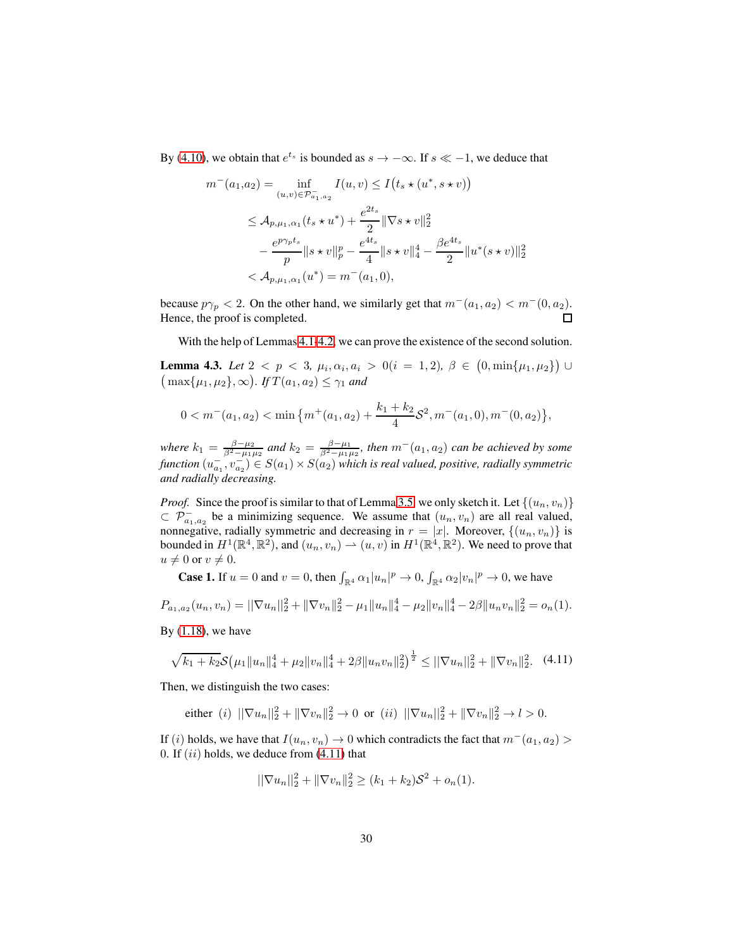By [\(4.10\)](#page-28-0), we obtain that  $e^{t_s}$  is bounded as  $s \to -\infty$ . If  $s \ll -1$ , we deduce that

$$
m^{-}(a_1, a_2) = \inf_{(u,v) \in \mathcal{P}_{a_1, a_2}^{-}} I(u, v) \le I(t_s \star (u^*, s \star v))
$$
  
\n
$$
\le \mathcal{A}_{p, \mu_1, \alpha_1}(t_s \star u^*) + \frac{e^{2t_s}}{2} \|\nabla s \star v\|_2^2
$$
  
\n
$$
-\frac{e^{p\gamma_p t_s}}{p} \|s \star v\|_p^p - \frac{e^{4t_s}}{4} \|s \star v\|_4^4 - \frac{\beta e^{4t_s}}{2} \|u^*(s \star v)\|
$$
  
\n
$$
< \mathcal{A}_{p, \mu_1, \alpha_1}(u^*) = m^-(a_1, 0),
$$

 $\frac{2}{2}$ 

because  $p\gamma_p < 2$ . On the other hand, we similarly get that  $m^-(a_1, a_2) < m^-(0, a_2)$ . Hence, the proof is completed.  $\Box$ 

With the help of Lemmas [4.1-](#page-25-2)[4.2,](#page-28-1) we can prove the existence of the second solution.

<span id="page-29-1"></span>**Lemma 4.3.** *Let*  $2 < p < 3$ ,  $\mu_i, \alpha_i, a_i > 0$  (*i* = 1, 2),  $\beta \in (0, \min\{\mu_1, \mu_2\})$   $\cup$  $(\max\{\mu_1, \mu_2\}, \infty)$ . *If*  $T(a_1, a_2) \leq \gamma_1$  *and* 

$$
0 < m^-(a_1, a_2) < \min\left\{m^+(a_1, a_2) + \frac{k_1 + k_2}{4} S^2, m^-(a_1, 0), m^-(0, a_2)\right\},
$$

*where*  $k_1 = \frac{\beta - \mu_2}{\beta^2 - \mu_1 \mu_2}$  *and*  $k_2 = \frac{\beta - \mu_1}{\beta^2 - \mu_1 \mu_2}$ *, then*  $m^-(a_1, a_2)$  *can be achieved by some* function  $(u_{a_1}^-, v_{a_2}^-) \in S(a_1) \times S(a_2)$  which is real valued, positive, radially symmetric *and radially decreasing.*

*Proof.* Since the proof is similar to that of Lemma [3.5,](#page-18-1) we only sketch it. Let  $\{(u_n, v_n)\}$  $\subset \mathcal{P}^-_{a_1,a_2}$  be a minimizing sequence. We assume that  $(u_n, v_n)$  are all real valued, nonnegative, radially symmetric and decreasing in  $r = |x|$ . Moreover,  $\{(u_n, v_n)\}$  is bounded in  $H^1(\mathbb{R}^4, \mathbb{R}^2)$ , and  $(u_n, v_n) \rightharpoonup (u, v)$  in  $H^1(\mathbb{R}^4, \mathbb{R}^2)$ . We need to prove that  $u \neq 0$  or  $v \neq 0$ .

**Case 1.** If  $u = 0$  and  $v = 0$ , then  $\int_{\mathbb{R}^4} \alpha_1 |u_n|^p \to 0$ ,  $\int_{\mathbb{R}^4} \alpha_2 |v_n|^p \to 0$ , we have

$$
P_{a_1,a_2}(u_n,v_n) = ||\nabla u_n||_2^2 + ||\nabla v_n||_2^2 - \mu_1 ||u_n||_4^4 - \mu_2 ||v_n||_4^4 - 2\beta ||u_n v_n||_2^2 = o_n(1).
$$

By  $(1.18)$ , we have

<span id="page-29-0"></span>
$$
\sqrt{k_1 + k_2} \mathcal{S}\big(\mu_1 \|u_n\|_4^4 + \mu_2 \|v_n\|_4^4 + 2\beta \|u_n v_n\|_2^2\big)^{\frac{1}{2}} \le ||\nabla u_n||_2^2 + \|\nabla v_n\|_2^2. \tag{4.11}
$$

Then, we distinguish the two cases:

either (i) 
$$
||\nabla u_n||_2^2 + ||\nabla v_n||_2^2 \to 0
$$
 or (ii)  $||\nabla u_n||_2^2 + ||\nabla v_n||_2^2 \to l > 0$ .

If (i) holds, we have that  $I(u_n, v_n) \to 0$  which contradicts the fact that  $m^-(a_1, a_2)$ 0. If  $(ii)$  holds, we deduce from  $(4.11)$  that

$$
\|\nabla u_n\|_2^2 + \|\nabla v_n\|_2^2 \ge (k_1 + k_2)\mathcal{S}^2 + o_n(1).
$$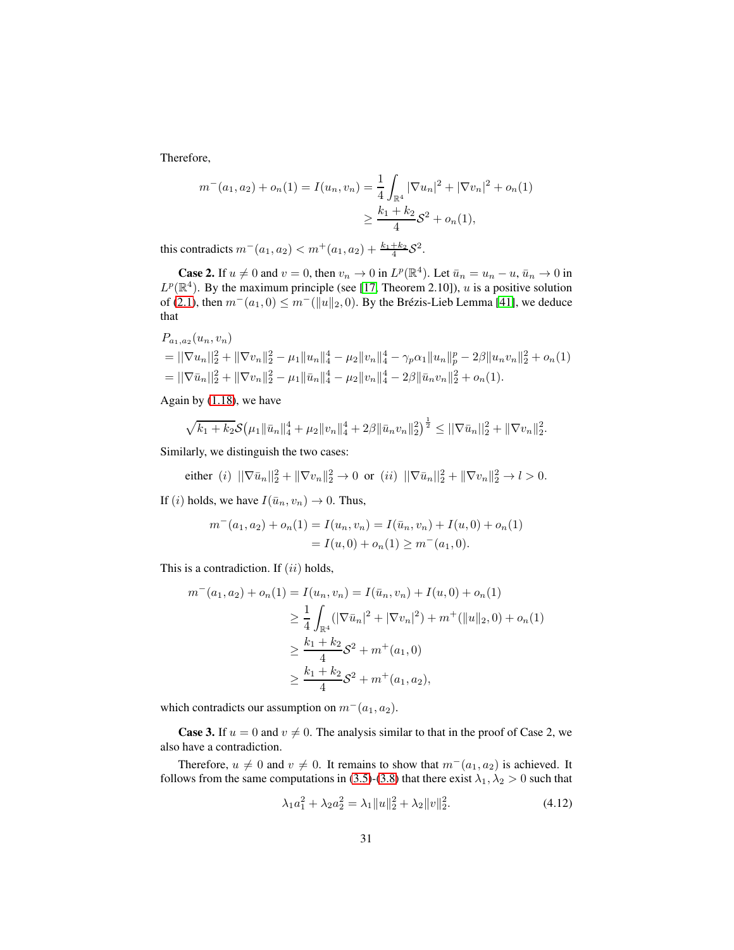Therefore,

$$
m^-(a_1, a_2) + o_n(1) = I(u_n, v_n) = \frac{1}{4} \int_{\mathbb{R}^4} |\nabla u_n|^2 + |\nabla v_n|^2 + o_n(1)
$$

$$
\geq \frac{k_1 + k_2}{4} \mathcal{S}^2 + o_n(1),
$$

this contradicts  $m^-(a_1, a_2) < m^+(a_1, a_2) + \frac{k_1+k_2}{4}S^2$ .

**Case 2.** If  $u \neq 0$  and  $v = 0$ , then  $v_n \to 0$  in  $L^p(\mathbb{R}^4)$ . Let  $\bar{u}_n = u_n - u$ ,  $\bar{u}_n \to 0$  in  $L^p(\mathbb{R}^4)$ . By the maximum principle (see [\[17,](#page-55-11) Theorem 2.10]), u is a positive solution of [\(2.1\)](#page-9-0), then  $m^-(a_1, 0) \leq m^-(\|u\|_2, 0)$ . By the Brézis-Lieb Lemma [\[41\]](#page-57-3), we deduce that

$$
P_{a_1, a_2}(u_n, v_n)
$$
  
=  $||\nabla u_n||_2^2 + ||\nabla v_n||_2^2 - \mu_1 ||u_n||_4^4 - \mu_2 ||v_n||_4^4 - \gamma_p \alpha_1 ||u_n||_p^p - 2\beta ||u_n v_n||_2^2 + o_n(1)$   
=  $||\nabla \bar{u}_n||_2^2 + ||\nabla v_n||_2^2 - \mu_1 ||\bar{u}_n||_4^4 - \mu_2 ||v_n||_4^4 - 2\beta ||\bar{u}_n v_n||_2^2 + o_n(1).$ 

Again by [\(1.18\)](#page-5-3), we have

$$
\sqrt{k_1+k_2} \mathcal{S}\big(\mu_1 \|\bar{u}_n\|_4^4 + \mu_2 \|v_n\|_4^4 + 2\beta \|\bar{u}_n v_n\|_2^2\big)^{\frac{1}{2}} \le ||\nabla \bar{u}_n||_2^2 + \|\nabla v_n\|_2^2.
$$

Similarly, we distinguish the two cases:

either (i) 
$$
||\nabla \bar{u}_n||_2^2 + ||\nabla v_n||_2^2 \to 0
$$
 or (ii)  $||\nabla \bar{u}_n||_2^2 + ||\nabla v_n||_2^2 \to l > 0$ .

If (i) holds, we have  $I(\bar{u}_n, v_n) \to 0$ . Thus,

$$
m^-(a_1, a_2) + o_n(1) = I(u_n, v_n) = I(\bar{u}_n, v_n) + I(u, 0) + o_n(1)
$$
  
=  $I(u, 0) + o_n(1) \ge m^-(a_1, 0)$ .

This is a contradiction. If  $(ii)$  holds,

$$
m^{-}(a_1, a_2) + o_n(1) = I(u_n, v_n) = I(\bar{u}_n, v_n) + I(u, 0) + o_n(1)
$$
  
\n
$$
\geq \frac{1}{4} \int_{\mathbb{R}^4} (|\nabla \bar{u}_n|^2 + |\nabla v_n|^2) + m^{+}(||u||_2, 0) + o_n(1)
$$
  
\n
$$
\geq \frac{k_1 + k_2}{4} S^2 + m^{+}(a_1, 0)
$$
  
\n
$$
\geq \frac{k_1 + k_2}{4} S^2 + m^{+}(a_1, a_2),
$$

which contradicts our assumption on  $m^-(a_1, a_2)$ .

**Case 3.** If  $u = 0$  and  $v \neq 0$ . The analysis similar to that in the proof of Case 2, we also have a contradiction.

Therefore,  $u \neq 0$  and  $v \neq 0$ . It remains to show that  $m^-(a_1, a_2)$  is achieved. It follows from the same computations in [\(3.5\)](#page-18-0)-[\(3.8\)](#page-19-2) that there exist  $\lambda_1, \lambda_2 > 0$  such that

<span id="page-30-0"></span>
$$
\lambda_1 a_1^2 + \lambda_2 a_2^2 = \lambda_1 \|u\|_2^2 + \lambda_2 \|v\|_2^2. \tag{4.12}
$$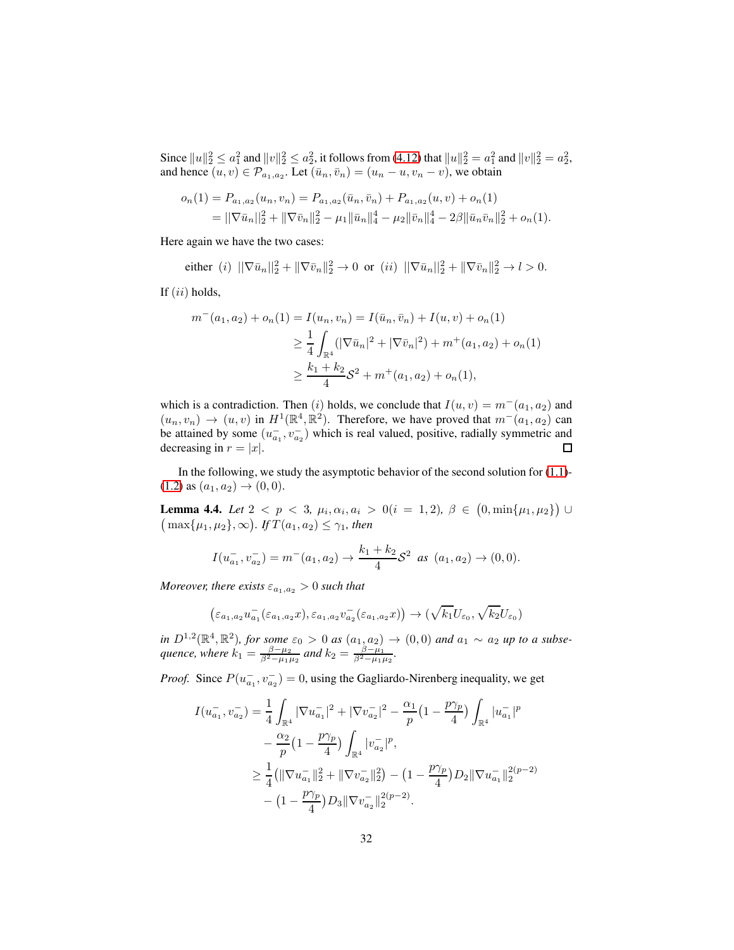Since  $||u||_2^2 \le a_1^2$  and  $||v||_2^2 \le a_2^2$ , it follows from [\(4.12\)](#page-30-0) that  $||u||_2^2 = a_1^2$  and  $||v||_2^2 = a_2^2$ , and hence  $(u, v) \in \mathcal{P}_{a_1, a_2}$ . Let  $(\bar{u}_n, \bar{v}_n) = (u_n - u, v_n - v)$ , we obtain

$$
o_n(1) = P_{a_1, a_2}(u_n, v_n) = P_{a_1, a_2}(\bar{u}_n, \bar{v}_n) + P_{a_1, a_2}(u, v) + o_n(1)
$$
  
= 
$$
||\nabla \bar{u}_n||_2^2 + ||\nabla \bar{v}_n||_2^2 - \mu_1 ||\bar{u}_n||_4^4 - \mu_2 ||\bar{v}_n||_4^4 - 2\beta ||\bar{u}_n \bar{v}_n||_2^2 + o_n(1).
$$

Here again we have the two cases:

either (i)  $\|\nabla \bar{u}_n\|_2^2 + \|\nabla \bar{v}_n\|_2^2 \to 0$  or (ii)  $\|\nabla \bar{u}_n\|_2^2 + \|\nabla \bar{v}_n\|_2^2 \to l > 0$ .

If  $(ii)$  holds,

$$
m^-(a_1, a_2) + o_n(1) = I(u_n, v_n) = I(\bar{u}_n, \bar{v}_n) + I(u, v) + o_n(1)
$$
  
\n
$$
\geq \frac{1}{4} \int_{\mathbb{R}^4} (|\nabla \bar{u}_n|^2 + |\nabla \bar{v}_n|^2) + m^+(a_1, a_2) + o_n(1)
$$
  
\n
$$
\geq \frac{k_1 + k_2}{4} S^2 + m^+(a_1, a_2) + o_n(1),
$$

which is a contradiction. Then (i) holds, we conclude that  $I(u, v) = m^-(a_1, a_2)$  and  $(u_n, v_n) \to (u, v)$  in  $H^1(\mathbb{R}^4, \mathbb{R}^2)$ . Therefore, we have proved that  $m^-(a_1, a_2)$  can be attained by some  $(u_{a_1}^-, v_{a_2}^-)$  which is real valued, positive, radially symmetric and decreasing in  $r = |x|$ .  $\Box$ 

In the following, we study the asymptotic behavior of the second solution for  $(1.1)$ - $(1.2)$  as  $(a_1, a_2) \rightarrow (0, 0)$ .

<span id="page-31-0"></span>**Lemma 4.4.** *Let*  $2 < p < 3$ ,  $\mu_i, \alpha_i, a_i > 0$  (*i* = 1, 2),  $\beta \in (0, \min\{\mu_1, \mu_2\})$   $\cup$  $\left(\max\{\mu_1, \mu_2\}, \infty\right)$ *. If*  $T(a_1, a_2) \leq \gamma_1$ *, then* 

$$
I(u_{a_1}^-, v_{a_2}^-) = m^-(a_1, a_2) \to \frac{k_1 + k_2}{4} S^2 \text{ as } (a_1, a_2) \to (0, 0).
$$

*Moreover, there exists*  $\varepsilon_{a_1,a_2} > 0$  *such that* 

$$
\left(\varepsilon_{a_1,a_2}u_{a_1}^{-}(\varepsilon_{a_1,a_2}x),\varepsilon_{a_1,a_2}v_{a_2}^{-}(\varepsilon_{a_1,a_2}x)\right)\to(\sqrt{k_1}U_{\varepsilon_0},\sqrt{k_2}U_{\varepsilon_0})
$$

*in*  $D^{1,2}(\mathbb{R}^4, \mathbb{R}^2)$ , for some  $\varepsilon_0 > 0$  as  $(a_{1}, a_{2}) \to (0, 0)$  and  $a_1 \sim a_2$  up to a subse*quence, where*  $k_1 = \frac{\beta - \mu_2}{\beta^2 - \mu_1 \mu_2}$  and  $k_2 = \frac{\beta - \mu_1}{\beta^2 - \mu_1 \mu_2}$ .

*Proof.* Since  $P(u_{a_1}^-, v_{a_2}^-) = 0$ , using the Gagliardo-Nirenberg inequality, we get

$$
I(u_{a_1}^-, v_{a_2}^-) = \frac{1}{4} \int_{\mathbb{R}^4} |\nabla u_{a_1}^-|^2 + |\nabla v_{a_2}^-|^2 - \frac{\alpha_1}{p} \left(1 - \frac{p\gamma_p}{4}\right) \int_{\mathbb{R}^4} |u_{a_1}^-|^p
$$
  

$$
- \frac{\alpha_2}{p} \left(1 - \frac{p\gamma_p}{4}\right) \int_{\mathbb{R}^4} |v_{a_2}^-|^p,
$$
  

$$
\geq \frac{1}{4} \left( \|\nabla u_{a_1}^-\|_2^2 + \|\nabla v_{a_2}^-\|_2^2 \right) - \left(1 - \frac{p\gamma_p}{4}\right) D_2 \|\nabla u_{a_1}^-\|_2^{2(p-2)}
$$
  

$$
- \left(1 - \frac{p\gamma_p}{4}\right) D_3 \|\nabla v_{a_2}^-\|_2^{2(p-2)}.
$$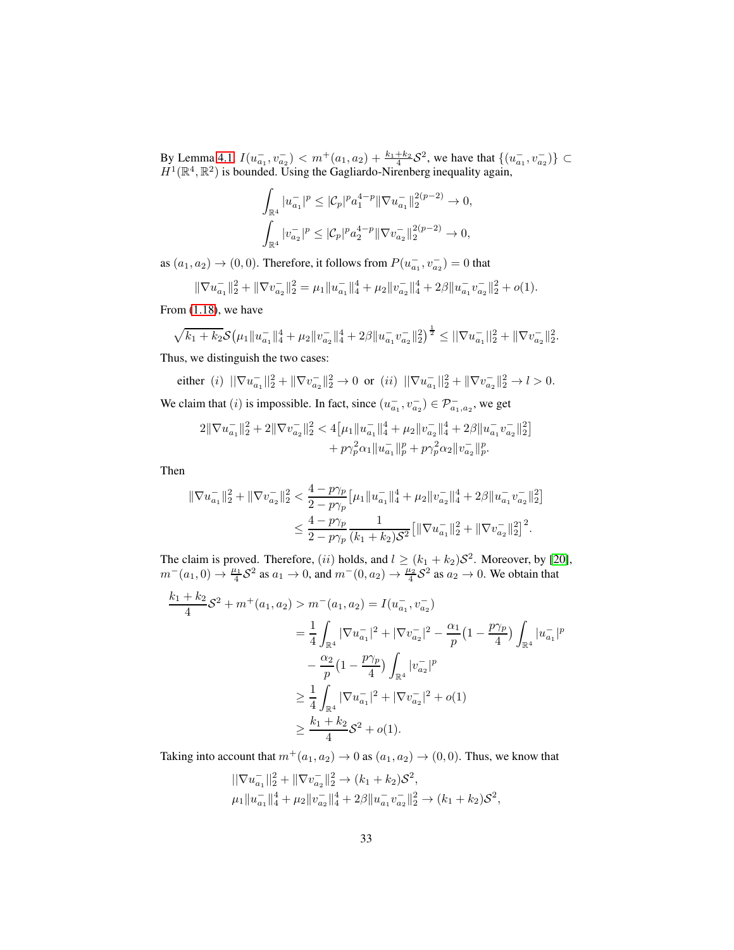By Lemma [4.1,](#page-25-2)  $I(u_{a_1}^-, v_{a_2}^-) < m^+(a_1, a_2) + \frac{k_1+k_2}{4} \mathcal{S}^2$ , we have that  $\{(u_{a_1}^-, v_{a_2}^-)\}\subset$  $H^1(\mathbb{R}^4, \mathbb{R}^2)$  is bounded. Using the Gagliardo-Nirenberg inequality again,

$$
\int_{\mathbb{R}^4} |u_{a_1}^{-}|^p \leq |\mathcal{C}_p|^p a_1^{4-p} \|\nabla u_{a_1}^{-}\|_2^{2(p-2)} \to 0,
$$
  

$$
\int_{\mathbb{R}^4} |v_{a_2}^{-}|^p \leq |\mathcal{C}_p|^p a_2^{4-p} \|\nabla v_{a_2}^{-}\|_2^{2(p-2)} \to 0,
$$

as  $(a_1, a_2) \rightarrow (0, 0)$ . Therefore, it follows from  $P(u_{a_1}^-, v_{a_2}^-) = 0$  that

$$
\|\nabla u_{a_1}^{-}\|_2^2 + \|\nabla v_{a_2}^{-}\|_2^2 = \mu_1 \|u_{a_1}^{-}\|_4^4 + \mu_2 \|v_{a_2}^{-}\|_4^4 + 2\beta \|u_{a_1}^{-}v_{a_2}^{-}\|_2^2 + o(1).
$$

From [\(1.18\)](#page-5-3), we have

$$
\sqrt{k_1+k_2} \mathcal{S}\big(\mu_1 \|u_{a_1}^{-}\|_4^4 + \mu_2 \|v_{a_2}^{-}\|_4^4 + 2\beta \|u_{a_1}^{-}v_{a_2}^{-}\|_2^2\big)^{\frac{1}{2}} \leq \|\nabla u_{a_1}^{-}\|_2^2 + \|\nabla v_{a_2}^{-}\|_2^2.
$$

Thus, we distinguish the two cases:

either (*i*)  $\|\nabla u_{a_1}^{-}\|_2^2 + \|\nabla v_{a_2}^{-}\|_2^2 \to 0$  or (*ii*)  $\|\nabla u_{a_1}^{-}\|_2^2 + \|\nabla v_{a_2}^{-}\|_2^2 \to l > 0$ . We claim that (*i*) is impossible. In fact, since  $(u_{a_1}^-, v_{a_2}^-) \in \mathcal{P}_{a_1, a_2}^-$ , we get

$$
\begin{aligned}\n2\|\nabla u_{a_1}^{-}\|_2^2 + 2\|\nabla v_{a_2}^{-}\|_2^2 &< 4\big[\mu_1\|u_{a_1}^{-}\|_4^4 + \mu_2\|v_{a_2}^{-}\|_4^4 + 2\beta\|u_{a_1}^{-}v_{a_2}^{-}\|_2^2\big] \\
&\quad + p\gamma_p^2\alpha_1\|u_{a_1}^{-}\|_p^p + p\gamma_p^2\alpha_2\|v_{a_2}^{-}\|_p^p.\n\end{aligned}
$$

Then

$$
\begin{aligned} \|\nabla u_{a_1}^-\|_2^2+\|\nabla v_{a_2}^-\|_2^2 &< \frac{4-p\gamma_p}{2-p\gamma_p}\big[\mu_1\|u_{a_1}^-\|_4^4+\mu_2\|v_{a_2}^-\|_4^4+2\beta\|u_{a_1}^-\bar{v}_{a_2}^-\|_2^2\big] \\ &< \frac{4-p\gamma_p}{2-p\gamma_p}\frac{1}{(k_1+k_2)\mathcal{S}^2}\big[\|\nabla u_{a_1}^-\|_2^2+\|\nabla v_{a_2}^-\|_2^2\big]^2. \end{aligned}
$$

The claim is proved. Therefore, (ii) holds, and  $l \geq (k_1 + k_2)S^2$ . Moreover, by [\[20\]](#page-55-4),  $m^-(a_1, 0) \to \frac{\mu_1}{4} S^2$  as  $a_1 \to 0$ , and  $m^-(0, a_2) \to \frac{\mu_2}{4} S^2$  as  $a_2 \to 0$ . We obtain that

$$
\frac{k_1 + k_2}{4} S^2 + m^+(a_1, a_2) > m^-(a_1, a_2) = I(u_{a_1}^-, v_{a_2}^-)
$$
  

$$
= \frac{1}{4} \int_{\mathbb{R}^4} |\nabla u_{a_1}^-|^2 + |\nabla v_{a_2}^-|^2 - \frac{\alpha_1}{p} (1 - \frac{p\gamma_p}{4}) \int_{\mathbb{R}^4} |u_{a_1}^-|^p
$$
  

$$
- \frac{\alpha_2}{p} (1 - \frac{p\gamma_p}{4}) \int_{\mathbb{R}^4} |v_{a_2}^-|^p
$$
  

$$
\geq \frac{1}{4} \int_{\mathbb{R}^4} |\nabla u_{a_1}^-|^2 + |\nabla v_{a_2}^-|^2 + o(1)
$$
  

$$
\geq \frac{k_1 + k_2}{4} S^2 + o(1).
$$

Taking into account that  $m^+(a_1, a_2) \to 0$  as  $(a_1, a_2) \to (0, 0)$ . Thus, we know that

$$
\begin{aligned} ||\nabla u_{a_1}^{-}||_2^2 + ||\nabla v_{a_2}^{-}||_2^2 &\to (k_1 + k_2)\mathcal{S}^2, \\ \mu_1 ||u_{a_1}^{-}||_4^4 + \mu_2 ||v_{a_2}^{-}||_4^4 + 2\beta ||u_{a_1}^{-}v_{a_2}^{-}||_2^2 &\to (k_1 + k_2)\mathcal{S}^2, \end{aligned}
$$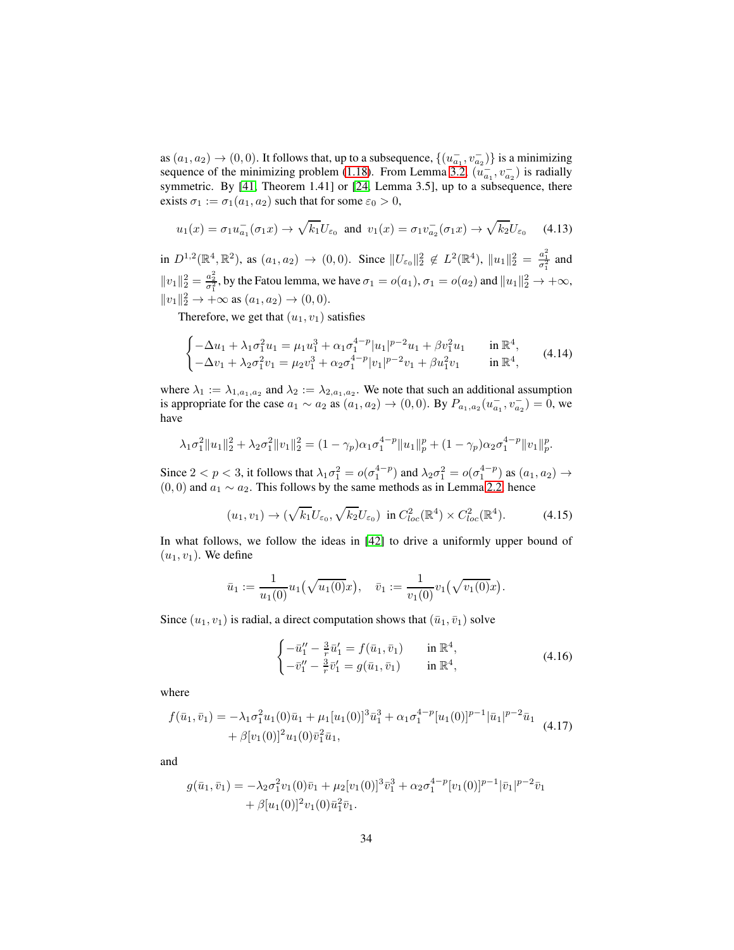as  $(a_1, a_2) \rightarrow (0, 0)$ . It follows that, up to a subsequence,  $\{(u_{a_1}^-, v_{a_2}^-\})$  is a minimizing sequence of the minimizing problem [\(1.18\)](#page-5-3). From Lemma [3.2,](#page-15-2)  $(u_{a_1}^-, v_{a_2}^-)$  is radially symmetric. By [\[41,](#page-57-3) Theorem 1.41] or [\[24,](#page-56-5) Lemma 3.5], up to a subsequence, there exists  $\sigma_1 := \sigma_1(a_1, a_2)$  such that for some  $\varepsilon_0 > 0$ ,

<span id="page-33-3"></span>
$$
u_1(x) = \sigma_1 u_{a_1}^-(\sigma_1 x) \to \sqrt{k_1} U_{\varepsilon_0} \text{ and } v_1(x) = \sigma_1 v_{a_2}^-(\sigma_1 x) \to \sqrt{k_2} U_{\varepsilon_0} \quad (4.13)
$$

in  $D^{1,2}(\mathbb{R}^4, \mathbb{R}^2)$ , as  $(a_1, a_2) \to (0, 0)$ . Since  $||U_{\varepsilon_0}||_2^2 \notin L^2(\mathbb{R}^4)$ ,  $||u_1||_2^2 = \frac{a_1^2}{\sigma_1^2}$  and  $||v_1||_2^2 = \frac{a_2^2}{\sigma_1^2}$ , by the Fatou lemma, we have  $\sigma_1 = o(a_1)$ ,  $\sigma_1 = o(a_2)$  and  $||u_1||_2^2 \to +\infty$ ,  $||v_1||_2^2 \to +\infty$  as  $(a_1, a_2) \to (0, 0)$ .

Therefore, we get that  $(u_1, v_1)$  satisfies

$$
\begin{cases}\n-\Delta u_1 + \lambda_1 \sigma_1^2 u_1 = \mu_1 u_1^3 + \alpha_1 \sigma_1^{4-p} |u_1|^{p-2} u_1 + \beta v_1^2 u_1 & \text{in } \mathbb{R}^4, \\
-\Delta v_1 + \lambda_2 \sigma_1^2 v_1 = \mu_2 v_1^3 + \alpha_2 \sigma_1^{4-p} |v_1|^{p-2} v_1 + \beta u_1^2 v_1 & \text{in } \mathbb{R}^4,\n\end{cases}
$$
\n(4.14)

where  $\lambda_1 := \lambda_{1, a_1, a_2}$  and  $\lambda_2 := \lambda_{2, a_1, a_2}$ . We note that such an additional assumption is appropriate for the case  $a_1 \sim a_2$  as  $(a_1, a_2) \to (0, 0)$ . By  $P_{a_1, a_2}(u_{a_1}^-, v_{a_2}^-) = 0$ , we have

$$
\lambda_1 \sigma_1^2 \|u_1\|_2^2 + \lambda_2 \sigma_1^2 \|v_1\|_2^2 = (1 - \gamma_p) \alpha_1 \sigma_1^{4-p} \|u_1\|_p^p + (1 - \gamma_p) \alpha_2 \sigma_1^{4-p} \|v_1\|_p^p.
$$

Since  $2 < p < 3$ , it follows that  $\lambda_1 \sigma_1^2 = o(\sigma_1^{4-p})$  and  $\lambda_2 \sigma_1^2 = o(\sigma_1^{4-p})$  as  $(a_1, a_2) \to a_1$  $(0, 0)$  and  $a_1 \sim a_2$ . This follows by the same methods as in Lemma [2.2,](#page-10-0) hence

<span id="page-33-0"></span>
$$
(u_1, v_1) \to (\sqrt{k_1} U_{\varepsilon_0}, \sqrt{k_2} U_{\varepsilon_0}) \text{ in } C^2_{loc}(\mathbb{R}^4) \times C^2_{loc}(\mathbb{R}^4). \tag{4.15}
$$

In what follows, we follow the ideas in [\[42\]](#page-57-0) to drive a uniformly upper bound of  $(u_1, v_1)$ . We define

$$
\bar{u}_1 := \frac{1}{u_1(0)} u_1(\sqrt{u_1(0)}x), \quad \bar{v}_1 := \frac{1}{v_1(0)} v_1(\sqrt{v_1(0)}x).
$$

Since  $(u_1, v_1)$  is radial, a direct computation shows that  $(\bar{u}_1, \bar{v}_1)$  solve

<span id="page-33-2"></span>
$$
\begin{cases}\n-\bar{u}_1'' - \frac{3}{r}\bar{u}_1' = f(\bar{u}_1, \bar{v}_1) & \text{in } \mathbb{R}^4, \\
-\bar{v}_1'' - \frac{3}{r}\bar{v}_1' = g(\bar{u}_1, \bar{v}_1) & \text{in } \mathbb{R}^4,\n\end{cases}
$$
\n(4.16)

where

<span id="page-33-1"></span>
$$
f(\bar{u}_1, \bar{v}_1) = -\lambda_1 \sigma_1^2 u_1(0)\bar{u}_1 + \mu_1 [u_1(0)]^3 \bar{u}_1^3 + \alpha_1 \sigma_1^{4-p} [u_1(0)]^{p-1} |\bar{u}_1|^{p-2} \bar{u}_1
$$
  
+  $\beta [v_1(0)]^2 u_1(0) \bar{v}_1^2 \bar{u}_1,$  (4.17)

and

$$
g(\bar{u}_1, \bar{v}_1) = -\lambda_2 \sigma_1^2 v_1(0) \bar{v}_1 + \mu_2 [v_1(0)]^3 \bar{v}_1^3 + \alpha_2 \sigma_1^{4-p} [v_1(0)]^{p-1} |\bar{v}_1|^{p-2} \bar{v}_1 + \beta [u_1(0)]^2 v_1(0) \bar{u}_1^2 \bar{v}_1.
$$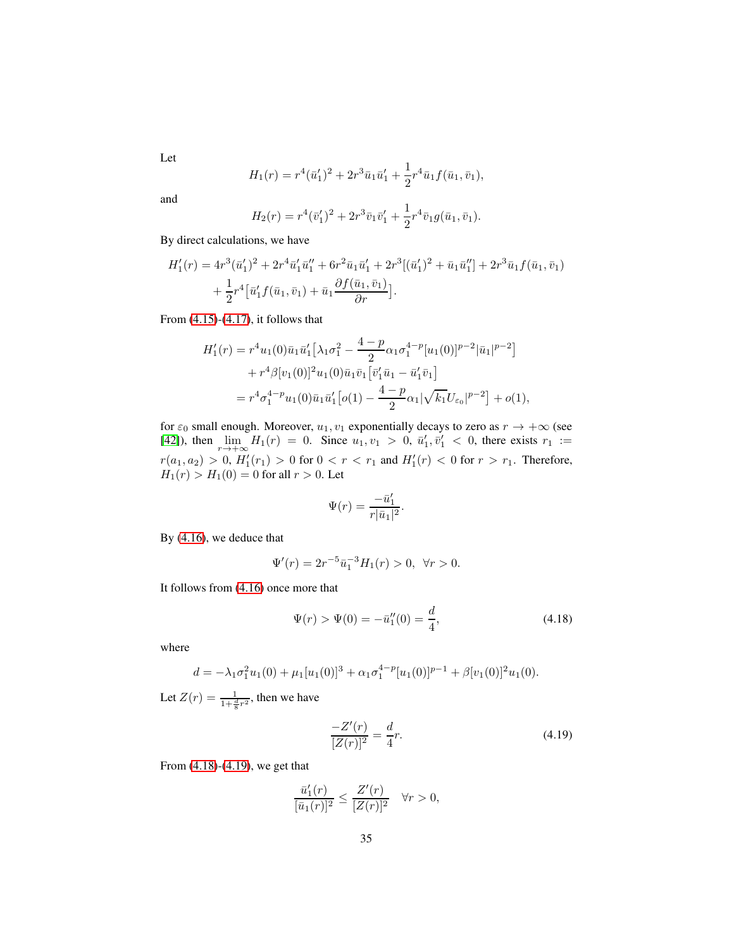Let

$$
H_1(r) = r^4(\bar{u}'_1)^2 + 2r^3\bar{u}_1\bar{u}'_1 + \frac{1}{2}r^4\bar{u}_1f(\bar{u}_1,\bar{v}_1),
$$

and

$$
H_2(r) = r^4(\bar{v}'_1)^2 + 2r^3\bar{v}_1\bar{v}'_1 + \frac{1}{2}r^4\bar{v}_1g(\bar{u}_1,\bar{v}_1).
$$

By direct calculations, we have

$$
H'_1(r) = 4r^3(\bar{u}'_1)^2 + 2r^4\bar{u}'_1\bar{u}''_1 + 6r^2\bar{u}_1\bar{u}'_1 + 2r^3[(\bar{u}'_1)^2 + \bar{u}_1\bar{u}''_1] + 2r^3\bar{u}_1f(\bar{u}_1, \bar{v}_1) + \frac{1}{2}r^4[\bar{u}'_1f(\bar{u}_1, \bar{v}_1) + \bar{u}_1\frac{\partial f(\bar{u}_1, \bar{v}_1)}{\partial r}].
$$

From [\(4.15\)](#page-33-0)-[\(4.17\)](#page-33-1), it follows that

$$
H'_1(r) = r^4 u_1(0)\bar{u}_1 \bar{u}'_1 \Big[\lambda_1 \sigma_1^2 - \frac{4-p}{2} \alpha_1 \sigma_1^{4-p} [u_1(0)]^{p-2} |\bar{u}_1|^{p-2}\Big] + r^4 \beta [v_1(0)]^2 u_1(0) \bar{u}_1 \bar{v}_1 \Big[\bar{v}'_1 \bar{u}_1 - \bar{u}'_1 \bar{v}_1\Big] = r^4 \sigma_1^{4-p} u_1(0) \bar{u}_1 \bar{u}'_1 \Big[ o(1) - \frac{4-p}{2} \alpha_1 |\sqrt{k_1} U_{\varepsilon_0}|^{p-2} \Big] + o(1),
$$

for  $\varepsilon_0$  small enough. Moreover,  $u_1, v_1$  exponentially decays to zero as  $r \to +\infty$  (see [\[42\]](#page-57-0)), then  $\lim_{r \to +\infty} H_1(r) = 0$ . Since  $u_1, v_1 > 0$ ,  $\bar{u}'_1, \bar{v}'_1 < 0$ , there exists  $r_1 :=$  $r(a_1, a_2) > 0$ ,  $H'_1(r_1) > 0$  for  $0 < r < r_1$  and  $H'_1(r) < 0$  for  $r > r_1$ . Therefore,  $H_1(r) > H_1(0) = 0$  for all  $r > 0$ . Let

$$
\Psi(r) = \frac{-\bar{u}'_1}{r|\bar{u}_1|^2}.
$$

By [\(4.16\)](#page-33-2), we deduce that

$$
\Psi'(r) = 2r^{-5}\bar{u}_1^{-3}H_1(r) > 0, \ \forall r > 0.
$$

It follows from [\(4.16\)](#page-33-2) once more that

<span id="page-34-0"></span>
$$
\Psi(r) > \Psi(0) = -\bar{u}_1''(0) = \frac{d}{4},\tag{4.18}
$$

where

$$
d = -\lambda_1 \sigma_1^2 u_1(0) + \mu_1 [u_1(0)]^3 + \alpha_1 \sigma_1^{4-p} [u_1(0)]^{p-1} + \beta [v_1(0)]^2 u_1(0).
$$

Let  $Z(r) = \frac{1}{1 + \frac{d}{8}r^2}$ , then we have

<span id="page-34-1"></span>
$$
\frac{-Z'(r)}{[Z(r)]^2} = \frac{d}{4}r.\tag{4.19}
$$

From [\(4.18\)](#page-34-0)-[\(4.19\)](#page-34-1), we get that

$$
\frac{\bar{u}'_1(r)}{[\bar{u}_1(r)]^2} \le \frac{Z'(r)}{[Z(r)]^2} \quad \forall r > 0,
$$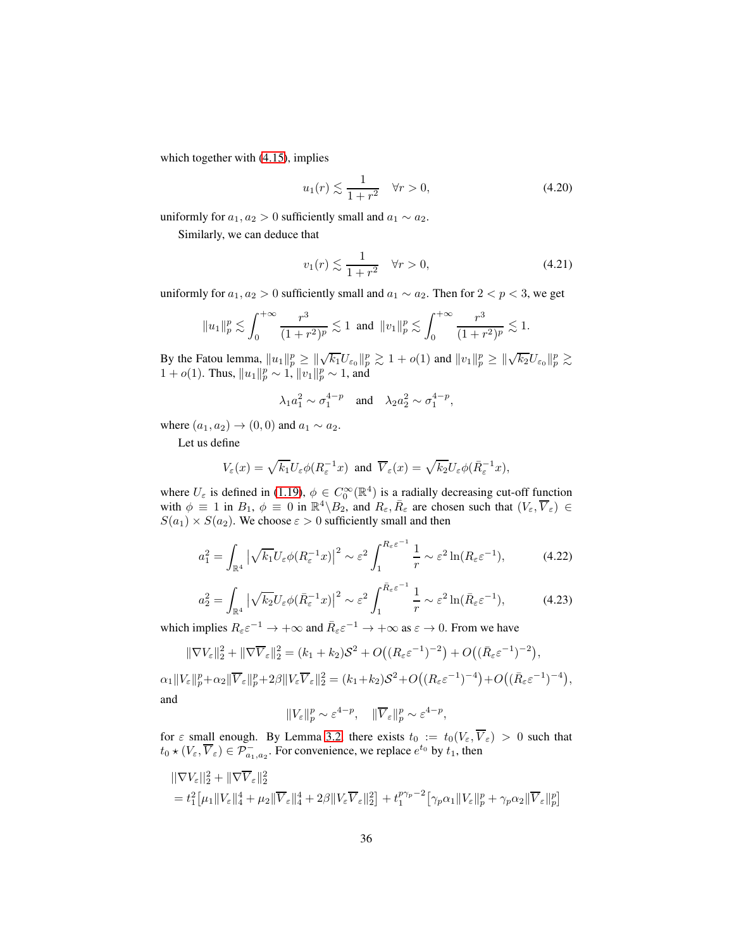which together with  $(4.15)$ , implies

<span id="page-35-2"></span>
$$
u_1(r) \lesssim \frac{1}{1+r^2} \quad \forall r > 0,
$$
\n(4.20)

uniformly for  $a_1, a_2 > 0$  sufficiently small and  $a_1 \sim a_2$ .

Similarly, we can deduce that

<span id="page-35-3"></span>
$$
v_1(r) \lesssim \frac{1}{1+r^2} \quad \forall r > 0,\tag{4.21}
$$

uniformly for  $a_1, a_2 > 0$  sufficiently small and  $a_1 \sim a_2$ . Then for  $2 < p < 3$ , we get

$$
||u_1||_p^p \lesssim \int_0^{+\infty} \frac{r^3}{(1+r^2)^p} \lesssim 1
$$
 and  $||v_1||_p^p \lesssim \int_0^{+\infty} \frac{r^3}{(1+r^2)^p} \lesssim 1$ .

By the Fatou lemma,  $||u_1||_p^p \ge ||\sqrt{k_1}U_{\epsilon_0}||_p^p \gtrsim 1 + o(1)$  and  $||v_1||_p^p \ge ||\sqrt{k_2}U_{\epsilon_0}||_p^p \gtrsim$ 1 +  $o(1)$ . Thus,  $||u_1||_p^p \sim 1$ ,  $||v_1||_p^p \sim 1$ , and

$$
\lambda_1 a_1^2 \sim \sigma_1^{4-p}
$$
 and  $\lambda_2 a_2^2 \sim \sigma_1^{4-p}$ ,

where  $(a_1, a_2) \rightarrow (0, 0)$  and  $a_1 \sim a_2$ .

Let us define

$$
V_{\varepsilon}(x) = \sqrt{k_1} U_{\varepsilon} \phi(R_{\varepsilon}^{-1} x) \text{ and } \overline{V}_{\varepsilon}(x) = \sqrt{k_2} U_{\varepsilon} \phi(\bar{R}_{\varepsilon}^{-1} x),
$$

where  $U_{\varepsilon}$  is defined in [\(1.19\)](#page-6-2),  $\phi \in C_0^{\infty}(\mathbb{R}^4)$  is a radially decreasing cut-off function with  $\phi \equiv 1$  in  $B_1$ ,  $\phi \equiv 0$  in  $\mathbb{R}^4 \setminus B_2$ , and  $R_{\varepsilon}$ ,  $\overline{R}_{\varepsilon}$  are chosen such that  $(V_{\varepsilon}, \overline{V}_{\varepsilon}) \in$  $S(a_1) \times S(a_2)$ . We choose  $\varepsilon > 0$  sufficiently small and then

<span id="page-35-0"></span>
$$
a_1^2 = \int_{\mathbb{R}^4} \left| \sqrt{k_1} U_{\varepsilon} \phi(R_{\varepsilon}^{-1} x) \right|^2 \sim \varepsilon^2 \int_1^{R_{\varepsilon} \varepsilon^{-1}} \frac{1}{r} \sim \varepsilon^2 \ln(R_{\varepsilon} \varepsilon^{-1}), \tag{4.22}
$$

<span id="page-35-1"></span>
$$
a_2^2 = \int_{\mathbb{R}^4} \left| \sqrt{k_2} U_{\varepsilon} \phi(\bar{R}_{\varepsilon}^{-1} x) \right|^2 \sim \varepsilon^2 \int_1^{\bar{R}_{\varepsilon} \varepsilon^{-1}} \frac{1}{r} \sim \varepsilon^2 \ln(\bar{R}_{\varepsilon} \varepsilon^{-1}),\tag{4.23}
$$

which implies  $R_{\varepsilon} \varepsilon^{-1} \to +\infty$  and  $\bar{R}_{\varepsilon} \varepsilon^{-1} \to +\infty$  as  $\varepsilon \to 0$ . From we have

$$
\|\nabla V_{\varepsilon}\|_{2}^{2} + \|\nabla \overline{V}_{\varepsilon}\|_{2}^{2} = (k_{1} + k_{2})\mathcal{S}^{2} + O\big((R_{\varepsilon}\varepsilon^{-1})^{-2}\big) + O\big((\bar{R}_{\varepsilon}\varepsilon^{-1})^{-2}\big),
$$

 $\alpha_1 \|V_{\varepsilon}\|_p^p + \alpha_2 \|\overline{V}_{\varepsilon}\|_p^p + 2\beta \|V_{\varepsilon}\overline{V}_{\varepsilon}\|_2^2 = (k_1 + k_2)S^2 + O((R_{\varepsilon}\varepsilon^{-1})^{-4}) + O((\bar{R}_{\varepsilon}\varepsilon^{-1})^{-4}),$ and

$$
||V_{\varepsilon}||_{p}^{p} \sim \varepsilon^{4-p}, \quad ||\overline{V}_{\varepsilon}||_{p}^{p} \sim \varepsilon^{4-p},
$$

for  $\varepsilon$  small enough. By Lemma [3.2,](#page-15-2) there exists  $t_0 := t_0(V_\varepsilon, V_\varepsilon) > 0$  such that  $t_0 \star (V_\varepsilon, \overline{V}_\varepsilon) \in \mathcal{P}^-_{a_1, a_2}$ . For convenience, we replace  $e^{t_0}$  by  $t_1$ , then

$$
\begin{aligned}\n||\nabla V_{\varepsilon}||_{2}^{2} + \|\nabla \overline{V}_{\varepsilon}||_{2}^{2} \\
&= t_{1}^{2} \big[\mu_{1}||V_{\varepsilon}||_{4}^{4} + \mu_{2} \|\overline{V}_{\varepsilon}||_{4}^{4} + 2\beta \|V_{\varepsilon}\overline{V}_{\varepsilon}||_{2}^{2}\big] + t_{1}^{p\gamma_{p}-2} \big[\gamma_{p}\alpha_{1}||V_{\varepsilon}||_{p}^{p} + \gamma_{p}\alpha_{2} \|\overline{V}_{\varepsilon}||_{p}^{p}\big]\n\end{aligned}
$$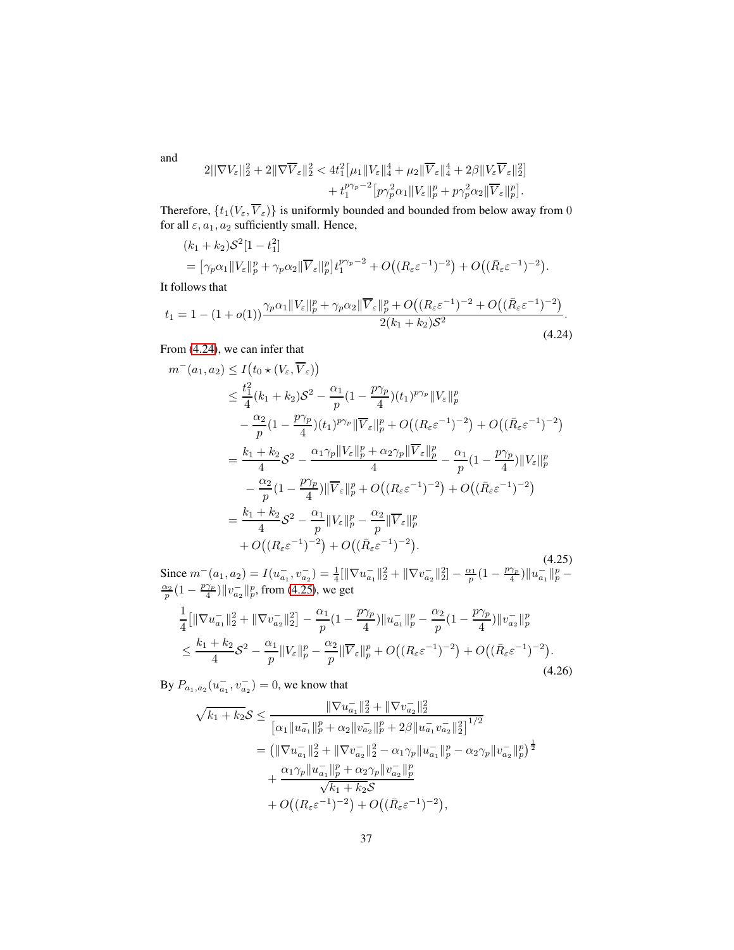$$
2||\nabla V_{\varepsilon}||_2^2 + 2||\nabla \overline{V}_{\varepsilon}||_2^2 < 4t_1^2[\mu_1||V_{\varepsilon}||_4^4 + \mu_2||\overline{V}_{\varepsilon}||_4^4 + 2\beta||V_{\varepsilon}\overline{V}_{\varepsilon}||_2^2] + t_1^{p\gamma_p - 2}[p\gamma_p^2\alpha_1||V_{\varepsilon}||_p^p + p\gamma_p^2\alpha_2||\overline{V}_{\varepsilon}||_p^p].
$$

Therefore,  $\{t_1(V_\varepsilon, V_\varepsilon)\}\$ is uniformly bounded and bounded from below away from 0 for all  $\varepsilon$ ,  $a_1$ ,  $a_2$  sufficiently small. Hence,

$$
(k_1 + k_2)S^2[1 - t_1^2] = [\gamma_p \alpha_1 ||V_{\varepsilon}||_p^p + \gamma_p \alpha_2 ||\overline{V}_{\varepsilon}||_p^p]t_1^{p\gamma_p - 2} + O((R_{\varepsilon} \varepsilon^{-1})^{-2}) + O((\overline{R}_{\varepsilon} \varepsilon^{-1})^{-2}).
$$

It follows that

<span id="page-36-0"></span>
$$
t_1 = 1 - (1 + o(1)) \frac{\gamma_p \alpha_1 \|V_{\varepsilon}\|_p^p + \gamma_p \alpha_2 \|\overline{V}_{\varepsilon}\|_p^p + O\left((R_{\varepsilon} \varepsilon^{-1})^{-2} + O\left((\bar{R}_{\varepsilon} \varepsilon^{-1})^{-2}\right)\right)}{2(k_1 + k_2) \mathcal{S}^2}.
$$
\n(4.24)

From [\(4.24\)](#page-36-0), we can infer that

<span id="page-36-1"></span>
$$
m^{-}(a_1, a_2) \leq I(t_0 \star (V_{\varepsilon}, \overline{V}_{\varepsilon}))
$$
  
\n
$$
\leq \frac{t_1^2}{4}(k_1 + k_2)S^2 - \frac{\alpha_1}{p}(1 - \frac{p\gamma_p}{4})(t_1)^{p\gamma_p}||V_{\varepsilon}||_p^p
$$
  
\n
$$
- \frac{\alpha_2}{p}(1 - \frac{p\gamma_p}{4})(t_1)^{p\gamma_p}||\overline{V}_{\varepsilon}||_p^p + O((R_{\varepsilon}\varepsilon^{-1})^{-2}) + O((\bar{R}_{\varepsilon}\varepsilon^{-1})^{-2})
$$
  
\n
$$
= \frac{k_1 + k_2}{4}S^2 - \frac{\alpha_1\gamma_p||V_{\varepsilon}||_p^p + \alpha_2\gamma_p||\overline{V}_{\varepsilon}||_p^p}{4} - \frac{\alpha_1}{p}(1 - \frac{p\gamma_p}{4})||V_{\varepsilon}||_p^p
$$
  
\n
$$
- \frac{\alpha_2}{p}(1 - \frac{p\gamma_p}{4})||\overline{V}_{\varepsilon}||_p^p + O((R_{\varepsilon}\varepsilon^{-1})^{-2}) + O((\bar{R}_{\varepsilon}\varepsilon^{-1})^{-2})
$$
  
\n
$$
= \frac{k_1 + k_2}{4}S^2 - \frac{\alpha_1}{p}||V_{\varepsilon}||_p^p - \frac{\alpha_2}{p}||\overline{V}_{\varepsilon}||_p^p
$$
  
\n
$$
+ O((R_{\varepsilon}\varepsilon^{-1})^{-2}) + O((\bar{R}_{\varepsilon}\varepsilon^{-1})^{-2}).
$$
\n(4.25)

Since  $m^-(a_1, a_2) = I(u_{a_1}^-, v_{a_2}^-) = \frac{1}{4}[\|\nabla u_{a_1}^-\|_2^2 + \|\nabla v_{a_2}^-\|_2^2] - \frac{\alpha_1}{p}(1 - \frac{p\gamma_p}{4})$ Since  $m^-(a_1, a_2) = I(u_{a_1}^-, v_{a_2}^-) = \frac{1}{4} [\|\nabla u_{a_1}^-\|_2^2 + \|\nabla v_{a_2}^-\|_2^2] - \frac{\alpha_1}{p} (1 - \frac{p\gamma_p}{4}) \|u_{a_1}^-\|_p^p - \frac{\alpha_2}{p} (1 - \frac{p\gamma_p}{4}) \|v_{a_2}^-\|_p^p$ , from (4.25), we get  $\frac{\gamma_p}{4}$ )  $||v_{a_2}^-||_p^p$ , from [\(4.25\)](#page-36-1), we get

$$
\frac{1}{4} \left[ \|\nabla u_{a_1}^{-}\|_{2}^{2} + \|\nabla v_{a_2}^{-}\|_{2}^{2} \right] - \frac{\alpha_1}{p} (1 - \frac{p\gamma_p}{4}) \|u_{a_1}^{-}\|_{p}^{p} - \frac{\alpha_2}{p} (1 - \frac{p\gamma_p}{4}) \|v_{a_2}^{-}\|_{p}^{p} \n\leq \frac{k_1 + k_2}{4} \mathcal{S}^2 - \frac{\alpha_1}{p} \|V_{\varepsilon}\|_{p}^{p} - \frac{\alpha_2}{p} \|\overline{V}_{\varepsilon}\|_{p}^{p} + O\big((R_{\varepsilon} \varepsilon^{-1})^{-2}\big) + O\big((\bar{R}_{\varepsilon} \varepsilon^{-1})^{-2}\big).
$$
\n(4.26)

By  $P_{a_1, a_2}(u_{a_1}^-, v_{a_2}^-) = 0$ , we know that

$$
\sqrt{k_1 + k_2} \mathcal{S} \le \frac{\|\nabla u_{a_1}^-\|_2^2 + \|\nabla v_{a_2}^-\|_2^2}{[\alpha_1 \|u_{a_1}^-\|_p^p + \alpha_2 \|v_{a_2}^-\|_p^p + 2\beta \|u_{a_1}^-\overline{v_{a_2}}\|_2^2]^{1/2}}
$$
  
= \left(\|\nabla u\_{a\_1}^-\|\_2^2 + \|\nabla v\_{a\_2}^-\|\_2^2 - \alpha\_1\gamma\_p \|u\_{a\_1}^-\|\_p^p - \alpha\_2\gamma\_p \|v\_{a\_2}^-\|\_p^p\right)^{\frac{1}{2}}  
+ \frac{\alpha\_1\gamma\_p \|u\_{a\_1}^-\|\_p^p + \alpha\_2\gamma\_p \|v\_{a\_2}^-\|\_p^p}{\sqrt{k\_1 + k\_2}\mathcal{S}}  
+ O\left((R\_{\varepsilon}\varepsilon^{-1})^{-2}\right) + O\left((\bar{R}\_{\varepsilon}\varepsilon^{-1})^{-2}\right),

and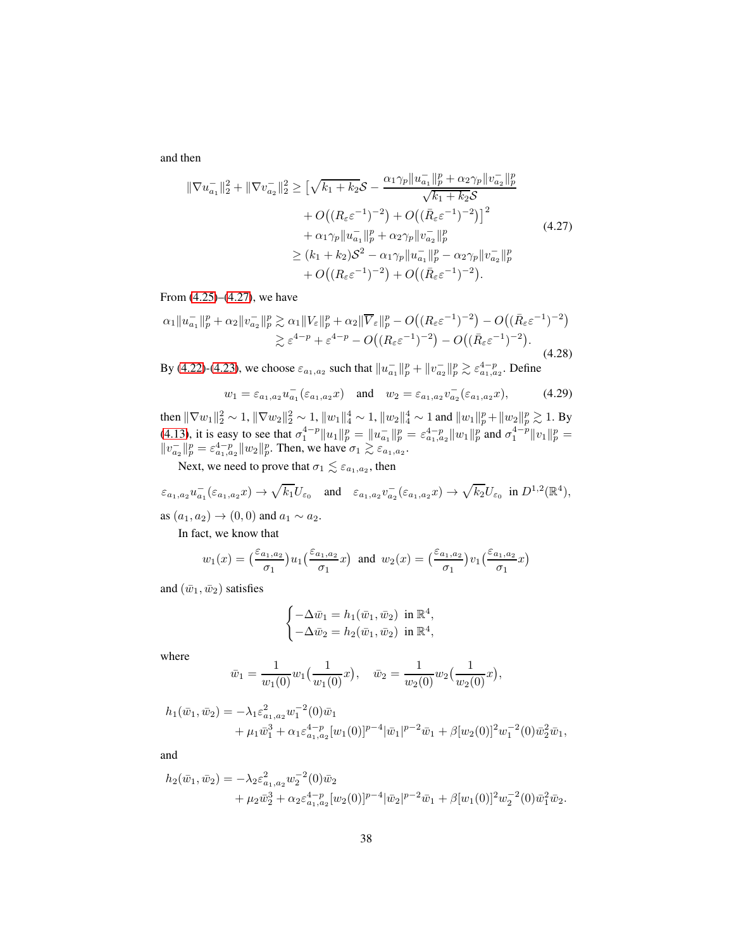and then

<span id="page-37-0"></span>
$$
\|\nabla u_{a_1}^-\|_2^2 + \|\nabla v_{a_2}^-\|_2^2 \ge \left[\sqrt{k_1 + k_2} \mathcal{S} - \frac{\alpha_1 \gamma_p \|u_{a_1}^-\|_p^p + \alpha_2 \gamma_p \|v_{a_2}^-\|_p^p}{\sqrt{k_1 + k_2} \mathcal{S}} + O\left((R_\varepsilon \varepsilon^{-1})^{-2}\right) + O\left((\bar{R}_\varepsilon \varepsilon^{-1})^{-2}\right)\right]^2 + \alpha_1 \gamma_p \|u_{a_1}^-\|_p^p + \alpha_2 \gamma_p \|v_{a_2}^-\|_p^p \ge (k_1 + k_2) \mathcal{S}^2 - \alpha_1 \gamma_p \|u_{a_1}^-\|_p^p - \alpha_2 \gamma_p \|v_{a_2}^-\|_p^p + O\left((R_\varepsilon \varepsilon^{-1})^{-2}\right) + O\left((\bar{R}_\varepsilon \varepsilon^{-1})^{-2}\right).
$$
\n(4.27)

From [\(4.25\)](#page-36-1)–[\(4.27\)](#page-37-0), we have

$$
\alpha_1 \|u_{a_1}^-\|_p^p + \alpha_2 \|v_{a_2}^-\|_p^p \gtrsim \alpha_1 \|V_{\varepsilon}\|_p^p + \alpha_2 \|\overline{V}_{\varepsilon}\|_p^p - O\big((R_{\varepsilon} \varepsilon^{-1})^{-2}\big) - O\big((\bar{R}_{\varepsilon} \varepsilon^{-1})^{-2}\big) \gtrsim \varepsilon^{4-p} + \varepsilon^{4-p} - O\big((R_{\varepsilon} \varepsilon^{-1})^{-2}\big) - O\big((\bar{R}_{\varepsilon} \varepsilon^{-1})^{-2}\big).
$$
\n(4.28)

By [\(4.22\)](#page-35-0)-[\(4.23\)](#page-35-1), we choose  $\varepsilon_{a_1, a_2}$  such that  $||u_{a_1}^-||_p^p + ||v_{a_2}^-||_p^p \gtrsim \varepsilon_{a_1, a_2}^{4-p}$ . Define

<span id="page-37-1"></span>
$$
w_1 = \varepsilon_{a_1, a_2} u_{a_1}^-(\varepsilon_{a_1, a_2} x)
$$
 and  $w_2 = \varepsilon_{a_1, a_2} v_{a_2}^-(\varepsilon_{a_1, a_2} x)$ , (4.29)

then  $\|\nabla w_1\|_2^2 \sim 1$ ,  $\|\nabla w_2\|_2^2 \sim 1$ ,  $\|w_1\|_4^4 \sim 1$ ,  $\|w_2\|_4^4 \sim 1$  and  $\|w_1\|_p^p + \|w_2\|_p^p \gtrsim 1$ . By [\(4.13\)](#page-33-3), it is easy to see that  $\sigma_1^{4-p} \|u_1\|_p^p = \|u_{a_1}\|_p^p = \varepsilon_{a_1, a_2}^{4-p} \|u_1\|_p^p$  and  $\sigma_1^{4-p} \|v_1\|_p^p =$  $||v_{a_2}||_p^p = \varepsilon_{a_1, a_2}^{4-p} ||w_2||_p^p$ . Then, we have  $\sigma_1 \gtrsim \varepsilon_{a_1, a_2}^{q}$ .

Next, we need to prove that  $\sigma_1 \lesssim \varepsilon_{a_1,a_2},$  then

$$
\varepsilon_{a_1,a_2} u_{a_1}^- (\varepsilon_{a_1,a_2} x) \to \sqrt{k_1} U_{\varepsilon_0} \quad \text{and} \quad \varepsilon_{a_1,a_2} v_{a_2}^- (\varepsilon_{a_1,a_2} x) \to \sqrt{k_2} U_{\varepsilon_0} \text{ in } D^{1,2}(\mathbb{R}^4),
$$

as  $(a_1, a_2)$  →  $(0, 0)$  and  $a_1$  ~  $a_2$ .

In fact, we know that

$$
w_1(x) = \left(\frac{\varepsilon_{a_1, a_2}}{\sigma_1}\right)u_1\left(\frac{\varepsilon_{a_1, a_2}}{\sigma_1}x\right) \text{ and } w_2(x) = \left(\frac{\varepsilon_{a_1, a_2}}{\sigma_1}\right)v_1\left(\frac{\varepsilon_{a_1, a_2}}{\sigma_1}x\right)
$$

and  $(\bar{w}_1, \bar{w}_2)$  satisfies

$$
\begin{cases} -\Delta \bar{w}_1 = h_1(\bar{w}_1, \bar{w}_2) & \text{in } \mathbb{R}^4, \\ -\Delta \bar{w}_2 = h_2(\bar{w}_1, \bar{w}_2) & \text{in } \mathbb{R}^4, \end{cases}
$$

where

$$
\bar{w}_1 = \frac{1}{w_1(0)} w_1(\frac{1}{w_1(0)}x), \quad \bar{w}_2 = \frac{1}{w_2(0)} w_2(\frac{1}{w_2(0)}x),
$$

$$
h_1(\bar{w}_1, \bar{w}_2) = -\lambda_1 \varepsilon_{a_1, a_2}^2 w_1^{-2}(0) \bar{w}_1 + \mu_1 \bar{w}_1^3 + \alpha_1 \varepsilon_{a_1, a_2}^{4-p} [w_1(0)]^{p-4} |\bar{w}_1|^{p-2} \bar{w}_1 + \beta[w_2(0)]^2 w_1^{-2}(0) \bar{w}_2^2 \bar{w}_1,
$$

and

$$
h_2(\bar{w}_1, \bar{w}_2) = -\lambda_2 \varepsilon_{a_1, a_2}^2 w_2^{-2}(0) \bar{w}_2 + \mu_2 \bar{w}_2^3 + \alpha_2 \varepsilon_{a_1, a_2}^{4-p} [w_2(0)]^{p-4} |\bar{w}_2|^{p-2} \bar{w}_1 + \beta [w_1(0)]^2 w_2^{-2}(0) \bar{w}_1^2 \bar{w}_2.
$$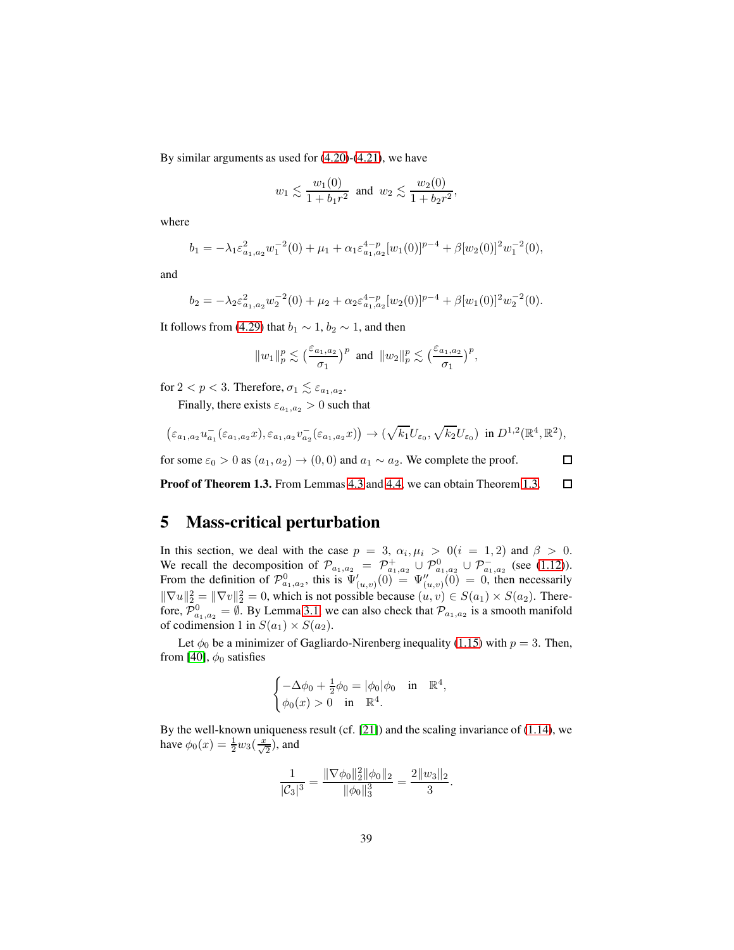By similar arguments as used for [\(4.20\)](#page-35-2)-[\(4.21\)](#page-35-3), we have

$$
w_1 \lesssim \frac{w_1(0)}{1 + b_1 r^2}
$$
 and  $w_2 \lesssim \frac{w_2(0)}{1 + b_2 r^2}$ ,

where

$$
b_1 = -\lambda_1 \varepsilon_{a_1, a_2}^2 w_1^{-2}(0) + \mu_1 + \alpha_1 \varepsilon_{a_1, a_2}^{4-p} [w_1(0)]^{p-4} + \beta [w_2(0)]^2 w_1^{-2}(0),
$$

and

$$
b_2 = -\lambda_2 \varepsilon_{a_1, a_2}^2 w_2^{-2}(0) + \mu_2 + \alpha_2 \varepsilon_{a_1, a_2}^{4-p} [w_2(0)]^{p-4} + \beta [w_1(0)]^2 w_2^{-2}(0).
$$

It follows from [\(4.29\)](#page-37-1) that  $b_1 \sim 1$ ,  $b_2 \sim 1$ , and then

$$
||w_1||_p^p \lesssim \left(\frac{\varepsilon_{a_1,a_2}}{\sigma_1}\right)^p
$$
 and  $||w_2||_p^p \lesssim \left(\frac{\varepsilon_{a_1,a_2}}{\sigma_1}\right)^p$ ,

for  $2 < p < 3$ . Therefore,  $\sigma_1 \lesssim \varepsilon_{a_1, a_2}$ .

Finally, there exists  $\varepsilon_{a_1,a_2} > 0$  such that

$$
\left(\varepsilon_{a_1,a_2}u_{a_1}^{-}(\varepsilon_{a_1,a_2}x),\varepsilon_{a_1,a_2}v_{a_2}^{-}(\varepsilon_{a_1,a_2}x)\right)\to(\sqrt{k_1}U_{\varepsilon_0},\sqrt{k_2}U_{\varepsilon_0})\ \text{ in } D^{1,2}(\mathbb{R}^4,\mathbb{R}^2),
$$

 $\Box$ 

for some  $\varepsilon_0 > 0$  as  $(a_1, a_2) \rightarrow (0, 0)$  and  $a_1 \sim a_2$ . We complete the proof.

Proof of Theorem 1.3. From Lemmas [4.3](#page-29-1) and [4.4,](#page-31-0) we can obtain Theorem [1.3.](#page-6-0)  $\Box$ 

## 5 Mass-critical perturbation

In this section, we deal with the case  $p = 3$ ,  $\alpha_i, \mu_i > 0$   $(i = 1, 2)$  and  $\beta > 0$ . We recall the decomposition of  $\mathcal{P}_{a_1, a_2} = \mathcal{P}^+_{a_1, a_2} \cup \mathcal{P}^0_{a_1, a_2} \cup \mathcal{P}^-_{a_1, a_2}$  (see [\(1.12\)](#page-4-4)). From the definition of  $\mathcal{P}^0_{a_1,a_2}$ , this is  $\Psi'_{(u,v)}(0) = \Psi''_{(u,v)}(0) = 0$ , then necessarily  $\|\nabla u\|_2^2 = \|\nabla v\|_2^2 = 0$ , which is not possible because  $(u, v) \in S(a_1) \times S(a_2)$ . Therefore,  $\mathcal{P}_{a_1,a_2}^0 = \emptyset$ . By Lemma [3.1,](#page-14-1) we can also check that  $\mathcal{P}_{a_1,a_2}$  is a smooth manifold of codimension 1 in  $S(a_1) \times S(a_2)$ .

Let  $\phi_0$  be a minimizer of Gagliardo-Nirenberg inequality [\(1.15\)](#page-5-4) with  $p = 3$ . Then, from [\[40\]](#page-57-1),  $\phi_0$  satisfies

$$
\begin{cases}\n-\Delta \phi_0 + \frac{1}{2} \phi_0 = |\phi_0| \phi_0 & \text{in} \quad \mathbb{R}^4, \\
\phi_0(x) > 0 & \text{in} \quad \mathbb{R}^4.\n\end{cases}
$$

By the well-known uniqueness result (cf. [\[21\]](#page-55-12)) and the scaling invariance of [\(1.14\)](#page-5-1), we have  $\phi_0(x) = \frac{1}{2} w_3(\frac{x}{\sqrt{2}})$ , and

$$
\frac{1}{|\mathcal{C}_3|^3} = \frac{\|\nabla \phi_0\|_2^2 \|\phi_0\|_2}{\|\phi_0\|_3^3} = \frac{2\|w_3\|_2}{3}.
$$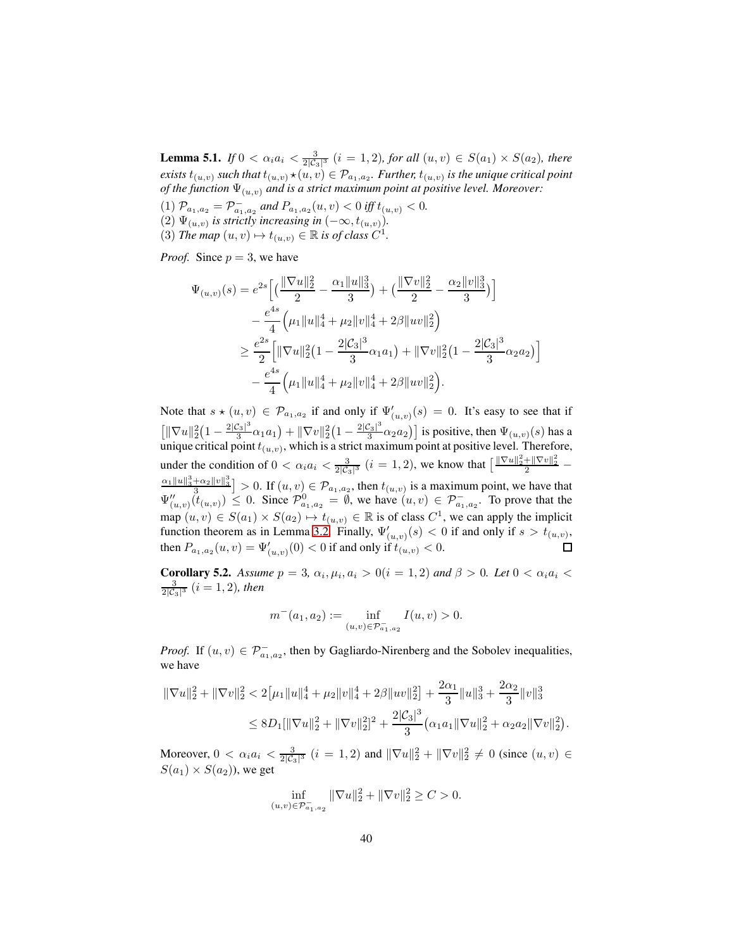<span id="page-39-0"></span>**Lemma 5.1.** *If*  $0 < \alpha_i a_i < \frac{3}{2|C_3|^3}$  (*i* = 1, 2)*, for all*  $(u, v) \in S(a_1) \times S(a_2)$ *, there*  $e$ xists  $t_{(u,v)}$  such that  $t_{(u,v)}\star (u,v)\in \mathcal{P}_{a_1,a_2}.$  *Further,*  $t_{(u,v)}$  *is the unique critical point of the function*  $\Psi_{(u,v)}$  *and is a strict maximum point at positive level. Moreover:* 

 $(1)$   $\mathcal{P}_{a_1,a_2} = \mathcal{P}_{a_1,a_2}^-$  and  $P_{a_1,a_2}(u,v) < 0$  iff  $t_{(u,v)} < 0$ . (2)  $\Psi_{(u,v)}$  is strictly increasing in  $(-\infty, t_{(u,v)})$ . (3) *The map*  $(u, v) \mapsto t_{(u, v)} \in \mathbb{R}$  *is of class*  $C^1$ *.* 

*Proof.* Since  $p = 3$ , we have

$$
\Psi_{(u,v)}(s) = e^{2s} \left[ \left( \frac{\|\nabla u\|_2^2}{2} - \frac{\alpha_1 \|u\|_3^3}{3} \right) + \left( \frac{\|\nabla v\|_2^2}{2} - \frac{\alpha_2 \|v\|_3^3}{3} \right) \right] \n- \frac{e^{4s}}{4} \left( \mu_1 \|u\|_4^4 + \mu_2 \|v\|_4^4 + 2\beta \|uv\|_2^2 \right) \n\geq \frac{e^{2s}}{2} \left[ \|\nabla u\|_2^2 \left( 1 - \frac{2|\mathcal{C}_3|^3}{3} \alpha_1 a_1 \right) + \|\nabla v\|_2^2 \left( 1 - \frac{2|\mathcal{C}_3|^3}{3} \alpha_2 a_2 \right) \right] \n- \frac{e^{4s}}{4} \left( \mu_1 \|u\|_4^4 + \mu_2 \|v\|_4^4 + 2\beta \|uv\|_2^2 \right).
$$

Note that  $s \star (u, v) \in \mathcal{P}_{a_1, a_2}$  if and only if  $\Psi'_{(u, v)}(s) = 0$ . It's easy to see that if  $\left[\|\nabla u\|_2^2\left(1-\frac{2|\mathcal{C}_3|^3}{3}\right)\right]$  $\frac{c_3|^3}{3}\alpha_1a_1$  +  $\|\nabla v\|_2^2\left(1-\frac{2|\mathcal{C}_3|^3}{3}\right)$  $\left[\frac{2s}{3}\right]^{3} \alpha_{2} a_{2}$ ) is positive, then  $\Psi_{(u,v)}(s)$  has a unique critical point  $t_{(u,v)}$ , which is a strict maximum point at positive level. Therefore, under the condition of  $0 < \alpha_i a_i < \frac{3}{2|\mathcal{C}_3|^3}$   $(i = 1, 2)$ , we know that  $\left[\frac{\|\nabla u\|_2^2 + \|\nabla v\|_2^2}{2} - \right]$  $\frac{\alpha_1 \|u\|_3^3 + \alpha_2 \|v\|_3^3}{3}$  > 0. If  $(u, v) \in \mathcal{P}_{a_1, a_2}$ , then  $t_{(u, v)}$  is a maximum point, we have that  $\Psi''_{(u,v)}(\tilde{t}_{(u,v)}) \leq 0$ . Since  $\mathcal{P}^0_{a_1,a_2} = \emptyset$ , we have  $(u,v) \in \mathcal{P}^-_{a_1,a_2}$ . To prove that the map  $(u, v) \in S(a_1) \times S(a_2) \mapsto t_{(u,v)} \in \mathbb{R}$  is of class  $C^1$ , we can apply the implicit function theorem as in Lemma [3.2.](#page-15-2) Finally,  $\Psi'_{(u,v)}(s) < 0$  if and only if  $s > t_{(u,v)}$ , then  $P_{a_1, a_2}(u, v) = \Psi'_{(u, v)}(0) < 0$  if and only if  $t_{(u, v)} < 0$ . П

**Corollary 5.2.** *Assume*  $p = 3$ ,  $\alpha_i, \mu_i, a_i > 0$  (i = 1, 2) and  $\beta > 0$ . Let  $0 < \alpha_i a_i <$  $\frac{3}{2|C_3|^3}$   $(i = 1, 2)$ *, then* 

$$
m^-(a_1, a_2) := \inf_{(u,v) \in \mathcal{P}_{a_1, a_2}^-} I(u, v) > 0.
$$

*Proof.* If  $(u, v) \in \mathcal{P}_{a_1, a_2}^-$ , then by Gagliardo-Nirenberg and the Sobolev inequalities, we have

$$
\|\nabla u\|_{2}^{2} + \|\nabla v\|_{2}^{2} < 2\|\mu_{1}\|u\|_{4}^{4} + \mu_{2}\|v\|_{4}^{4} + 2\beta\|uv\|_{2}^{2}\| + \frac{2\alpha_{1}}{3}\|u\|_{3}^{3} + \frac{2\alpha_{2}}{3}\|v\|_{3}^{3}
$$
\n
$$
\leq 8D_{1}[\|\nabla u\|_{2}^{2} + \|\nabla v\|_{2}^{2}]^{2} + \frac{2|\mathcal{C}_{3}|^{3}}{3}(\alpha_{1}a_{1}\|\nabla u\|_{2}^{2} + \alpha_{2}a_{2}\|\nabla v\|_{2}^{2}).
$$

Moreover,  $0 < \alpha_i a_i < \frac{3}{2|C_3|^3}$   $(i = 1, 2)$  and  $\|\nabla u\|_2^2 + \|\nabla v\|_2^2 \neq 0$  (since  $(u, v) \in$  $S(a_1) \times S(a_2)$ , we get

$$
\inf_{(u,v)\in \mathcal{P}_{a_1,a_2}^-} \|\nabla u\|_2^2 + \|\nabla v\|_2^2 \ge C > 0.
$$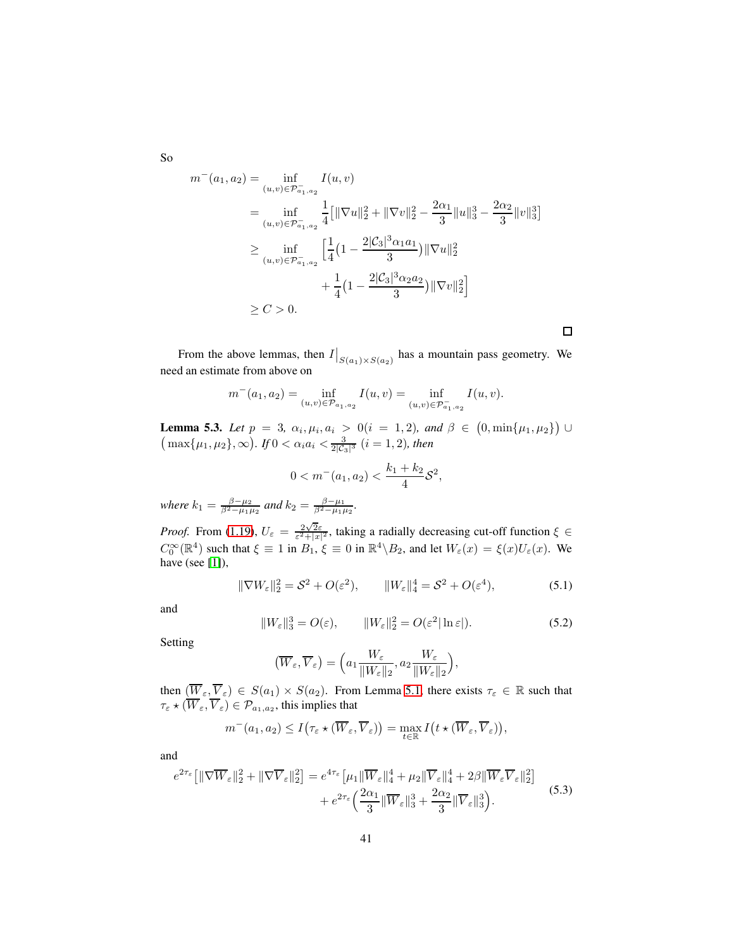$$
m^{-}(a_1, a_2) = \inf_{(u,v) \in \mathcal{P}_{a_1, a_2}^{-}} I(u, v)
$$
  
\n
$$
= \inf_{(u,v) \in \mathcal{P}_{a_1, a_2}^{-}} \frac{1}{4} [\|\nabla u\|_2^2 + \|\nabla v\|_2^2 - \frac{2\alpha_1}{3} \|u\|_3^3 - \frac{2\alpha_2}{3} \|v\|_3^3]
$$
  
\n
$$
\geq \inf_{(u,v) \in \mathcal{P}_{a_1, a_2}^{-}} \left[ \frac{1}{4} \left( 1 - \frac{2|\mathcal{C}_3|^3 \alpha_1 a_1}{3} \right) \|\nabla u\|_2^2 + \frac{1}{4} \left( 1 - \frac{2|\mathcal{C}_3|^3 \alpha_2 a_2}{3} \right) \|\nabla v\|_2^2 \right]
$$
  
\n
$$
\geq C > 0.
$$

From the above lemmas, then  $I|_{S(a_1)\times S(a_2)}$  has a mountain pass geometry. We need an estimate from above on

$$
m^{-}(a_1, a_2) = \inf_{(u,v) \in \mathcal{P}_{a_1, a_2}} I(u, v) = \inf_{(u,v) \in \mathcal{P}_{a_1, a_2}} I(u, v).
$$

<span id="page-40-0"></span>**Lemma 5.3.** *Let*  $p = 3$ ,  $\alpha_i, \mu_i, \alpha_i > 0 (i = 1, 2)$ , and  $\beta \in (0, \min\{\mu_1, \mu_2\}) \cup (\max\{\mu_1, \mu_2\}, \infty)$ . If  $0 < \alpha_i a_i < \frac{3}{2|\mathcal{C}_3|^3}$   $(i = 1, 2)$ , then

$$
0 < m^-(a_1, a_2) < \frac{k_1 + k_2}{4} \mathcal{S}^2,
$$

*where*  $k_1 = \frac{\beta - \mu_2}{\beta^2 - \mu_1 \mu_2}$  *and*  $k_2 = \frac{\beta - \mu_1}{\beta^2 - \mu_1 \mu_2}$ *.* 

*Proof.* From [\(1.19\)](#page-6-2),  $U_{\varepsilon} = \frac{2\sqrt{2}\varepsilon}{\varepsilon^2 + |x|^2}$ , taking a radially decreasing cut-off function  $\xi \in$  $C_0^{\infty}(\mathbb{R}^4)$  such that  $\xi \equiv 1$  in  $B_1$ ,  $\xi \equiv 0$  in  $\mathbb{R}^4 \setminus B_2$ , and let  $W_{\varepsilon}(x) = \xi(x)U_{\varepsilon}(x)$ . We have (see [\[1\]](#page-54-8)),

$$
\|\nabla W_{\varepsilon}\|_{2}^{2} = \mathcal{S}^{2} + O(\varepsilon^{2}), \qquad \|W_{\varepsilon}\|_{4}^{4} = \mathcal{S}^{2} + O(\varepsilon^{4}), \tag{5.1}
$$

and

$$
||W_{\varepsilon}||_{3}^{3} = O(\varepsilon), \qquad ||W_{\varepsilon}||_{2}^{2} = O(\varepsilon^{2}|\ln \varepsilon|). \tag{5.2}
$$

Setting

$$
(\overline{W}_{\varepsilon}, \overline{V}_{\varepsilon}) = \Big(a_1 \frac{W_{\varepsilon}}{\|W_{\varepsilon}\|_2}, a_2 \frac{W_{\varepsilon}}{\|W_{\varepsilon}\|_2}\Big),
$$

then  $(\overline{W}_{\varepsilon}, \overline{V}_{\varepsilon}) \in S(a_1) \times S(a_2)$ . From Lemma [5.1,](#page-39-0) there exists  $\tau_{\varepsilon} \in \mathbb{R}$  such that  $\tau_{\varepsilon} \star (W_{\varepsilon}, V_{\varepsilon}) \in \mathcal{P}_{a_1, a_2}$ , this implies that

$$
m^-(a_1,a_2) \leq I(\tau_{\varepsilon} \star (\overline{W}_{\varepsilon}, \overline{V}_{\varepsilon})) = \max_{t \in \mathbb{R}} I(t \star (\overline{W}_{\varepsilon}, \overline{V}_{\varepsilon})),
$$

and

$$
e^{2\tau_{\varepsilon}}\left[\|\nabla \overline{W}_{\varepsilon}\|_{2}^{2} + \|\nabla \overline{V}_{\varepsilon}\|_{2}^{2}\right] = e^{4\tau_{\varepsilon}}\left[\mu_{1}\|\overline{W}_{\varepsilon}\|_{4}^{4} + \mu_{2}\|\overline{V}_{\varepsilon}\|_{4}^{4} + 2\beta\|\overline{W}_{\varepsilon}\overline{V}_{\varepsilon}\|_{2}^{2}\right] + e^{2\tau_{\varepsilon}}\left(\frac{2\alpha_{1}}{3}\|\overline{W}_{\varepsilon}\|_{3}^{3} + \frac{2\alpha_{2}}{3}\|\overline{V}_{\varepsilon}\|_{3}^{3}\right).
$$
\n(5.3)

So

 $\Box$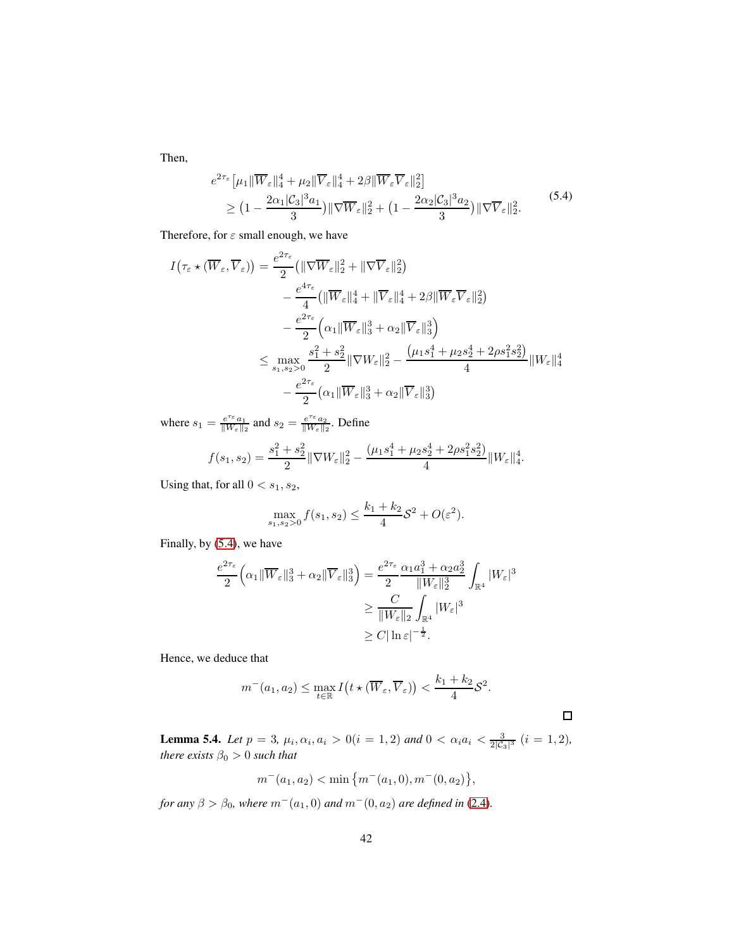Then,

<span id="page-41-0"></span>
$$
e^{2\tau_{\varepsilon}}\left[\mu_{1}\|\overline{W}_{\varepsilon}\|_{4}^{4}+\mu_{2}\|\overline{V}_{\varepsilon}\|_{4}^{4}+2\beta\|\overline{W}_{\varepsilon}\overline{V}_{\varepsilon}\|_{2}^{2}\right]
$$
  
\n
$$
\geq \left(1-\frac{2\alpha_{1}|\mathcal{C}_{3}|^{3}a_{1}}{3}\right)\|\nabla\overline{W}_{\varepsilon}\|_{2}^{2}+\left(1-\frac{2\alpha_{2}|\mathcal{C}_{3}|^{3}a_{2}}{3}\right)\|\nabla\overline{V}_{\varepsilon}\|_{2}^{2}.\tag{5.4}
$$

Therefore, for  $\varepsilon$  small enough, we have

$$
I(\tau_{\varepsilon} \star (\overline{W}_{\varepsilon}, \overline{V}_{\varepsilon})) = \frac{e^{2\tau_{\varepsilon}}}{2} (\|\nabla \overline{W}_{\varepsilon}\|_{2}^{2} + \|\nabla \overline{V}_{\varepsilon}\|_{2}^{2})
$$
  

$$
- \frac{e^{4\tau_{\varepsilon}}}{4} (\|\overline{W}_{\varepsilon}\|_{4}^{4} + \|\overline{V}_{\varepsilon}\|_{4}^{4} + 2\beta \|\overline{W}_{\varepsilon}\overline{V}_{\varepsilon}\|_{2}^{2})
$$
  

$$
- \frac{e^{2\tau_{\varepsilon}}}{2} (\alpha_{1} \|\overline{W}_{\varepsilon}\|_{3}^{3} + \alpha_{2} \|\overline{V}_{\varepsilon}\|_{3}^{3})
$$
  

$$
\leq \max_{s_{1}, s_{2} > 0} \frac{s_{1}^{2} + s_{2}^{2}}{2} \|\nabla W_{\varepsilon}\|_{2}^{2} - \frac{(\mu_{1}s_{1}^{4} + \mu_{2}s_{2}^{4} + 2\rho s_{1}^{2}s_{2}^{2})}{4} \|W_{\varepsilon}\|_{4}^{4}
$$
  

$$
- \frac{e^{2\tau_{\varepsilon}}}{2} (\alpha_{1} \|\overline{W}_{\varepsilon}\|_{3}^{3} + \alpha_{2} \|\overline{V}_{\varepsilon}\|_{3}^{3})
$$

where  $s_1 = \frac{e^{\tau_{\varepsilon}} a_1}{\|W_{\varepsilon}\|}$  $\frac{e^{\tau_{\varepsilon}}a_1}{\|W_{\varepsilon}\|_2}$  and  $s_2 = \frac{e^{\tau_{\varepsilon}}a_2}{\|W_{\varepsilon}\|_2}$  $\frac{e^{i\epsilon}a_2}{\|W_{\epsilon}\|_2}$ . Define

$$
f(s_1, s_2) = \frac{s_1^2 + s_2^2}{2} \|\nabla W_{\varepsilon}\|_2^2 - \frac{(\mu_1 s_1^4 + \mu_2 s_2^4 + 2\rho s_1^2 s_2^2)}{4} \|W_{\varepsilon}\|_4^4.
$$

Using that, for all  $0 < s_1, s_2$ ,

$$
\max_{s_1, s_2 > 0} f(s_1, s_2) \le \frac{k_1 + k_2}{4} \mathcal{S}^2 + O(\varepsilon^2).
$$

Finally, by [\(5.4\)](#page-41-0), we have

$$
\frac{e^{2\tau_{\varepsilon}}}{2} \Big( \alpha_1 \|\overline{W}_{\varepsilon}\|_3^3 + \alpha_2 \|\overline{V}_{\varepsilon}\|_3^3 \Big) = \frac{e^{2\tau_{\varepsilon}}}{2} \frac{\alpha_1 a_1^3 + \alpha_2 a_2^3}{\|W_{\varepsilon}\|_2^3} \int_{\mathbb{R}^4} |W_{\varepsilon}|^3
$$
  

$$
\geq \frac{C}{\|W_{\varepsilon}\|_2} \int_{\mathbb{R}^4} |W_{\varepsilon}|^3
$$
  

$$
\geq C |\ln \varepsilon|^{-\frac{1}{2}}.
$$

Hence, we deduce that

$$
m^-(a_1,a_2)\leq \max_{t\in\mathbb{R}} I(t\star (\overline{W}_{\varepsilon},\overline{V}_{\varepsilon}))<\frac{k_1+k_2}{4}\mathcal{S}^2.
$$

 $\Box$ 

<span id="page-41-1"></span>**Lemma 5.4.** *Let*  $p = 3$ ,  $\mu_i, \alpha_i, a_i > 0$  ( $i = 1, 2$ ) *and*  $0 < \alpha_i a_i < \frac{3}{2|\mathcal{C}_3|^3}$  ( $i = 1, 2$ ), *there exists*  $\beta_0 > 0$  *such that* 

$$
m^-(a_1, a_2) < \min\left\{m^-(a_1, 0), m^-(0, a_2)\right\},\,
$$

*for any*  $\beta > \beta_0$ *, where*  $m^-(a_1, 0)$  *and*  $m^-(0, a_2)$  *are defined in* [\(2.4\)](#page-10-1)*.*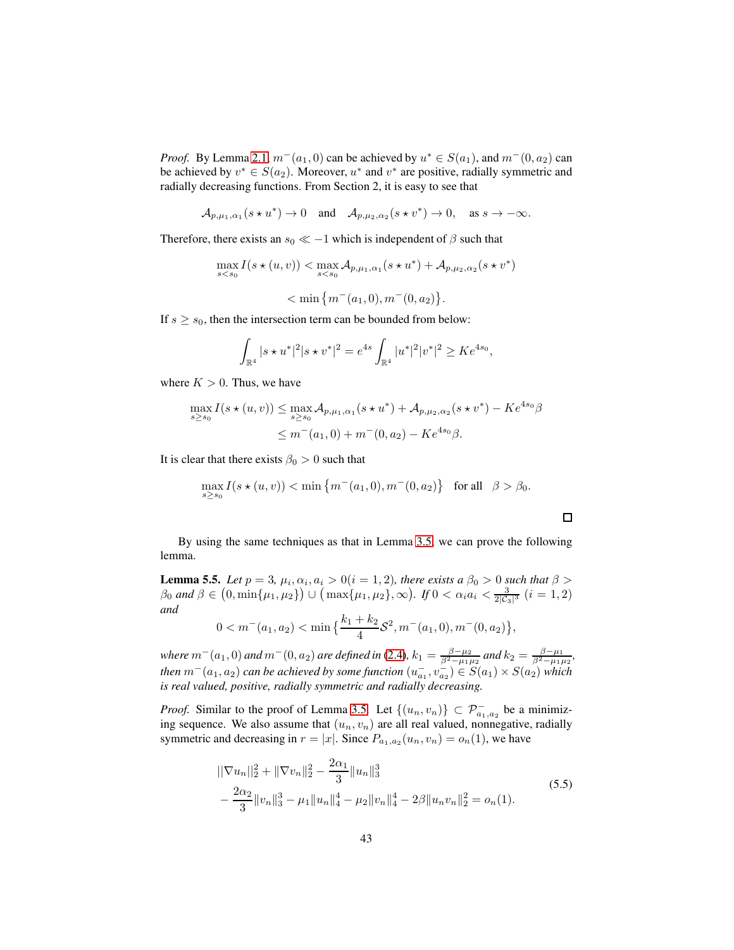*Proof.* By Lemma [2.1,](#page-10-2)  $m^-(a_1, 0)$  can be achieved by  $u^* \in S(a_1)$ , and  $m^-(0, a_2)$  can be achieved by  $v^* \in S(a_2)$ . Moreover,  $u^*$  and  $v^*$  are positive, radially symmetric and radially decreasing functions. From Section 2, it is easy to see that

$$
\mathcal{A}_{p,\mu_1,\alpha_1}(s \star u^*) \to 0 \quad \text{and} \quad \mathcal{A}_{p,\mu_2,\alpha_2}(s \star v^*) \to 0, \quad \text{as } s \to -\infty.
$$

Therefore, there exists an  $s_0 \ll -1$  which is independent of  $\beta$  such that

$$
\max_{s < s_0} I(s \star (u, v)) < \max_{s < s_0} A_{p, \mu_1, \alpha_1}(s \star u^*) + A_{p, \mu_2, \alpha_2}(s \star v^*)
$$
\n
$$
< \min \left\{ m^-(a_1, 0), m^-(0, a_2) \right\}.
$$

If  $s \geq s_0$ , then the intersection term can be bounded from below:

$$
\int_{\mathbb{R}^4} |s \star u^*|^2 |s \star v^*|^2 = e^{4s} \int_{\mathbb{R}^4} |u^*|^2 |v^*|^2 \geq Ke^{4s_0},
$$

where  $K > 0$ . Thus, we have

$$
\max_{s \ge s_0} I(s \star (u, v)) \le \max_{s \ge s_0} A_{p, \mu_1, \alpha_1}(s \star u^*) + A_{p, \mu_2, \alpha_2}(s \star v^*) - Ke^{4s_0}\beta
$$
  

$$
\le m^-(a_1, 0) + m^-(0, a_2) - Ke^{4s_0}\beta.
$$

It is clear that there exists  $\beta_0 > 0$  such that

$$
\max_{s \ge s_0} I(s \star (u, v)) < \min \{ m^-(a_1, 0), m^-(0, a_2) \} \text{ for all } \beta > \beta_0.
$$

By using the same techniques as that in Lemma [3.5,](#page-18-1) we can prove the following lemma.

<span id="page-42-1"></span>**Lemma 5.5.** *Let*  $p = 3$ ,  $\mu_i$ ,  $\alpha_i$ ,  $a_i > 0$  ( $i = 1, 2$ ), there exists a  $\beta_0 > 0$  such that  $\beta >$  $\beta_0$  *and*  $\beta \in (0, \min\{\mu_1, \mu_2\}) \cup (\max\{\mu_1, \mu_2\}, \infty)$ . If  $0 < \alpha_i a_i < \frac{3}{2|\mathcal{C}_3|^3}$   $(i = 1, 2)$ *and*

$$
0 < m^-(a_1, a_2) < \min\left\{\frac{k_1 + k_2}{4} \mathcal{S}^2, m^-(a_1, 0), m^-(0, a_2)\right\},\
$$

*where*  $m^-(a_1, 0)$  *and*  $m^-(0, a_2)$  *are defined in* [\(2.4\)](#page-10-1)*,*  $k_1 = \frac{\beta - \mu_2}{\beta^2 - \mu_1 \mu_2}$  *and*  $k_2 = \frac{\beta - \mu_1}{\beta^2 - \mu_1 \mu_2}$ *, then*  $m^-(a_1, a_2)$  *can be achieved by some function*  $(u_{a_1}^-, v_{a_2}^-) \in S(a_1) \times S(a_2)$  *which is real valued, positive, radially symmetric and radially decreasing.*

*Proof.* Similar to the proof of Lemma [3.5.](#page-18-1) Let  $\{(u_n, v_n)\}\subset \mathcal{P}^-_{a_1, a_2}$  be a minimizing sequence. We also assume that  $(u_n, v_n)$  are all real valued, nonnegative, radially symmetric and decreasing in  $r = |x|$ . Since  $P_{a_1, a_2}(u_n, v_n) = o_n(1)$ , we have

<span id="page-42-0"></span>
$$
\|\nabla u_n\|_2^2 + \|\nabla v_n\|_2^2 - \frac{2\alpha_1}{3} \|u_n\|_3^3
$$
  
 
$$
- \frac{2\alpha_2}{3} \|v_n\|_3^3 - \mu_1 \|u_n\|_4^4 - \mu_2 \|v_n\|_4^4 - 2\beta \|u_n v_n\|_2^2 = o_n(1).
$$
 (5.5)

 $\Box$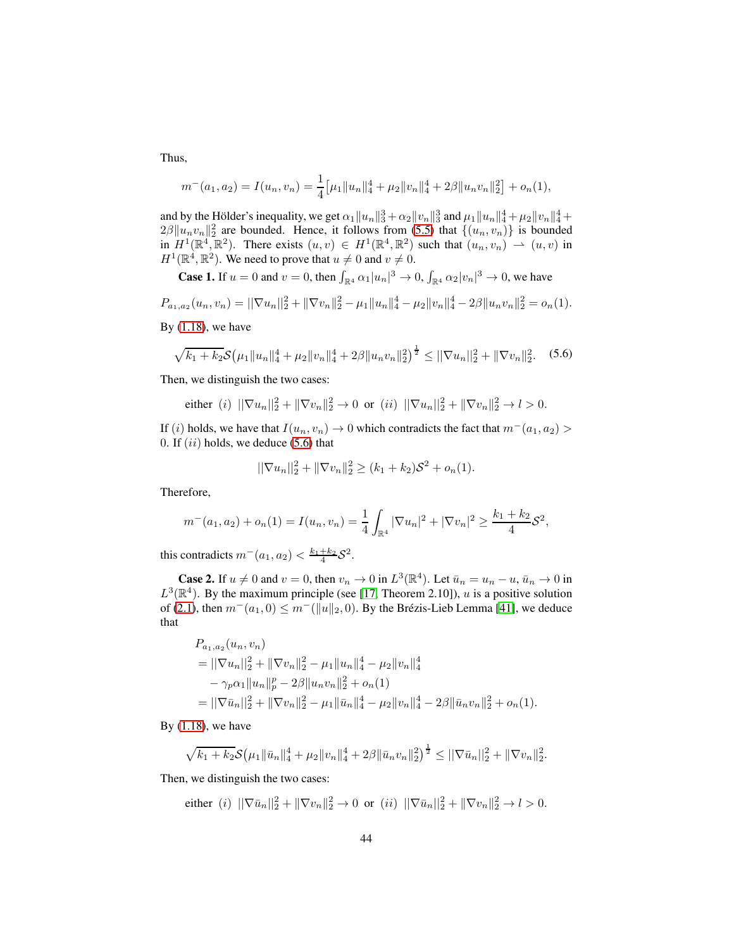Thus,

$$
m^{-}(a_1, a_2) = I(u_n, v_n) = \frac{1}{4} \left[ \mu_1 \|u_n\|_4^4 + \mu_2 \|v_n\|_4^4 + 2\beta \|u_n v_n\|_2^2 \right] + o_n(1),
$$

and by the Hölder's inequality, we get  $\alpha_1 \|u_n\|_3^3 + \alpha_2 \|v_n\|_3^3$  and  $\mu_1 \|u_n\|_4^4 + \mu_2 \|v_n\|_4^4 + \alpha_3 \|v_n\|_4^4$  $2\beta \|u_n v_n\|_2^2$  are bounded. Hence, it follows from [\(5.5\)](#page-42-0) that  $\{(u_n, v_n)\}$  is bounded in  $H^1(\mathbb{R}^4, \mathbb{R}^2)$ . There exists  $(u, v) \in H^1(\mathbb{R}^4, \mathbb{R}^2)$  such that  $(u_n, v_n) \to (u, v)$  in  $H^1(\mathbb{R}^4, \mathbb{R}^2)$ . We need to prove that  $u \neq 0$  and  $v \neq 0$ .

**Case 1.** If  $u = 0$  and  $v = 0$ , then  $\int_{\mathbb{R}^4} \alpha_1 |u_n|^3 \to 0$ ,  $\int_{\mathbb{R}^4} \alpha_2 |v_n|^3 \to 0$ , we have

$$
P_{a_1,a_2}(u_n,v_n) = ||\nabla u_n||_2^2 + ||\nabla v_n||_2^2 - \mu_1 ||u_n||_4^4 - \mu_2 ||v_n||_4^4 - 2\beta ||u_n v_n||_2^2 = o_n(1).
$$

By  $(1.18)$ , we have

<span id="page-43-0"></span>
$$
\sqrt{k_1 + k_2} \mathcal{S}\big(\mu_1 \|u_n\|_4^4 + \mu_2 \|v_n\|_4^4 + 2\beta \|u_n v_n\|_2^2\big)^{\frac{1}{2}} \le ||\nabla u_n||_2^2 + \|\nabla v_n\|_2^2. \tag{5.6}
$$

Then, we distinguish the two cases:

either (i) 
$$
||\nabla u_n||_2^2 + ||\nabla v_n||_2^2 \to 0
$$
 or (ii)  $||\nabla u_n||_2^2 + ||\nabla v_n||_2^2 \to l > 0$ .

If (i) holds, we have that  $I(u_n, v_n) \to 0$  which contradicts the fact that  $m^-(a_1, a_2)$ 0. If  $(ii)$  holds, we deduce  $(5.6)$  that

$$
\|\nabla u_n\|_2^2 + \|\nabla v_n\|_2^2 \ge (k_1 + k_2)\mathcal{S}^2 + o_n(1).
$$

Therefore,

$$
m^-(a_1, a_2) + o_n(1) = I(u_n, v_n) = \frac{1}{4} \int_{\mathbb{R}^4} |\nabla u_n|^2 + |\nabla v_n|^2 \ge \frac{k_1 + k_2}{4} S^2,
$$

this contradicts  $m^-(a_1, a_2) < \frac{k_1+k_2}{4} S^2$ .

**Case 2.** If  $u \neq 0$  and  $v = 0$ , then  $v_n \to 0$  in  $L^3(\mathbb{R}^4)$ . Let  $\bar{u}_n = u_n - u$ ,  $\bar{u}_n \to 0$  in  $L^3(\mathbb{R}^4)$ . By the maximum principle (see [\[17,](#page-55-11) Theorem 2.10]), u is a positive solution of [\(2.1\)](#page-9-0), then  $m^-(a_1, 0) \leq m^-(\|u\|_2, 0)$ . By the Brézis-Lieb Lemma [\[41\]](#page-57-3), we deduce that

$$
P_{a_1,a_2}(u_n, v_n)
$$
  
=  $||\nabla u_n||_2^2 + ||\nabla v_n||_2^2 - \mu_1 ||u_n||_4^4 - \mu_2 ||v_n||_4^4$   
 $- \gamma_p \alpha_1 ||u_n||_p^p - 2\beta ||u_n v_n||_2^2 + o_n(1)$   
=  $||\nabla \bar{u}_n||_2^2 + ||\nabla v_n||_2^2 - \mu_1 ||\bar{u}_n||_4^4 - \mu_2 ||v_n||_4^4 - 2\beta ||\bar{u}_n v_n||_2^2 + o_n(1).$ 

By  $(1.18)$ , we have

$$
\sqrt{k_1+k_2} \mathcal{S}\big(\mu_1 \|\bar{u}_n\|_4^4 + \mu_2 \|v_n\|_4^4 + 2\beta \|\bar{u}_n v_n\|_2^2\big)^{\frac{1}{2}} \le ||\nabla \bar{u}_n||_2^2 + \|\nabla v_n\|_2^2.
$$

Then, we distinguish the two cases:

either (i) 
$$
||\nabla \bar{u}_n||_2^2 + ||\nabla v_n||_2^2 \to 0
$$
 or (ii)  $||\nabla \bar{u}_n||_2^2 + ||\nabla v_n||_2^2 \to l > 0$ .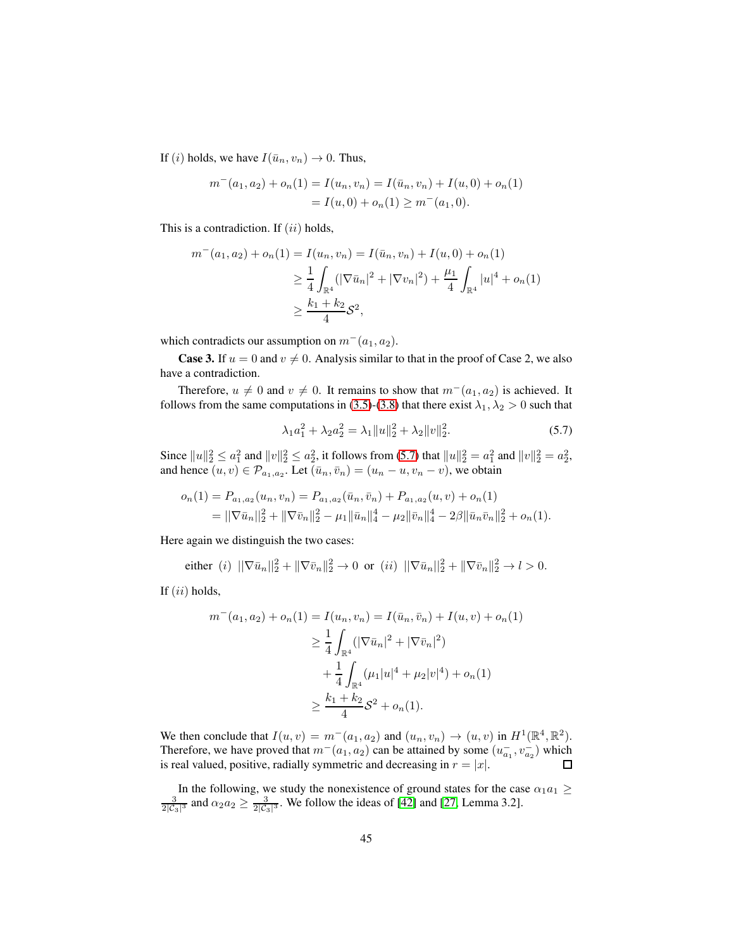If (i) holds, we have  $I(\bar{u}_n, v_n) \to 0$ . Thus,

$$
m^-(a_1, a_2) + o_n(1) = I(u_n, v_n) = I(\bar{u}_n, v_n) + I(u, 0) + o_n(1)
$$
  
=  $I(u, 0) + o_n(1) \ge m^-(a_1, 0).$ 

This is a contradiction. If  $(ii)$  holds,

$$
m^{-}(a_1, a_2) + o_n(1) = I(u_n, v_n) = I(\bar{u}_n, v_n) + I(u, 0) + o_n(1)
$$
  
\n
$$
\geq \frac{1}{4} \int_{\mathbb{R}^4} (|\nabla \bar{u}_n|^2 + |\nabla v_n|^2) + \frac{\mu_1}{4} \int_{\mathbb{R}^4} |u|^4 + o_n(1)
$$
  
\n
$$
\geq \frac{k_1 + k_2}{4} \mathcal{S}^2,
$$

which contradicts our assumption on  $m^-(a_1, a_2)$ .

**Case 3.** If  $u = 0$  and  $v \neq 0$ . Analysis similar to that in the proof of Case 2, we also have a contradiction.

Therefore,  $u \neq 0$  and  $v \neq 0$ . It remains to show that  $m^-(a_1, a_2)$  is achieved. It follows from the same computations in [\(3.5\)](#page-18-0)-[\(3.8\)](#page-19-2) that there exist  $\lambda_1, \lambda_2 > 0$  such that

<span id="page-44-0"></span>
$$
\lambda_1 a_1^2 + \lambda_2 a_2^2 = \lambda_1 \|u\|_2^2 + \lambda_2 \|v\|_2^2. \tag{5.7}
$$

Since  $||u||_2^2 \le a_1^2$  and  $||v||_2^2 \le a_2^2$ , it follows from [\(5.7\)](#page-44-0) that  $||u||_2^2 = a_1^2$  and  $||v||_2^2 = a_2^2$ , and hence  $(u, v) \in \mathcal{P}_{a_1, a_2}$ . Let  $(\bar{u}_n, \bar{v}_n) = (u_n - u, v_n - v)$ , we obtain

$$
o_n(1) = P_{a_1, a_2}(u_n, v_n) = P_{a_1, a_2}(\bar{u}_n, \bar{v}_n) + P_{a_1, a_2}(u, v) + o_n(1)
$$
  
= 
$$
||\nabla \bar{u}_n||_2^2 + ||\nabla \bar{v}_n||_2^2 - \mu_1 ||\bar{u}_n||_4^4 - \mu_2 ||\bar{v}_n||_4^4 - 2\beta ||\bar{u}_n \bar{v}_n||_2^2 + o_n(1).
$$

Here again we distinguish the two cases:

either (*i*)  $\|\nabla \bar{u}_n\|_2^2 + \|\nabla \bar{v}_n\|_2^2 \to 0$  or (*ii*)  $\|\nabla \bar{u}_n\|_2^2 + \|\nabla \bar{v}_n\|_2^2 \to l > 0$ .

If  $(ii)$  holds,

$$
m^{-}(a_1, a_2) + o_n(1) = I(u_n, v_n) = I(\bar{u}_n, \bar{v}_n) + I(u, v) + o_n(1)
$$
  
\n
$$
\geq \frac{1}{4} \int_{\mathbb{R}^4} (|\nabla \bar{u}_n|^2 + |\nabla \bar{v}_n|^2)
$$
  
\n
$$
+ \frac{1}{4} \int_{\mathbb{R}^4} (\mu_1 |u|^4 + \mu_2 |v|^4) + o_n(1)
$$
  
\n
$$
\geq \frac{k_1 + k_2}{4} S^2 + o_n(1).
$$

We then conclude that  $I(u, v) = m^-(a_1, a_2)$  and  $(u_n, v_n) \to (u, v)$  in  $H^1(\mathbb{R}^4, \mathbb{R}^2)$ . Therefore, we have proved that  $m^-(a_1, a_2)$  can be attained by some  $(u_{a_1}^-, v_{a_2}^-)$  which is real valued, positive, radially symmetric and decreasing in  $r = |x|$ .  $\Box$ 

In the following, we study the nonexistence of ground states for the case  $\alpha_1 a_1 \geq$  $\frac{3}{2|C_3|^3}$  and  $\alpha_2 a_2 \ge \frac{3}{2|C_3|^3}$ . We follow the ideas of [\[42\]](#page-57-0) and [\[27,](#page-56-10) Lemma 3.2].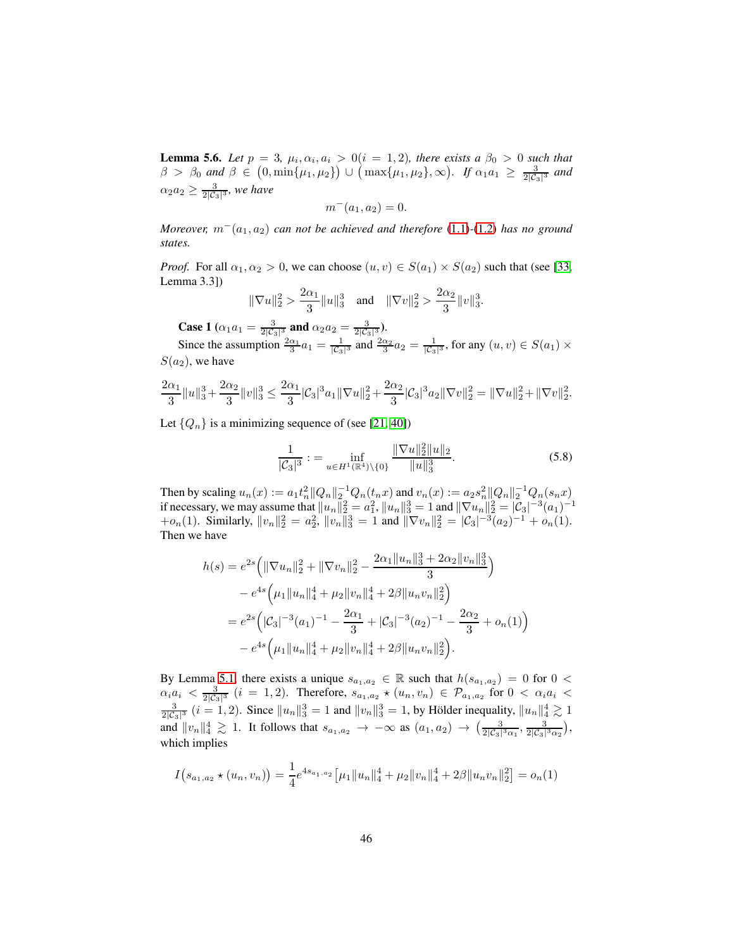<span id="page-45-1"></span>**Lemma 5.6.** Let  $p = 3$ ,  $\mu_i, \alpha_i, a_i > 0$  (i = 1, 2), there exists a  $\beta_0 > 0$  such that  $\beta > \beta_0$  and  $\beta \in (0, \min\{\mu_1, \mu_2\}) \cup (\max\{\mu_1, \mu_2\}, \infty)$ . If  $\alpha_1 a_1 \geq \frac{3}{2|\mathcal{C}_3|^3}$  and  $\alpha_2 a_2 \geq \frac{3}{2|\mathcal{C}_3|^3}$ , we have

$$
m^-(a_1, a_2) = 0.
$$

*Moreover,*  $m^-(a_1, a_2)$  *can not be achieved and therefore* [\(1.1\)](#page-2-0)-[\(1.2\)](#page-2-3) *has no ground states.*

*Proof.* For all  $\alpha_1, \alpha_2 > 0$ , we can choose  $(u, v) \in S(a_1) \times S(a_2)$  such that (see [\[33,](#page-56-11) Lemma 3.3])

$$
\|\nabla u\|_2^2 > \frac{2\alpha_1}{3} \|u\|_3^3 \quad \text{and} \quad \|\nabla v\|_2^2 > \frac{2\alpha_2}{3} \|v\|_3^3.
$$

**Case 1** ( $\alpha_1 a_1 = \frac{3}{2|\mathcal{C}_3|^3}$  and  $\alpha_2 a_2 = \frac{3}{2|\mathcal{C}_3|^3}$ ).

Since the assumption  $\frac{2\alpha_1}{3}a_1 = \frac{1}{\sqrt{2}}$  $\frac{1}{|C_3|^3}$  and  $\frac{2\alpha_2}{3}a_2 = \frac{1}{|C_3|}$  $\frac{1}{|C_3|^3}$ , for any  $(u, v) \in S(a_1) \times$  $S(a_2)$ , we have

$$
\frac{2\alpha_1}{3}||u||_3^3 + \frac{2\alpha_2}{3}||v||_3^3 \le \frac{2\alpha_1}{3}|\mathcal{C}_3|^3 a_1||\nabla u||_2^2 + \frac{2\alpha_2}{3}|\mathcal{C}_3|^3 a_2||\nabla v||_2^2 = ||\nabla u||_2^2 + ||\nabla v||_2^2.
$$

<span id="page-45-0"></span>Let  $\{Q_n\}$  is a minimizing sequence of (see [\[21,](#page-55-12) [40\]](#page-57-1))

$$
\frac{1}{|\mathcal{C}_3|^3} := \inf_{u \in H^1(\mathbb{R}^4) \setminus \{0\}} \frac{\|\nabla u\|_2^2 \|u\|_2}{\|u\|_3^3}.
$$
 (5.8)

Then by scaling  $u_n(x) := a_1 t_n^2 ||Q_n||_2^{-1} Q_n(t_n x)$  and  $v_n(x) := a_2 s_n^2 ||Q_n||_2^{-1} Q_n(s_n x)$ if necessary, we may assume that  $||u_n||_2^2 = a_1^2$ ,  $||u_n||_3^3 = 1$  and  $||\nabla u_n||_2^2 = |\mathcal{C}_3|^{-3} (a_1)^{-1}$ + $o_n(1)$ . Similarly,  $||v_n||_2^2 = a_2^2$ ,  $||v_n||_3^3 = 1$  and  $||\nabla v_n||_2^2 = |\mathcal{C}_3|^{-3} (a_2)^{-1} + o_n(1)$ . Then we have

$$
h(s) = e^{2s} \left( \|\nabla u_n\|_2^2 + \|\nabla v_n\|_2^2 - \frac{2\alpha_1 \|u_n\|_3^3 + 2\alpha_2 \|v_n\|_3^3}{3} \right)
$$
  
\n
$$
- e^{4s} \left( \mu_1 \|u_n\|_4^4 + \mu_2 \|v_n\|_4^4 + 2\beta \|u_n v_n\|_2^2 \right)
$$
  
\n
$$
= e^{2s} \left( |C_3|^{-3} (a_1)^{-1} - \frac{2\alpha_1}{3} + |C_3|^{-3} (a_2)^{-1} - \frac{2\alpha_2}{3} + o_n(1) \right)
$$
  
\n
$$
- e^{4s} \left( \mu_1 \|u_n\|_4^4 + \mu_2 \|v_n\|_4^4 + 2\beta \|u_n v_n\|_2^2 \right).
$$

By Lemma [5.1,](#page-39-0) there exists a unique  $s_{a_1,a_2} \in \mathbb{R}$  such that  $h(s_{a_1,a_2}) = 0$  for  $0 <$  $\alpha_i a_i < \frac{3}{2|\mathcal{C}_3|^3}$   $(i = 1, 2)$ . Therefore,  $s_{a_1, a_2} \star (u_n, v_n) \in \mathcal{P}_{a_1, a_2}$  for  $0 < \alpha_i a_i <$  $\frac{3}{2|\mathcal{C}_3|^3}$   $(i = 1, 2)$ . Since  $||u_n||_3^3 = 1$  and  $||v_n||_3^3 = 1$ , by Hölder inequality,  $||u_n||_4^4 \gtrsim 1$ and  $||v_n||_4^4 \gtrsim 1$ . It follows that  $s_{a_1,a_2} \to -\infty$  as  $(a_1, a_2) \to \left(\frac{3}{2|\mathcal{C}_3|^3\alpha_1}, \frac{3}{2|\mathcal{C}_3|^3\alpha_2}\right)$ , which implies

$$
I(s_{a_1,a_2} \star (u_n, v_n)) = \frac{1}{4} e^{4s_{a_1,a_2}} \left[ \mu_1 \|u_n\|_4^4 + \mu_2 \|v_n\|_4^4 + 2\beta \|u_n v_n\|_2^2 \right] = o_n(1)
$$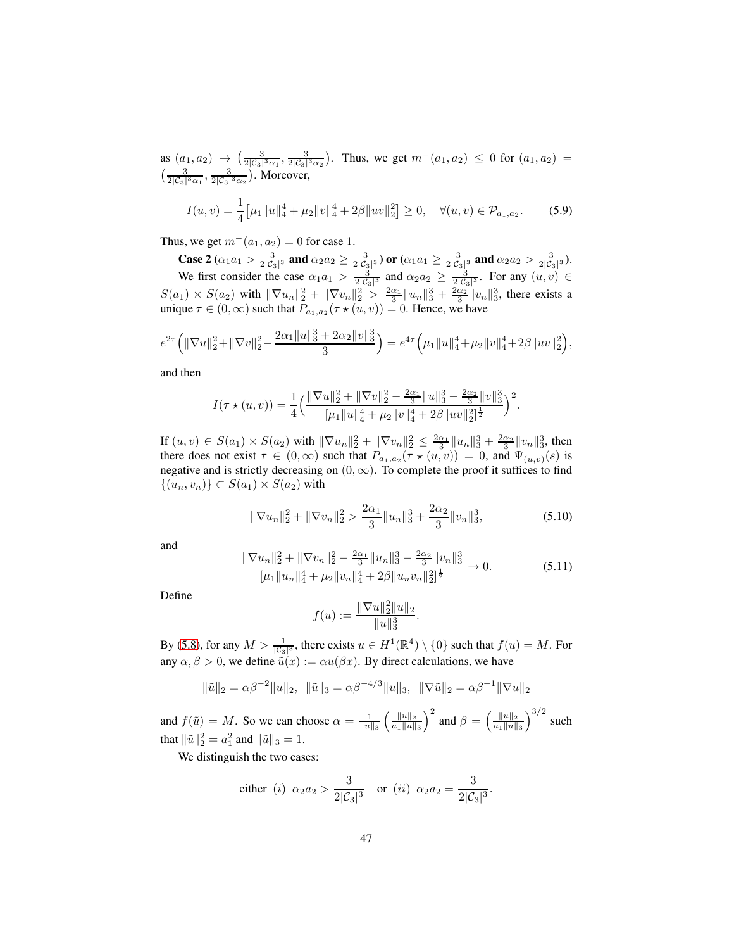as  $(a_1, a_2) \rightarrow (\frac{3}{2|\mathcal{C}_3|^3 \alpha_1}, \frac{3}{2|\mathcal{C}_3|^3 \alpha_2})$ . Thus, we get  $m^-(a_1, a_2) \leq 0$  for  $(a_1, a_2) =$  $\left(\frac{3}{2|\mathcal{C}_3|^3\alpha_1},\frac{3}{2|\mathcal{C}_3|^3\alpha_2}\right)$ . Moreover,

<span id="page-46-0"></span>
$$
I(u,v) = \frac{1}{4} \big[ \mu_1 \|u\|_4^4 + \mu_2 \|v\|_4^4 + 2\beta \|uv\|_2^2 \big] \ge 0, \quad \forall (u,v) \in \mathcal{P}_{a_1, a_2}.
$$
 (5.9)

Thus, we get  $m^-(a_1, a_2) = 0$  for case 1.

Case 2  $(\alpha_1 a_1 > \frac{3}{2|C_3|^3}$  and  $\alpha_2 a_2 \ge \frac{3}{2|C_3|^3}$ ) or  $(\alpha_1 a_1 \ge \frac{3}{2|C_3|^3}$  and  $\alpha_2 a_2 > \frac{3}{2|C_3|^3}$ ). We first consider the case  $\alpha_1 a_1 > \frac{3}{2|\mathcal{C}_3|^3}$  and  $\alpha_2 a_2 \ge \frac{3}{2|\mathcal{C}_3|^3}$ . For any  $(u, v) \in$  $S(a_1) \times S(a_2)$  with  $\|\nabla u_n\|_2^2 + \|\nabla v_n\|_2^2 > \frac{2\alpha_1}{3} \|u_n\|_3^3 + \frac{2\alpha_2}{3} \|v_n\|_3^3$ , there exists a unique  $\tau \in (0, \infty)$  such that  $P_{a_1, a_2}(\tau \star (u, v)) = 0$ . Hence, we have

$$
e^{2\tau}\left(\|\nabla u\|_{2}^{2}+\|\nabla v\|_{2}^{2}-\frac{2\alpha_{1}\|u\|_{3}^{3}+2\alpha_{2}\|v\|_{3}^{3}}{3}\right)=e^{4\tau}\left(\mu_{1}\|u\|_{4}^{4}+\mu_{2}\|v\|_{4}^{4}+2\beta\|uv\|_{2}^{2}\right),
$$

and then

$$
I(\tau \star (u, v)) = \frac{1}{4} \left( \frac{\|\nabla u\|_2^2 + \|\nabla v\|_2^2 - \frac{2\alpha_1}{3} \|u\|_3^3 - \frac{2\alpha_2}{3} \|v\|_3^3}{[\mu_1 \|u\|_4^4 + \mu_2 \|v\|_4^4 + 2\beta \|uv\|_2^2]^{\frac{1}{2}}} \right)^2.
$$

If  $(u, v) \in S(a_1) \times S(a_2)$  with  $\|\nabla u_n\|_2^2 + \|\nabla v_n\|_2^2 \le \frac{2\alpha_1}{3} \|u_n\|_3^3 + \frac{2\alpha_2}{3} \|v_n\|_3^3$ , then there does not exist  $\tau \in (0, \infty)$  such that  $P_{a_1, a_2}(\tau \star (u, v)) = 0$ , and  $\Psi_{(u, v)}(s)$  is negative and is strictly decreasing on  $(0, \infty)$ . To complete the proof it suffices to find  $\{(u_n, v_n)\}\subset S(a_1)\times S(a_2)$  with

$$
\|\nabla u_n\|_2^2 + \|\nabla v_n\|_2^2 > \frac{2\alpha_1}{3} \|u_n\|_3^3 + \frac{2\alpha_2}{3} \|v_n\|_3^3,
$$
\n(5.10)

and

$$
\frac{\|\nabla u_n\|_2^2 + \|\nabla v_n\|_2^2 - \frac{2\alpha_1}{3} \|u_n\|_3^3 - \frac{2\alpha_2}{3} \|v_n\|_3^3}{[\mu_1 \|u_n\|_4^4 + \mu_2 \|v_n\|_4^4 + 2\beta \|u_n v_n\|_2^2]^{\frac{1}{2}}} \to 0.
$$
 (5.11)

Define

$$
f(u) := \frac{\|\nabla u\|_2^2 \|u\|_2}{\|u\|_3^3}.
$$

By [\(5.8\)](#page-45-0), for any  $M > \frac{1}{|C_3|^3}$ , there exists  $u \in H^1(\mathbb{R}^4) \setminus \{0\}$  such that  $f(u) = M$ . For any  $\alpha, \beta > 0$ , we define  $\tilde{u}(x) := \alpha u(\beta x)$ . By direct calculations, we have

$$
\|\tilde{u}\|_2 = \alpha \beta^{-2} \|u\|_2, \quad \|\tilde{u}\|_3 = \alpha \beta^{-4/3} \|u\|_3, \quad \|\nabla \tilde{u}\|_2 = \alpha \beta^{-1} \|\nabla u\|_2
$$

and  $f(\tilde{u}) = M$ . So we can choose  $\alpha = \frac{1}{\|u\|_3}$  $\int \frac{\|u\|_2}{\|u\|_2}$  $a_1||u||_3$  $\int^2$  and  $\beta = \left(\frac{\|u\|_2}{\|u\|_2}\right)$  $a_1||u||_3$  $\int^{3/2}$  such that  $\|\tilde{u}\|_2^2 = a_1^2$  and  $\|\tilde{u}\|_3 = 1$ .

We distinguish the two cases:

$$
\text{either} \ \ (i) \ \ \alpha_2a_2 > \frac{3}{2|\mathcal{C}_3|^3} \quad \text{or} \ \ (ii) \ \ \alpha_2a_2 = \frac{3}{2|\mathcal{C}_3|^3}.
$$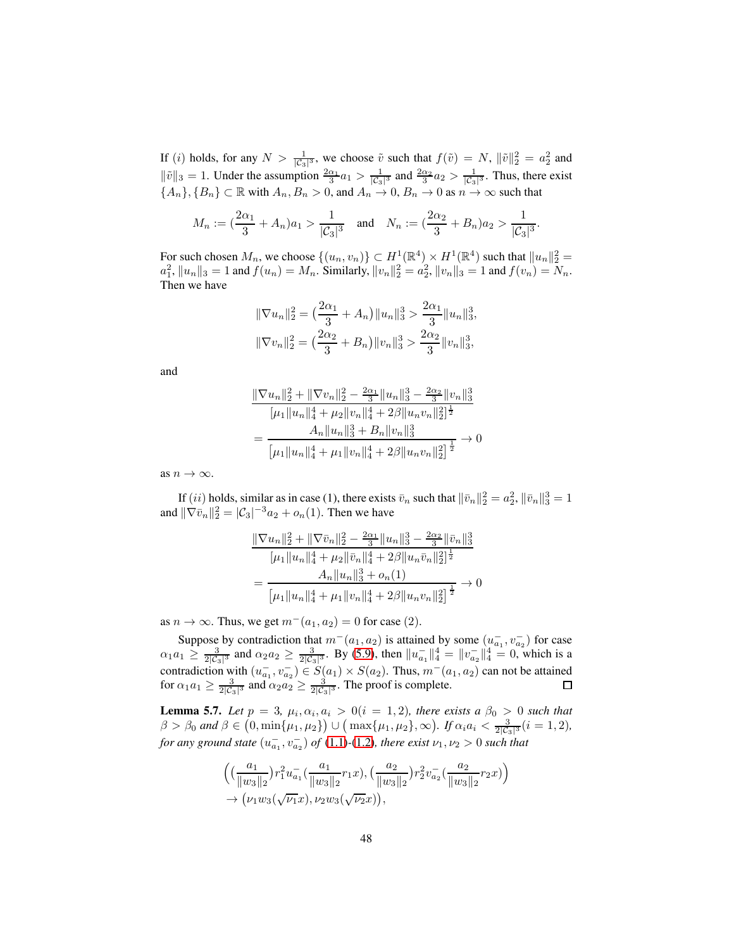If (i) holds, for any  $N > \frac{1}{|\mathcal{C}_3|^3}$ , we choose  $\tilde{v}$  such that  $f(\tilde{v}) = N$ ,  $\|\tilde{v}\|_2^2 = a_2^2$  and  $\|\tilde{v}\|_3 = 1$ . Under the assumption  $\frac{2\alpha_1}{3}a_1 > \frac{1}{|\mathcal{C}_3|}$  $\frac{1}{|\mathcal{C}_3|^3}$  and  $\frac{2\alpha_2}{3}a_2 > \frac{1}{|\mathcal{C}_3|}$  $\frac{1}{|C_3|^3}$ . Thus, there exist  ${A_n}, {B_n} \subset \mathbb{R}$  with  $A_n, B_n > 0$ , and  $A_n \to 0$ ,  $B_n \to 0$  as  $n \to \infty$  such that

$$
M_n:=(\frac{2\alpha_1}{3}+A_n)a_1>\frac{1}{|\mathcal{C}_3|^3}\quad\text{and}\quad N_n:=(\frac{2\alpha_2}{3}+B_n)a_2>\frac{1}{|\mathcal{C}_3|^3}.
$$

For such chosen  $M_n$ , we choose  $\{(u_n, v_n)\}\subset H^1(\mathbb{R}^4)\times H^1(\mathbb{R}^4)$  such that  $||u_n||_2^2 =$  $a_1^2$ ,  $||u_n||_3 = 1$  and  $f(u_n) = M_n$ . Similarly,  $||v_n||_2^2 = a_2^2$ ,  $||v_n||_3 = 1$  and  $f(v_n) = N_n$ . Then we have

$$
\|\nabla u_n\|_2^2 = \left(\frac{2\alpha_1}{3} + A_n\right) \|u_n\|_3^3 > \frac{2\alpha_1}{3} \|u_n\|_3^3,
$$
  

$$
\|\nabla v_n\|_2^2 = \left(\frac{2\alpha_2}{3} + B_n\right) \|v_n\|_3^3 > \frac{2\alpha_2}{3} \|v_n\|_3^3,
$$

and

$$
\frac{\|\nabla u_n\|_2^2 + \|\nabla v_n\|_2^2 - \frac{2\alpha_1}{3} \|u_n\|_3^3 - \frac{2\alpha_2}{3} \|v_n\|_3^3}{[\mu_1 \|u_n\|_4^4 + \mu_2 \|v_n\|_4^4 + 2\beta \|u_n v_n\|_2^2]^{\frac{1}{2}}}
$$

$$
= \frac{A_n \|u_n\|_3^3 + B_n \|v_n\|_3^3}{[\mu_1 \|u_n\|_4^4 + \mu_1 \|v_n\|_4^4 + 2\beta \|u_n v_n\|_2^2]^{\frac{1}{2}}} \to 0
$$

as  $n \to \infty$ .

If (*ii*) holds, similar as in case (1), there exists  $\bar{v}_n$  such that  $\|\bar{v}_n\|_2^2 = a_2^2$ ,  $\|\bar{v}_n\|_3^3 = 1$ and  $\|\nabla \bar{v}_n\|_2^2 = |\mathcal{C}_3|^{-3} a_2 + o_n(1)$ . Then we have

$$
\frac{\|\nabla u_n\|_2^2 + \|\nabla \bar{v}_n\|_2^2 - \frac{2\alpha_1}{3} \|u_n\|_3^3 - \frac{2\alpha_2}{3} \|\bar{v}_n\|_3^3}{[\mu_1 \|u_n\|_4^4 + \mu_2 \|\bar{v}_n\|_4^4 + 2\beta \|u_n \bar{v}_n\|_2^2]^{\frac{1}{2}}}
$$

$$
= \frac{A_n \|u_n\|_3^3 + o_n(1)}{[\mu_1 \|u_n\|_4^4 + \mu_1 \|v_n\|_4^4 + 2\beta \|u_n v_n\|_2^2]^{\frac{1}{2}}} \to 0
$$

as  $n \to \infty$ . Thus, we get  $m^-(a_1, a_2) = 0$  for case (2).

Suppose by contradiction that  $m^-(a_1, a_2)$  is attained by some  $(u_{a_1}^-, v_{a_2}^-)$  for case  $\alpha_1 a_1 \ge \frac{3}{2|\mathcal{C}_3|^3}$  and  $\alpha_2 a_2 \ge \frac{3}{2|\mathcal{C}_3|^3}$ . By [\(5.9\)](#page-46-0), then  $||u_{a_1}^{-}||_4^4 = ||v_{a_2}^{-}||_4^4 = 0$ , which is a contradiction with  $(u_{a_1}^-, v_{a_2}^-) \in S(a_1) \times S(a_2)$ . Thus,  $m^-(a_1, a_2)$  can not be attained for  $\alpha_1 a_1 \ge \frac{3}{2|\mathcal{C}_3|^3}$  and  $\alpha_2 a_2 \ge \frac{3}{2|\mathcal{C}_3|^3}$ . The proof is complete.

**Lemma 5.7.** Let  $p = 3$ ,  $\mu_i, \alpha_i, a_i > 0$  (i = 1, 2), there exists a  $\beta_0 > 0$  such that  $\beta > \beta_0$  and  $\beta \in (0, \min\{\mu_1, \mu_2\}) \cup (\max\{\mu_1, \mu_2\}, \infty)$ . If  $\alpha_i a_i < \frac{3}{2|\mathcal{C}_3|^3} (i = 1, 2)$ , *for any ground state*  $(u_{a_1}^-, v_{a_2}^-)$  *of*  $(1.1)$ - $(1.2)$ *, there exist*  $\nu_1, \nu_2 > 0$  *such that* 

$$
\begin{aligned} & \left( \left( \frac{a_1}{\|w_3\|_2} \right) r_1^2 u_{a_1}^- \left( \frac{a_1}{\|w_3\|_2} r_1 x \right), \left( \frac{a_2}{\|w_3\|_2} \right) r_2^2 v_{a_2}^- \left( \frac{a_2}{\|w_3\|_2} r_2 x \right) \right) \\ &\to \left( \nu_1 w_3 \left( \sqrt{\nu_1} x \right), \nu_2 w_3 \left( \sqrt{\nu_2} x \right) \right), \end{aligned}
$$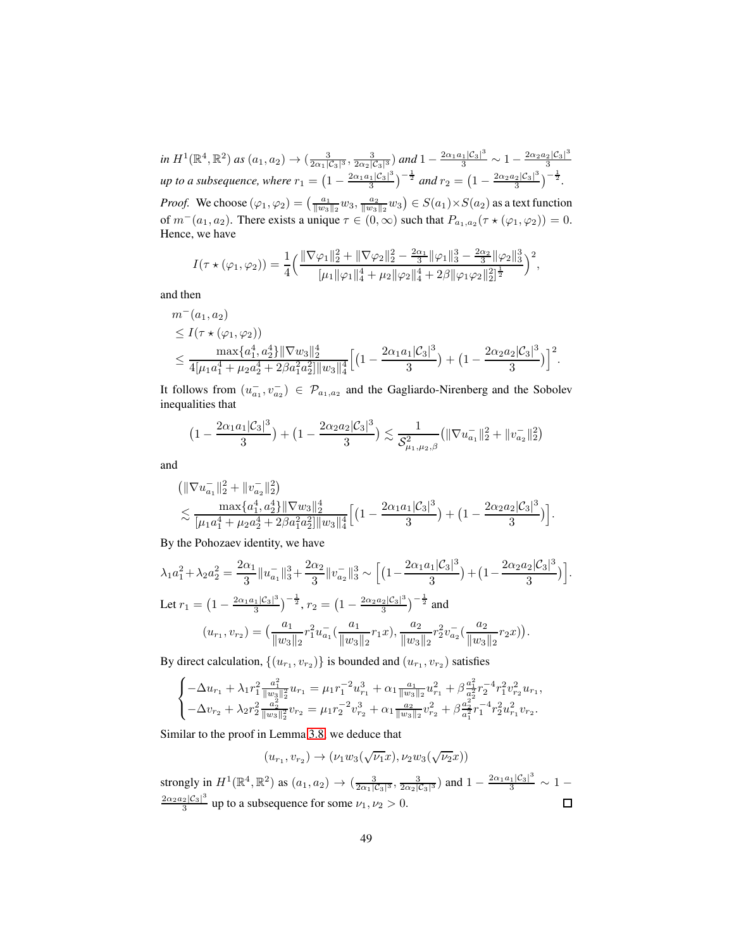*in*  $H^1(\mathbb{R}^4, \mathbb{R}^2)$  *as*  $(a_1, a_2) \rightarrow (\frac{3}{2\alpha_1|\mathcal{C}_3|^3}, \frac{3}{2\alpha_2|\mathcal{C}_3|^3})$  *and*  $1 - \frac{2\alpha_1a_1|\mathcal{C}_3|^3}{3} \sim 1 - \frac{2\alpha_2a_2|\mathcal{C}_3|^3}{3}$ 3 *up to a subsequence, where*  $r_1 = \left(1 - \frac{2\alpha_1 a_1 |\mathcal{C}_3|^3}{3}\right)$  $\left(\frac{1}{3}|3^3|^3\right)^{-\frac{1}{2}}$  and  $r_2 = \left(1 - \frac{2\alpha_2 a_2 |\mathcal{C}_3|^3}{3}\right)$  $\frac{2|\mathcal{C}_3|^3}{3}\Big)^{-\frac{1}{2}}.$ *Proof.* We choose  $(\varphi_1, \varphi_2) = \left(\frac{a_1}{\|w_3\|_2}w_3, \frac{a_2}{\|w_3\|_2}w_3\right) \in S(a_1) \times S(a_2)$  as a text function of  $m^-(a_1, a_2)$ . There exists a unique  $\tau \in (0, \infty)$  such that  $P_{a_1, a_2}(\tau \star (\varphi_1, \varphi_2)) = 0$ . Hence, we have

$$
I(\tau \star (\varphi_1, \varphi_2)) = \frac{1}{4} \left( \frac{\|\nabla \varphi_1\|_2^2 + \|\nabla \varphi_2\|_2^2 - \frac{2\alpha_1}{3} \|\varphi_1\|_3^3 - \frac{2\alpha_2}{3} \|\varphi_2\|_3^3}{[\mu_1 \|\varphi_1\|_4^4 + \mu_2 \|\varphi_2\|_4^4 + 2\beta \|\varphi_1 \varphi_2\|_2^2]^{\frac{1}{2}}} \right)^2,
$$

and then

$$
m^-(a_1, a_2)
$$
  
\n
$$
\leq I(\tau \star (\varphi_1, \varphi_2))
$$
  
\n
$$
\leq \frac{\max\{a_1^4, a_2^4\} \|\nabla w_3\|_2^4}{4[\mu_1 a_1^4 + \mu_2 a_2^4 + 2\beta a_1^2 a_2^2] \|w_3\|_4^4} \Big[ \Big(1 - \frac{2\alpha_1 a_1 |\mathcal{C}_3|^3}{3}\Big) + \Big(1 - \frac{2\alpha_2 a_2 |\mathcal{C}_3|^3}{3}\Big) \Big]^2.
$$

It follows from  $(u_{a_1}^-, v_{a_2}^-) \in \mathcal{P}_{a_1, a_2}$  and the Gagliardo-Nirenberg and the Sobolev inequalities that

$$
\left(1 - \frac{2\alpha_1 a_1 |\mathcal{C}_3|^3}{3}\right) + \left(1 - \frac{2\alpha_2 a_2 |\mathcal{C}_3|^3}{3}\right) \lesssim \frac{1}{\mathcal{S}_{\mu_1,\mu_2,\beta}^2} \left(\|\nabla u_{a_1}^-\|_2^2 + \|v_{a_2}^-\|_2^2\right)
$$

and

$$
\begin{split} &\left( \|\nabla u_{a_1}^{-}\|_2^2 + \|v_{a_2}^{-}\|_2^2 \right) \\ &\lesssim \frac{\max\{a_1^4, a_2^4\} \|\nabla w_3\|_2^4}{[\mu_1 a_1^4 + \mu_2 a_2^4 + 2\beta a_1^2 a_2^2] \|w_3\|_4^4} \Big[ \big( 1 - \frac{2\alpha_1 a_1 |\mathcal{C}_3|^3}{3} \big) + \big( 1 - \frac{2\alpha_2 a_2 |\mathcal{C}_3|^3}{3} \big) \Big]. \end{split}
$$

By the Pohozaev identity, we have

$$
\lambda_1 a_1^2 + \lambda_2 a_2^2 = \frac{2\alpha_1}{3} \|u_{a_1}\|_3^3 + \frac{2\alpha_2}{3} \|v_{a_2}\|_3^3 \sim \left[ \left( 1 - \frac{2\alpha_1 a_1 |\mathcal{C}_3|^3}{3} \right) + \left( 1 - \frac{2\alpha_2 a_2 |\mathcal{C}_3|^3}{3} \right) \right]
$$
  
Let  $r_1 = \left( 1 - \frac{2\alpha_1 a_1 |\mathcal{C}_3|^3}{3} \right)^{-\frac{1}{2}}, r_2 = \left( 1 - \frac{2\alpha_2 a_2 |\mathcal{C}_3|^3}{3} \right)^{-\frac{1}{2}}$  and  

$$
(u_{r_1}, v_{r_2}) = \left( \frac{a_1}{\|w_3\|_2} r_1^2 u_{a_1}^-(\frac{a_1}{\|w_3\|_2} r_1 x), \frac{a_2}{\|w_3\|_2} r_2^2 v_{a_2}^-(\frac{a_2}{\|w_3\|_2} r_2 x) \right).
$$

.

By direct calculation,  $\{(u_{r_1}, v_{r_2})\}$  is bounded and  $(u_{r_1}, v_{r_2})$  satisfies

$$
\begin{cases}-\Delta u_{r_1}+\lambda_1 r_1^2\frac{a_1^2}{\|w_3\|_2^2}u_{r_1}=\mu_1 r_1^{-2}u_{r_1}^3+\alpha_1\frac{a_1}{\|w_3\|_2}u_{r_1}^2+\beta\frac{a_1^2}{a_2^2}r_2^{-4}r_1^2v_{r_2}^2u_{r_1},\\ -\Delta v_{r_2}+\lambda_2 r_2^2\frac{a_2^2}{\|w_3\|_2^2}v_{r_2}=\mu_1 r_2^{-2}v_{r_2}^3+\alpha_1\frac{a_2}{\|w_3\|_2}v_{r_2}^2+\beta\frac{a_2^2}{a_1^2}r_1^{-4}r_2^2u_{r_1}^2v_{r_2}. \end{cases}
$$

Similar to the proof in Lemma [3.8,](#page-21-1) we deduce that

$$
(u_{r_1},v_{r_2})\to (\nu_1 w_3(\sqrt{\nu_1}x),\nu_2 w_3(\sqrt{\nu_2}x))
$$

strongly in  $H^1(\mathbb{R}^4, \mathbb{R}^2)$  as  $(a_1, a_2) \to (\frac{3}{2\alpha_1|\mathcal{C}_3|^3}, \frac{3}{2\alpha_2|\mathcal{C}_3|^3})$  and  $1 - \frac{2\alpha_1 a_1|\mathcal{C}_3|^3}{3} \sim 1 2\alpha_2a_2|\mathcal{C}_3|^3$  $\Box$  $\frac{2|\mathcal{C}_3|}{3}$  up to a subsequence for some  $\nu_1, \nu_2 > 0$ .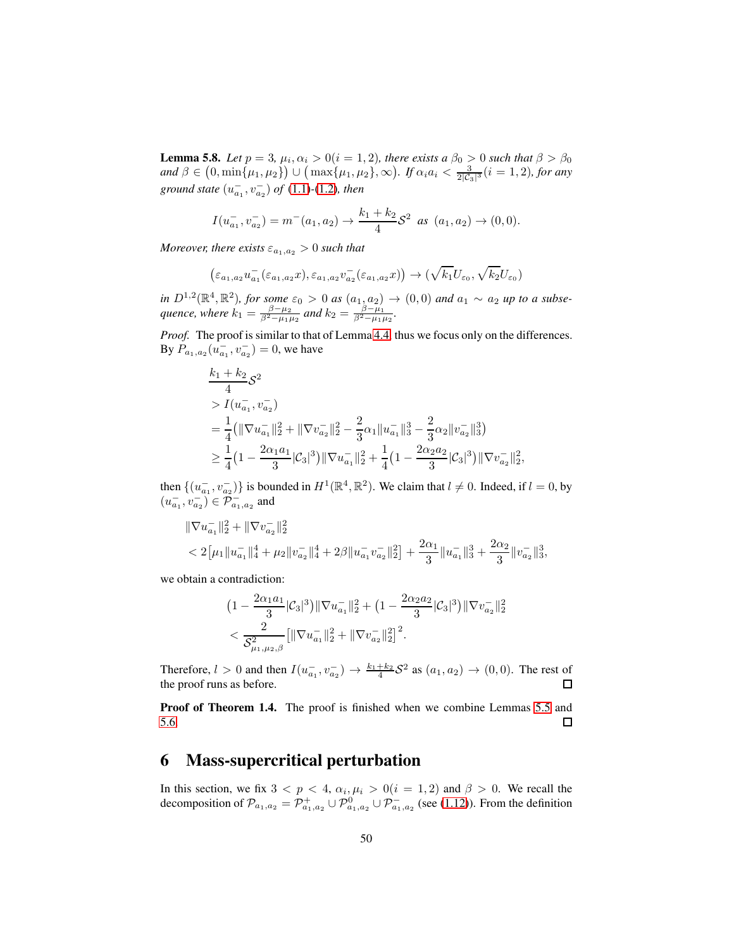**Lemma 5.8.** *Let*  $p = 3$ ,  $\mu_i$ ,  $\alpha_i > 0$ ( $i = 1, 2$ ), there exists a  $\beta_0 > 0$  such that  $\beta > \beta_0$  $and \beta \in (0, \min\{\mu_1, \mu_2\}) \cup (\max\{\mu_1, \mu_2\}, \infty)$ . If  $\alpha_i a_i < \frac{3}{2|C_3|^3} (i = 1, 2)$ , for any ground state  $(u_{a_1}^-, v_{a_2}^-)$  of  $(1.1)$ - $(1.2)$ *, then* 

$$
I(u_{a_1}^-, v_{a_2}^-) = m^-(a_1, a_2) \to \frac{k_1 + k_2}{4} S^2 \text{ as } (a_1, a_2) \to (0, 0).
$$

*Moreover, there exists*  $\varepsilon_{a_1,a_2} > 0$  *such that* 

$$
(\varepsilon_{a_1,a_2}u_{a_1}^-(\varepsilon_{a_1,a_2}x),\varepsilon_{a_1,a_2}v_{a_2}^-(\varepsilon_{a_1,a_2}x)) \rightarrow (\sqrt{k_1}U_{\varepsilon_0},\sqrt{k_2}U_{\varepsilon_0})
$$

*in*  $D^{1,2}(\mathbb{R}^4, \mathbb{R}^2)$ , for some  $\varepsilon_0 > 0$  as  $(a_{1}, a_{2}) \to (0, 0)$  and  $a_1 \sim a_2$  up to a subse*quence, where*  $k_1 = \frac{\beta - \mu_2}{\beta^2 - \mu_1 \mu_2}$  and  $k_2 = \frac{\beta - \mu_1}{\beta^2 - \mu_1 \mu_2}$ .

*Proof.* The proof is similar to that of Lemma [4.4,](#page-31-0) thus we focus only on the differences. By  $P_{a_1, a_2}(u_{a_1}^-, v_{a_2}^-) = 0$ , we have

$$
\frac{k_1 + k_2}{4} S^2
$$
\n
$$
= \frac{1}{4} (\|\nabla u_{a_1}^{-}\|_2^2 + \|\nabla v_{a_2}^{-}\|_2^2 - \frac{2}{3} \alpha_1 \|u_{a_1}^{-}\|_3^3 - \frac{2}{3} \alpha_2 \|v_{a_2}^{-}\|_3^3)
$$
\n
$$
\geq \frac{1}{4} (1 - \frac{2\alpha_1 a_1}{3} |\mathcal{C}_3|^3) \|\nabla u_{a_1}^{-}\|_2^2 + \frac{1}{4} (1 - \frac{2\alpha_2 a_2}{3} |\mathcal{C}_3|^3) \|\nabla v_{a_2}^{-}\|_2^2,
$$

then  $\{(u_{a_1}^-, v_{a_2}^-\})$  is bounded in  $H^1(\mathbb{R}^4, \mathbb{R}^2)$ . We claim that  $l \neq 0$ . Indeed, if  $l = 0$ , by  $(u_{a_1}^-, v_{a_2}^-) \in \mathcal{P}_{a_1, a_2}^-$  and

$$
\|\nabla u_{a_1}^{-}\|_2^2 + \|\nabla v_{a_2}^{-}\|_2^2
$$
  

$$
< 2[\mu_1 \|u_{a_1}^{-}\|_4^4 + \mu_2 \|v_{a_2}^{-}\|_4^4 + 2\beta \|u_{a_1}^{-}v_{a_2}^{-}\|_2^2] + \frac{2\alpha_1}{3} \|u_{a_1}^{-}\|_3^3 + \frac{2\alpha_2}{3} \|v_{a_2}^{-}\|_3^3
$$

,

we obtain a contradiction:

$$
\begin{aligned} &\left(1-\frac{2\alpha_1a_1}{3}|\mathcal{C}_3|^3\right)\|\nabla u_{a_1}^-\|_2^2+\left(1-\frac{2\alpha_2a_2}{3}|\mathcal{C}_3|^3\right)\|\nabla v_{a_2}^-\|_2^2\\&<\frac{2}{\mathcal{S}^2_{\mu_1,\mu_2,\beta}}\big[\|\nabla u_{a_1}^-\|_2^2+\|\nabla v_{a_2}^-\|_2^2\big]^2. \end{aligned}
$$

Therefore,  $l > 0$  and then  $I(u_{a_1}^-, v_{a_2}^-) \to \frac{k_1 + k_2}{4} S^2$  as  $(a_1, a_2) \to (0, 0)$ . The rest of the proof runs as before.

Proof of Theorem 1.4. The proof is finished when we combine Lemmas [5.5](#page-42-1) and [5.6.](#page-45-1)  $\Box$ 

#### 6 Mass-supercritical perturbation

In this section, we fix  $3 < p < 4$ ,  $\alpha_i, \mu_i > 0$  ( $i = 1, 2$ ) and  $\beta > 0$ . We recall the decomposition of  $\mathcal{P}_{a_1,a_2} = \mathcal{P}_{a_1,a_2}^+ \cup \mathcal{P}_{a_1,a_2}^0 \cup \mathcal{P}_{a_1,a_2}^-$  (see [\(1.12\)](#page-4-4)). From the definition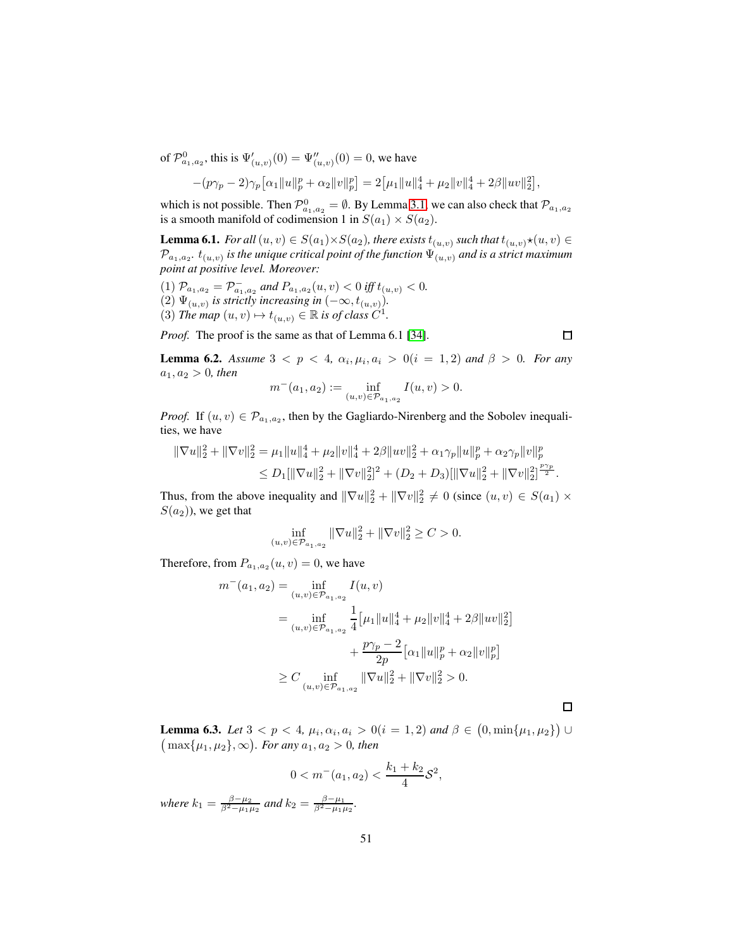of  $\mathcal{P}^0_{a_1, a_2}$ , this is  $\Psi'_{(u,v)}(0) = \Psi''_{(u,v)}(0) = 0$ , we have

$$
-(p\gamma_p-2)\gamma_p[\alpha_1||u||_p^p+\alpha_2||v||_p^p]=2[\mu_1||u||_4^4+\mu_2||v||_4^4+2\beta||uv||_2^2],
$$

which is not possible. Then  $\mathcal{P}^0_{a_1,a_2} = \emptyset$ . By Lemma [3.1,](#page-14-1) we can also check that  $\mathcal{P}_{a_1,a_2}$ is a smooth manifold of codimension 1 in  $S(a_1) \times S(a_2)$ .

**Lemma 6.1.** *For all*  $(u, v) \in S(a_1) \times S(a_2)$ *, there exists*  $t_{(u, v)}$  *such that*  $t_{(u, v)} \star (u, v) \in$  $\mathcal{P}_{a_1,a_2}$ .  $t_{(u,v)}$  is the unique critical point of the function  $\Psi_{(u,v)}$  and is a strict maximum *point at positive level. Moreover:*

 $(1)$   $\mathcal{P}_{a_1,a_2} = \mathcal{P}_{a_1,a_2}^-$  and  $P_{a_1,a_2}(u,v) < 0$  iff  $t_{(u,v)} < 0$ . (2)  $\Psi_{(u,v)}$  is strictly increasing in  $(-\infty, t_{(u,v)})$ . (3) *The map*  $(u, v) \mapsto t_{(u, v)} \in \mathbb{R}$  *is of class*  $C^1$ *.* 

*Proof.* The proof is the same as that of Lemma 6.1 [\[34\]](#page-56-3).

**Lemma 6.2.** *Assume*  $3 < p < 4$ ,  $\alpha_i, \mu_i, \alpha_i > 0$  (i = 1, 2) and  $\beta > 0$ . For any  $a_1, a_2 > 0$ *, then* 

$$
m^-(a_1, a_2) := \inf_{(u,v) \in \mathcal{P}_{a_1, a_2}} I(u, v) > 0.
$$

*Proof.* If  $(u, v) \in \mathcal{P}_{a_1, a_2}$ , then by the Gagliardo-Nirenberg and the Sobolev inequalities, we have

$$
\begin{aligned} \|\nabla u\|_{2}^{2} + \|\nabla v\|_{2}^{2} &= \mu_{1} \|u\|_{4}^{4} + \mu_{2} \|v\|_{4}^{4} + 2\beta \|uv\|_{2}^{2} + \alpha_{1} \gamma_{p} \|u\|_{p}^{p} + \alpha_{2} \gamma_{p} \|v\|_{p}^{p} \\ &\leq D_{1} [\|\nabla u\|_{2}^{2} + \|\nabla v\|_{2}^{2}]^{2} + (D_{2} + D_{3}) [\|\nabla u\|_{2}^{2} + \|\nabla v\|_{2}^{2}]^{\frac{p\gamma_{p}}{2}}. \end{aligned}
$$

Thus, from the above inequality and  $\|\nabla u\|_2^2 + \|\nabla v\|_2^2 \neq 0$  (since  $(u, v) \in S(a_1) \times$  $S(a_2)$ , we get that

$$
\inf_{(u,v)\in \mathcal{P}_{a_1,a_2}} \|\nabla u\|_2^2 + \|\nabla v\|_2^2 \ge C > 0.
$$

Therefore, from  $P_{a_1,a_2}(u,v) = 0$ , we have

$$
m^{-}(a_1, a_2) = \inf_{(u,v)\in \mathcal{P}_{a_1, a_2}} I(u, v)
$$
  
= 
$$
\inf_{(u,v)\in \mathcal{P}_{a_1, a_2}} \frac{1}{4} \left[ \mu_1 \|u\|_4^4 + \mu_2 \|v\|_4^4 + 2\beta \|uv\|_2^2 \right]
$$
  
+ 
$$
\frac{p\gamma_p - 2}{2p} \left[ \alpha_1 \|u\|_p^p + \alpha_2 \|v\|_p^p \right]
$$
  

$$
\geq C \inf_{(u,v)\in \mathcal{P}_{a_1, a_2}} \|\nabla u\|_2^2 + \|\nabla v\|_2^2 > 0.
$$

**Lemma 6.3.** *Let*  $3 < p < 4$ ,  $\mu_i$ ,  $\alpha_i$ ,  $a_i > 0$   $(i = 1, 2)$  and  $\beta \in (0, \min\{\mu_1, \mu_2\})$   $\cup$  $(\max\{\mu_1, \mu_2\}, \infty)$ *. For any*  $a_1, a_2 > 0$ *, then* 

$$
0 < m^-(a_1, a_2) < \frac{k_1 + k_2}{4} \mathcal{S}^2,
$$

*where*  $k_1 = \frac{\beta - \mu_2}{\beta^2 - \mu_1 \mu_2}$  *and*  $k_2 = \frac{\beta - \mu_1}{\beta^2 - \mu_1 \mu_2}$ *.* 

 $\Box$ 

 $\Box$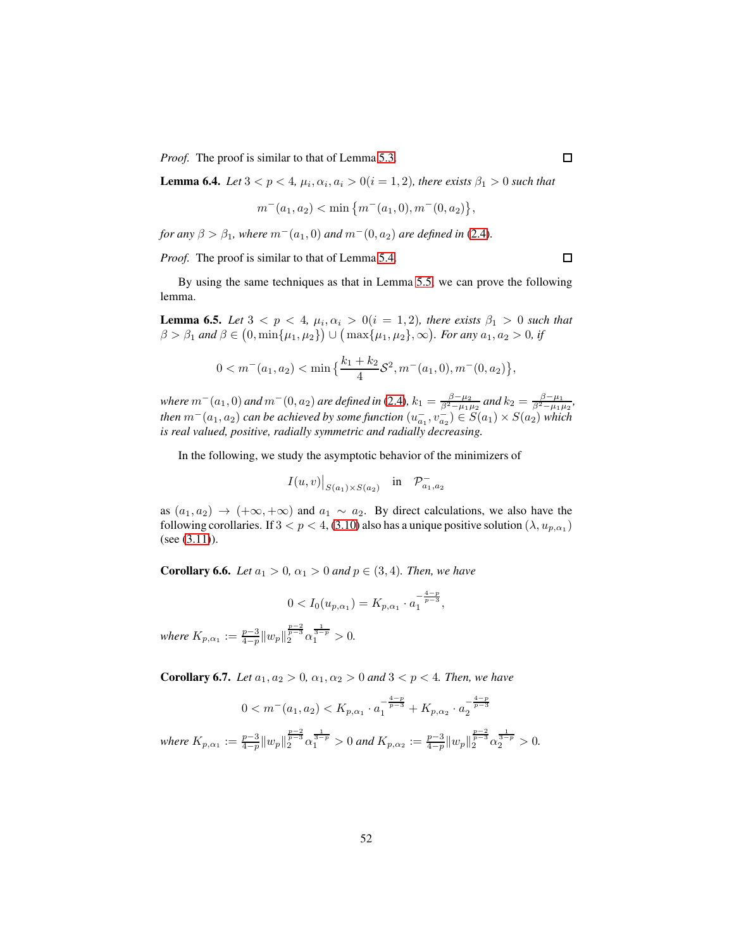*Proof.* The proof is similar to that of Lemma [5.3.](#page-40-0)

**Lemma 6.4.** *Let*  $3 < p < 4$ ,  $\mu_i$ ,  $\alpha_i$ ,  $a_i > 0$  ( $i = 1, 2$ ), there exists  $\beta_1 > 0$  such that

$$
m^-(a_1, a_2) < \min\{m^-(a_1, 0), m^-(0, a_2)\},\
$$

*for any*  $\beta > \beta_1$ *, where*  $m^-(a_1, 0)$  *and*  $m^-(0, a_2)$  *are defined in* [\(2.4\)](#page-10-1)*.* 

*Proof.* The proof is similar to that of Lemma [5.4.](#page-41-1)

By using the same techniques as that in Lemma [5.5,](#page-42-1) we can prove the following lemma.

<span id="page-51-0"></span>**Lemma 6.5.** Let  $3 < p < 4$ ,  $\mu_i$ ,  $\alpha_i > 0$  (i = 1, 2), there exists  $\beta_1 > 0$  such that  $\beta > \beta_1$  and  $\beta \in (0, \min\{\mu_1, \mu_2\}) \cup (\max\{\mu_1, \mu_2\}, \infty)$ . For any  $a_1, a_2 > 0$ , if

$$
0 < m^-(a_1, a_2) < \min\left\{\frac{k_1 + k_2}{4} \mathcal{S}^2, m^-(a_1, 0), m^-(0, a_2)\right\},\
$$

*where*  $m^-(a_1, 0)$  *and*  $m^-(0, a_2)$  *are defined in* [\(2.4\)](#page-10-1)*,*  $k_1 = \frac{\beta - \mu_2}{\beta^2 - \mu_1 \mu_2}$  *and*  $k_2 = \frac{\beta - \mu_1}{\beta^2 - \mu_1 \mu_2}$ *, then*  $m^-(a_1, a_2)$  *can be achieved by some function*  $(u_{a_1}^-, v_{a_2}^-) \in S(a_1) \times S(a_2)$  *which is real valued, positive, radially symmetric and radially decreasing.*

In the following, we study the asymptotic behavior of the minimizers of

$$
I(u,v)|_{S(a_1)\times S(a_2)} \quad \text{in} \quad \mathcal{P}^-_{a_1,a_2}
$$

as  $(a_1, a_2) \rightarrow (+\infty, +\infty)$  and  $a_1 \sim a_2$ . By direct calculations, we also have the following corollaries. If  $3 < p < 4$ , [\(3.10\)](#page-20-1) also has a unique positive solution  $(\lambda, u_{p,\alpha_1})$ (see [\(3.11\)](#page-21-2)).

**Corollary 6.6.** *Let*  $a_1 > 0$ ,  $\alpha_1 > 0$  *and*  $p \in (3, 4)$ *. Then, we have* 

$$
0 < I_0(u_{p,\alpha_1}) = K_{p,\alpha_1} \cdot a_1^{-\frac{4-p}{p-3}},
$$
\n
$$
0 < I_0(u_{p,\alpha_1}) = K_{p,\alpha_1} \cdot a_1^{-\frac{4-p}{p-3}},
$$

*where*  $K_{p,\alpha_1} := \frac{p-3}{4-p} ||w_p||_2^{\frac{p-2}{p-3}} \alpha_1^{\frac{1}{3-p}} > 0.$ 

**Corollary 6.7.** *Let*  $a_1, a_2 > 0, a_1, a_2 > 0$  *and*  $3 < p < 4$ *. Then, we have* 

$$
0 < m^{-}(a_1, a_2) < K_{p, \alpha_1} \cdot a_1^{-\frac{4-p}{p-3}} + K_{p, \alpha_2} \cdot a_2^{-\frac{4-p}{p-3}}
$$
  
*where*  $K_{p, \alpha_1} := \frac{p-3}{4-p} ||w_p||_2^{\frac{p-2}{p-3}} \alpha_1^{\frac{1}{3-p}} > 0$  and  $K_{p, \alpha_2} := \frac{p-3}{4-p} ||w_p||_2^{\frac{p-2}{p-3}} \alpha_2^{\frac{1}{3-p}} > 0$ .

 $\Box$ 

 $\Box$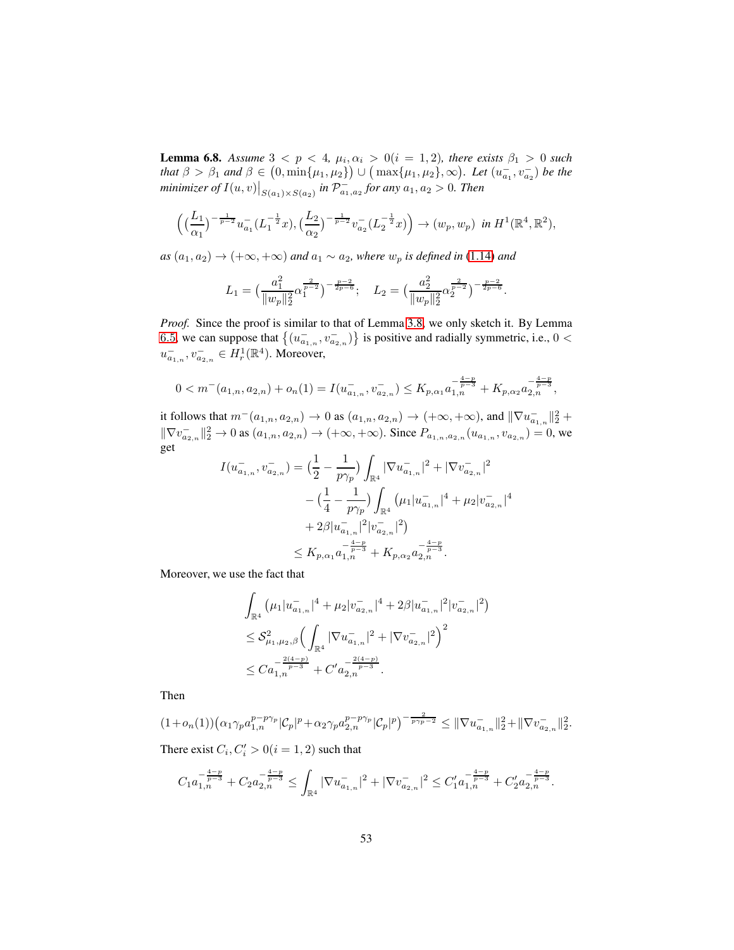<span id="page-52-0"></span>**Lemma 6.8.** Assume  $3 < p < 4$ ,  $\mu_i$ ,  $\alpha_i > 0$  (i = 1, 2), there exists  $\beta_1 > 0$  such *that*  $\beta > \beta_1$  *and*  $\beta \in (0, \min\{\mu_1, \mu_2\}) \cup (\max\{\mu_1, \mu_2\}, \infty)$ *. Let*  $(u_{a_1}^-, v_{a_2}^-)$  *be the minimizer of*  $I(u, v)|_{S(a_1) \times S(a_2)}$  *in*  $\mathcal{P}_{a_1, a_2}^-$  *for any*  $a_1, a_2 > 0$ *. Then* 

$$
\left( \left( \frac{L_1}{\alpha_1} \right)^{-\frac{1}{p-2}} u_{a_1}^{-} (L_1^{-\frac{1}{2}} x), \left( \frac{L_2}{\alpha_2} \right)^{-\frac{1}{p-2}} v_{a_2}^{-} (L_2^{-\frac{1}{2}} x) \right) \to (w_p, w_p) \text{ in } H^1(\mathbb{R}^4, \mathbb{R}^2),
$$

*as*  $(a_1, a_2)$  →  $(+\infty, +\infty)$  *and*  $a_1 \sim a_2$ *, where*  $w_p$  *is defined in* [\(1.14\)](#page-5-1) *and* 

$$
L_1 = \left(\frac{a_1^2}{\|w_p\|_2^2} \alpha_1^{\frac{2}{p-2}}\right)^{-\frac{p-2}{2p-6}}; \quad L_2 = \left(\frac{a_2^2}{\|w_p\|_2^2} \alpha_2^{\frac{2}{p-2}}\right)^{-\frac{p-2}{2p-6}}.
$$

*Proof.* Since the proof is similar to that of Lemma [3.8,](#page-21-1) we only sketch it. By Lemma [6](#page-51-0).5, we can suppose that  $\{(u_{a_{1,n}}^-, v_{a_{2,n}}^-\})$  is positive and radially symmetric, i.e.,  $0 <$  $u_{a_{1,n}}^-, v_{a_{2,n}}^- \in H_r^1(\mathbb{R}^4)$ . Moreover,

$$
0 < m^{-}(a_{1,n}, a_{2,n}) + o_n(1) = I(u_{a_{1,n}}^{-}, v_{a_{2,n}}^{-}) \le K_{p,\alpha_1} a_{1,n}^{-\frac{4-p}{p-3}} + K_{p,\alpha_2} a_{2,n}^{-\frac{4-p}{p-3}},
$$

it follows that  $m^-(a_{1,n}, a_{2,n}) \to 0$  as  $(a_{1,n}, a_{2,n}) \to (+\infty, +\infty)$ , and  $\|\nabla u_{a_{1,n}}^-\|_2^2 +$  $\frac{1}{2}$   $\frac{1}{2}$  $\|\nabla v_{a_{2,n}}^{-}\|_{2}^{2} \to 0$  as  $(a_{1,n}, a_{2,n}) \to (+\infty, +\infty)$ . Since  $P_{a_{1,n}, a_{2,n}}(u_{a_{1,n}}, v_{a_{2,n}}) = 0$ , we get

$$
I(u_{a_{1,n}}^{-}, v_{a_{2,n}}^{-}) = \left(\frac{1}{2} - \frac{1}{p\gamma_p}\right) \int_{\mathbb{R}^4} |\nabla u_{a_{1,n}}^{-}|^2 + |\nabla v_{a_{2,n}}^{-}|^2
$$
  

$$
- \left(\frac{1}{4} - \frac{1}{p\gamma_p}\right) \int_{\mathbb{R}^4} (\mu_1 |u_{a_{1,n}}^{-}|^4 + \mu_2 |v_{a_{2,n}}^{-}|^4
$$
  

$$
+ 2\beta |u_{a_{1,n}}^{-}|^2 |v_{a_{2,n}}^{-}|^2)
$$
  

$$
\leq K_{p,\alpha_1} a_{1,n}^{-} + K_{p,\alpha_2} a_{2,n}^{-\frac{4-p}{p-3}}.
$$

Moreover, we use the fact that

$$
\int_{\mathbb{R}^4} \left( \mu_1 |u_{a_{1,n}}^{-}|^4 + \mu_2 |v_{a_{2,n}}^{-}|^4 + 2\beta |u_{a_{1,n}}^{-}|^2 |v_{a_{2,n}}^{-}|^2 \right)
$$
  
\n
$$
\leq \mathcal{S}_{\mu_1,\mu_2,\beta}^2 \left( \int_{\mathbb{R}^4} |\nabla u_{a_{1,n}}^{-}|^2 + |\nabla v_{a_{2,n}}^{-}|^2 \right)^2
$$
  
\n
$$
\leq C a_{1,n}^{-\frac{2(4-p)}{p-3}} + C' a_{2,n}^{-\frac{2(4-p)}{p-3}}.
$$

Then

$$
(1+o_n(1))\left(\alpha_1\gamma_p a_{1,n}^{p-p\gamma_p}|\mathcal{C}_p|^p+\alpha_2\gamma_p a_{2,n}^{p-p\gamma_p}|\mathcal{C}_p|^p\right)^{-\frac{2}{p\gamma_p-2}} \leq \|\nabla u_{a_{1,n}}^{-}\|_2^2 + \|\nabla v_{a_{2,n}}^{-}\|_2^2.
$$
  
There exist  $C_i, C'_i > 0 (i = 1, 2)$  such that

$$
C_1a_{1,n}^{-\frac{4-p}{p-3}}+C_2a_{2,n}^{-\frac{4-p}{p-3}}\leq \int_{\mathbb{R}^4}|\nabla u_{a_{1,n}}^-|^2+|\nabla v_{a_{2,n}}^-|^2\leq C_1'a_{1,n}^{-\frac{4-p}{p-3}}+C_2'a_{2,n}^{-\frac{4-p}{p-3}}.
$$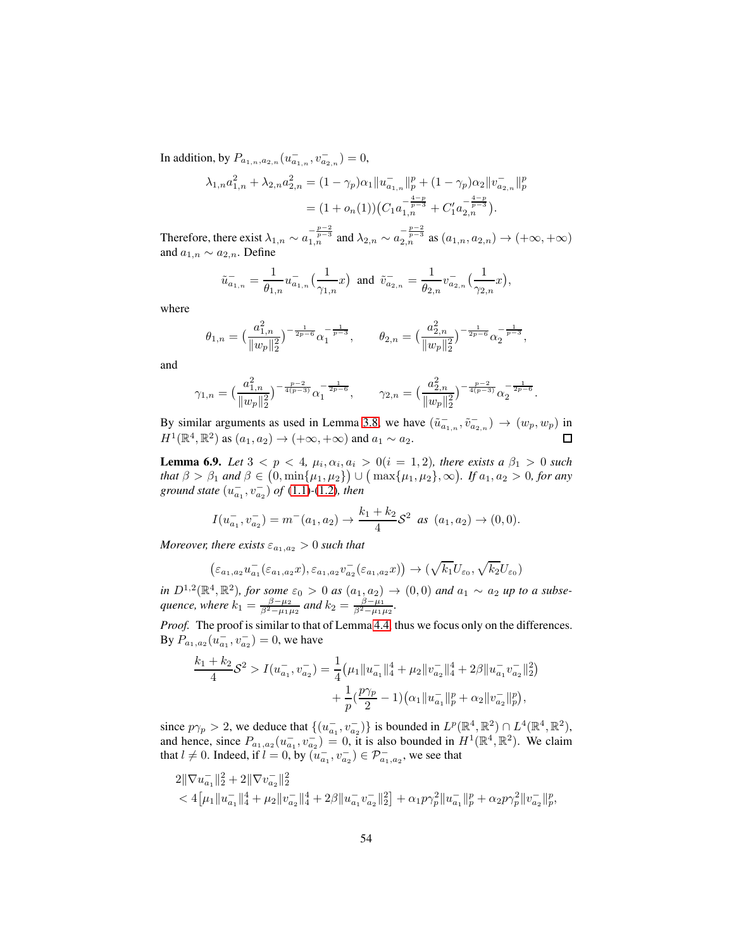In addition, by  $P_{a_{1,n},a_{2,n}}(u^-_{a_{1,n}},v^-_{a_{2,n}})=0,$ 

$$
\lambda_{1,n} a_{1,n}^2 + \lambda_{2,n} a_{2,n}^2 = (1 - \gamma_p) \alpha_1 \|u_{a_{1,n}}\|_p^p + (1 - \gamma_p) \alpha_2 \|v_{a_{2,n}}\|_p^p
$$
  
= 
$$
(1 + o_n(1)) (C_1 a_{1,n}^{-\frac{4-p}{p-3}} + C'_1 a_{2,n}^{-\frac{4-p}{p-3}}).
$$

Therefore, there exist  $\lambda_{1,n} \sim a_{1,n}^{-\frac{p-2}{p-3}}$  and  $\lambda_{2,n} \sim a_{2,n}^{-\frac{p-2}{p-3}}$  as  $(a_{1,n}, a_{2,n}) \to (+\infty, +\infty)$ and  $a_{1,n} \sim a_{2,n}$ . Define

$$
\tilde{u}_{a_{1,n}}^- = \frac{1}{\theta_{1,n}} u_{a_{1,n}}^- \left(\frac{1}{\gamma_{1,n}}x\right) \text{ and } \tilde{v}_{a_{2,n}}^- = \frac{1}{\theta_{2,n}} v_{a_{2,n}}^- \left(\frac{1}{\gamma_{2,n}}x\right),
$$

where

$$
\theta_{1,n} = \left(\frac{a_{1,n}^2}{\|w_p\|_2^2}\right)^{-\frac{1}{2p-6}} \alpha_1^{-\frac{1}{p-3}}, \qquad \theta_{2,n} = \left(\frac{a_{2,n}^2}{\|w_p\|_2^2}\right)^{-\frac{1}{2p-6}} \alpha_2^{-\frac{1}{p-3}},
$$

and

$$
\gamma_{1,n} = \left(\frac{a_{1,n}^2}{\|w_p\|_2^2}\right)^{-\frac{p-2}{4(p-3)}} \alpha_1^{-\frac{1}{2p-6}}, \qquad \gamma_{2,n} = \left(\frac{a_{2,n}^2}{\|w_p\|_2^2}\right)^{-\frac{p-2}{4(p-3)}} \alpha_2^{-\frac{1}{2p-6}}.
$$

By similar arguments as used in Lemma [3.8,](#page-21-1) we have  $(\tilde{u}_{a_{1,n}}^-, \tilde{v}_{a_{2,n}}^-) \to (w_p, w_p)$  in  $H^1(\mathbb{R}^4, \mathbb{R}^2)$  as  $(a_1, a_2) \to (+\infty, +\infty)$  and  $a_1 \sim a_2$ .

<span id="page-53-0"></span>**Lemma 6.9.** *Let*  $3 < p < 4$ ,  $\mu_i, \alpha_i, a_i > 0$  ( $i = 1, 2$ ), there exists a  $\beta_1 > 0$  such *that*  $\beta > \beta_1$  *and*  $\beta \in (0, \min\{\mu_1, \mu_2\}) \cup (\max\{\mu_1, \mu_2\}, \infty)$ . If  $a_1, a_2 > 0$ , for any ground state  $(u_{a_1}^-, v_{a_2}^-)$  of  $(1.1)$ - $(1.2)$ *, then* 

$$
I(u_{a_1}^-, v_{a_2}^-) = m^-(a_1, a_2) \to \frac{k_1 + k_2}{4} S^2 \text{ as } (a_1, a_2) \to (0, 0).
$$

*Moreover, there exists*  $\varepsilon_{a_1,a_2} > 0$  *such that* 

$$
\left(\varepsilon_{a_1,a_2}u_{a_1}^-(\varepsilon_{a_1,a_2}x),\varepsilon_{a_1,a_2}v_{a_2}^-(\varepsilon_{a_1,a_2}x)\right)\to (\sqrt{k_1}U_{\varepsilon_0},\sqrt{k_2}U_{\varepsilon_0})
$$

*in*  $D^{1,2}(\mathbb{R}^4, \mathbb{R}^2)$ , for some  $\varepsilon_0 > 0$  as  $(a_{1,2} a_{2}) \to (0,0)$  and  $a_{1} \sim a_{2}$  up to a subse*quence, where*  $k_1 = \frac{\beta - \mu_2}{\beta^2 - \mu_1 \mu_2}$  and  $k_2 = \frac{\beta - \mu_1}{\beta^2 - \mu_1 \mu_2}$ .

*Proof.* The proof is similar to that of Lemma [4.4,](#page-31-0) thus we focus only on the differences. By  $P_{a_1, a_2}(u_{a_1}^-, v_{a_2}^-) = 0$ , we have

$$
\frac{k_1 + k_2}{4} S^2 > I(u_{a_1}^-, v_{a_2}^-) = \frac{1}{4} \left( \mu_1 \| u_{a_1}^- \|_4^4 + \mu_2 \| v_{a_2}^- \|_4^4 + 2\beta \| u_{a_1}^- v_{a_2}^- \|_2^2 \right) \n+ \frac{1}{p} \left( \frac{p\gamma_p}{2} - 1 \right) \left( \alpha_1 \| u_{a_1}^- \|_p^p + \alpha_2 \| v_{a_2}^- \|_p^p \right),
$$

since  $p\gamma_p > 2$ , we deduce that  $\{(u_{a_1}^-, v_{a_2}^-\})$  is bounded in  $L^p(\mathbb{R}^4, \mathbb{R}^2) \cap L^4(\mathbb{R}^4, \mathbb{R}^2)$ , and hence, since  $P_{a_1,a_2}(u_{a_1}^-, v_{a_2}^-) = 0$ , it is also bounded in  $H^1(\mathbb{R}^4, \mathbb{R}^2)$ . We claim that  $l \neq 0$ . Indeed, if  $l = 0$ , by  $(u_{a_1}^-, v_{a_2}^-) \in \mathcal{P}_{a_1, a_2}^-$ , we see that

$$
\begin{aligned} &2\|\nabla u_{a_1}^{-}\|_2^2+2\|\nabla v_{a_2}^{-}\|_2^2\\&<4\big[\mu_1\|u_{a_1}^{-}\|_4^4+\mu_2\|v_{a_2}^{-}\|_4^4+2\beta\|u_{a_1}^{-}v_{a_2}^{-}\|_2^2\big]+\alpha_1p\gamma_p^2\|u_{a_1}^{-}\|_p^p+\alpha_2p\gamma_p^2\|v_{a_2}^{-}\|_p^p, \end{aligned}
$$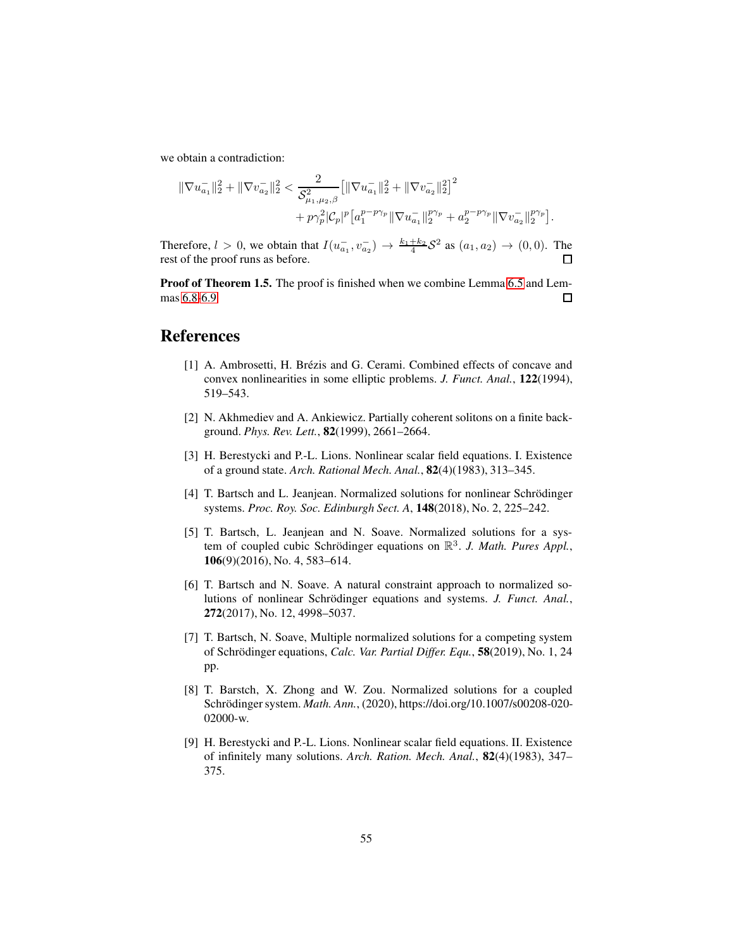we obtain a contradiction:

k∇u − a<sup>1</sup> k 2 <sup>2</sup> + k∇v − a<sup>2</sup> k 2 <sup>2</sup> < 2 S 2 µ1,µ2,β k∇u − a<sup>1</sup> k 2 <sup>2</sup> + k∇v − a<sup>2</sup> k 2 2 2 + pγ<sup>2</sup> p |Cp| p a p−pγ<sup>p</sup> 1 k∇u − a<sup>1</sup> k pγ<sup>p</sup> <sup>2</sup> + a p−pγ<sup>p</sup> 2 k∇v − a<sup>2</sup> k pγ<sup>p</sup> 2 .

Therefore,  $l > 0$ , we obtain that  $I(u_{a_1}^-, v_{a_2}^-) \to \frac{k_1 + k_2}{4} S^2$  as  $(a_1, a_2) \to (0, 0)$ . The rest of the proof runs as before.

Proof of Theorem 1.5. The proof is finished when we combine Lemma [6.5](#page-51-0) and Lemmas [6.8-](#page-52-0)[6.9.](#page-53-0)  $\Box$ 

#### <span id="page-54-8"></span>References

- [1] A. Ambrosetti, H. Brézis and G. Cerami. Combined effects of concave and convex nonlinearities in some elliptic problems. *J. Funct. Anal.*, 122(1994), 519–543.
- <span id="page-54-0"></span>[2] N. Akhmediev and A. Ankiewicz. Partially coherent solitons on a finite background. *Phys. Rev. Lett.*, 82(1999), 2661–2664.
- <span id="page-54-6"></span>[3] H. Berestycki and P.-L. Lions. Nonlinear scalar field equations. I. Existence of a ground state. *Arch. Rational Mech. Anal.*, 82(4)(1983), 313–345.
- <span id="page-54-5"></span>[4] T. Bartsch and L. Jeanjean. Normalized solutions for nonlinear Schrödinger systems. *Proc. Roy. Soc. Edinburgh Sect. A*, 148(2018), No. 2, 225–242.
- <span id="page-54-1"></span>[5] T. Bartsch, L. Jeanjean and N. Soave. Normalized solutions for a system of coupled cubic Schrödinger equations on  $\mathbb{R}^3$ . J. Math. Pures Appl., 106(9)(2016), No. 4, 583–614.
- <span id="page-54-2"></span>[6] T. Bartsch and N. Soave. A natural constraint approach to normalized solutions of nonlinear Schrödinger equations and systems. *J. Funct. Anal.*, 272(2017), No. 12, 4998–5037.
- <span id="page-54-3"></span>[7] T. Bartsch, N. Soave, Multiple normalized solutions for a competing system of Schrödinger equations, *Calc. Var. Partial Differ. Equ.*, **58**(2019), No. 1, 24 pp.
- <span id="page-54-4"></span>[8] T. Barstch, X. Zhong and W. Zou. Normalized solutions for a coupled Schrödinger system. *Math. Ann.*, (2020), https://doi.org/10.1007/s00208-020-02000-w.
- <span id="page-54-7"></span>[9] H. Berestycki and P.-L. Lions. Nonlinear scalar field equations. II. Existence of infinitely many solutions. *Arch. Ration. Mech. Anal.*, 82(4)(1983), 347– 375.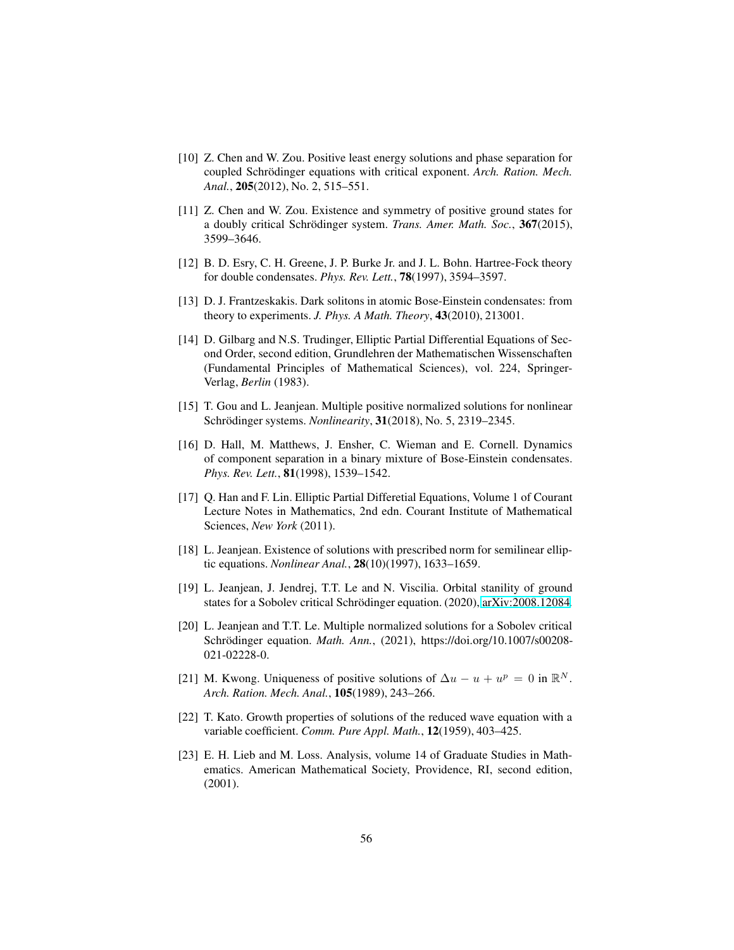- <span id="page-55-5"></span>[10] Z. Chen and W. Zou. Positive least energy solutions and phase separation for coupled Schrödinger equations with critical exponent. *Arch. Ration. Mech. Anal.*, 205(2012), No. 2, 515–551.
- <span id="page-55-6"></span>[11] Z. Chen and W. Zou. Existence and symmetry of positive ground states for a doubly critical Schrödinger system. *Trans. Amer. Math. Soc.*, 367(2015), 3599–3646.
- <span id="page-55-1"></span><span id="page-55-0"></span>[12] B. D. Esry, C. H. Greene, J. P. Burke Jr. and J. L. Bohn. Hartree-Fock theory for double condensates. *Phys. Rev. Lett.*, 78(1997), 3594–3597.
- <span id="page-55-8"></span>[13] D. J. Frantzeskakis. Dark solitons in atomic Bose-Einstein condensates: from theory to experiments. *J. Phys. A Math. Theory*, 43(2010), 213001.
- [14] D. Gilbarg and N.S. Trudinger, Elliptic Partial Differential Equations of Second Order, second edition, Grundlehren der Mathematischen Wissenschaften (Fundamental Principles of Mathematical Sciences), vol. 224, Springer-Verlag, *Berlin* (1983).
- <span id="page-55-3"></span><span id="page-55-2"></span>[15] T. Gou and L. Jeanjean. Multiple positive normalized solutions for nonlinear Schrödinger systems. *Nonlinearity*, **31**(2018), No. 5, 2319–2345.
- [16] D. Hall, M. Matthews, J. Ensher, C. Wieman and E. Cornell. Dynamics of component separation in a binary mixture of Bose-Einstein condensates. *Phys. Rev. Lett.*, 81(1998), 1539–1542.
- <span id="page-55-11"></span>[17] Q. Han and F. Lin. Elliptic Partial Differetial Equations, Volume 1 of Courant Lecture Notes in Mathematics, 2nd edn. Courant Institute of Mathematical Sciences, *New York* (2011).
- [18] L. Jeanjean. Existence of solutions with prescribed norm for semilinear elliptic equations. *Nonlinear Anal.*, 28(10)(1997), 1633–1659.
- <span id="page-55-10"></span>[19] L. Jeanjean, J. Jendrej, T.T. Le and N. Viscilia. Orbital stanility of ground states for a Sobolev critical Schrödinger equation. (2020), [arXiv:2008.12084.](http://arxiv.org/abs/2008.12084)
- <span id="page-55-4"></span>[20] L. Jeanjean and T.T. Le. Multiple normalized solutions for a Sobolev critical Schrödinger equation. *Math. Ann.*, (2021), https://doi.org/10.1007/s00208-021-02228-0.
- <span id="page-55-12"></span>[21] M. Kwong. Uniqueness of positive solutions of  $\Delta u - u + u^p = 0$  in  $\mathbb{R}^N$ . *Arch. Ration. Mech. Anal.*, 105(1989), 243–266.
- <span id="page-55-9"></span>[22] T. Kato. Growth properties of solutions of the reduced wave equation with a variable coefficient. *Comm. Pure Appl. Math.*, 12(1959), 403–425.
- <span id="page-55-7"></span>[23] E. H. Lieb and M. Loss. Analysis, volume 14 of Graduate Studies in Mathematics. American Mathematical Society, Providence, RI, second edition, (2001).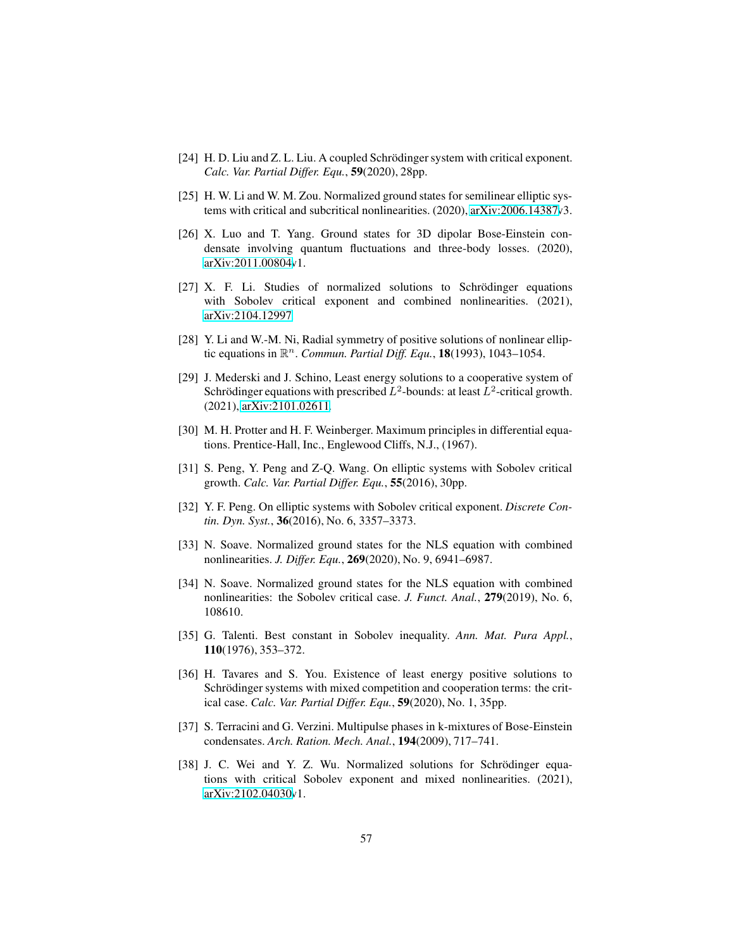- <span id="page-56-5"></span><span id="page-56-1"></span>[24] H. D. Liu and Z. L. Liu. A coupled Schrödinger system with critical exponent. *Calc. Var. Partial Differ. Equ.*, 59(2020), 28pp.
- [25] H. W. Li and W. M. Zou. Normalized ground states for semilinear elliptic systems with critical and subcritical nonlinearities. (2020), [arXiv:2006.14387v](http://arxiv.org/abs/2006.14387)3.
- [26] X. Luo and T. Yang. Ground states for 3D dipolar Bose-Einstein condensate involving quantum fluctuations and three-body losses. (2020), [arXiv:2011.00804v](http://arxiv.org/abs/2011.00804)1.
- <span id="page-56-10"></span>[27] X. F. Li. Studies of normalized solutions to Schrödinger equations with Sobolev critical exponent and combined nonlinearities. (2021), [arXiv:2104.12997.](http://arxiv.org/abs/2104.12997)
- <span id="page-56-13"></span><span id="page-56-2"></span>[28] Y. Li and W.-M. Ni, Radial symmetry of positive solutions of nonlinear elliptic equations in  $\mathbb{R}^n$ . *Commun. Partial Diff. Equ.*, **18**(1993), 1043–1054.
- [29] J. Mederski and J. Schino, Least energy solutions to a cooperative system of Schrödinger equations with prescribed  $L^2$ -bounds: at least  $L^2$ -critical growth. (2021), [arXiv:2101.02611.](http://arxiv.org/abs/2101.02611)
- <span id="page-56-12"></span>[30] M. H. Protter and H. F. Weinberger. Maximum principles in differential equations. Prentice-Hall, Inc., Englewood Cliffs, N.J., (1967).
- <span id="page-56-6"></span>[31] S. Peng, Y. Peng and Z-Q. Wang. On elliptic systems with Sobolev critical growth. *Calc. Var. Partial Differ. Equ.*, 55(2016), 30pp.
- <span id="page-56-7"></span>[32] Y. F. Peng. On elliptic systems with Sobolev critical exponent. *Discrete Contin. Dyn. Syst.*, 36(2016), No. 6, 3357–3373.
- <span id="page-56-11"></span>[33] N. Soave. Normalized ground states for the NLS equation with combined nonlinearities. *J. Differ. Equ.*, 269(2020), No. 9, 6941–6987.
- <span id="page-56-3"></span>[34] N. Soave. Normalized ground states for the NLS equation with combined nonlinearities: the Sobolev critical case. *J. Funct. Anal.*, 279(2019), No. 6, 108610.
- <span id="page-56-9"></span>[35] G. Talenti. Best constant in Sobolev inequality. *Ann. Mat. Pura Appl.*, 110(1976), 353–372.
- <span id="page-56-8"></span>[36] H. Tavares and S. You. Existence of least energy positive solutions to Schrödinger systems with mixed competition and cooperation terms: the critical case. *Calc. Var. Partial Differ. Equ.*, 59(2020), No. 1, 35pp.
- <span id="page-56-0"></span>[37] S. Terracini and G. Verzini. Multipulse phases in k-mixtures of Bose-Einstein condensates. *Arch. Ration. Mech. Anal.*, 194(2009), 717–741.
- <span id="page-56-4"></span>[38] J. C. Wei and Y. Z. Wu. Normalized solutions for Schrödinger equations with critical Sobolev exponent and mixed nonlinearities. (2021), [arXiv:2102.04030v](http://arxiv.org/abs/2102.04030)1.